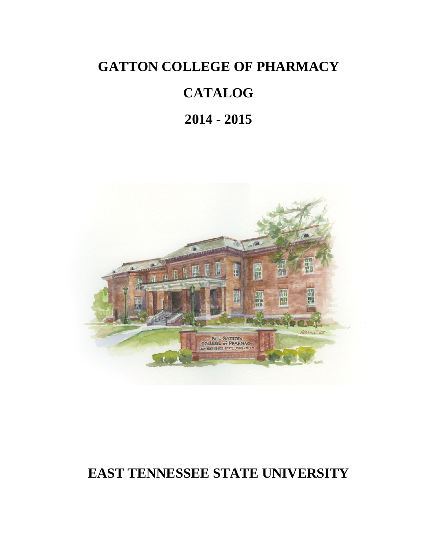# **GATTON COLLEGE OF PHARMACY**

# **CATALOG**

# **2014 - 2015**



# **EAST TENNESSEE STATE UNIVERSITY**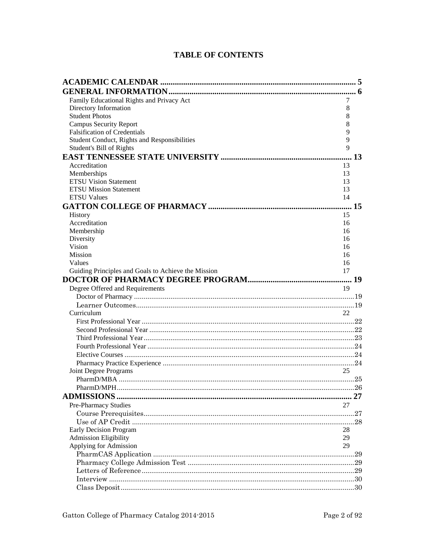# **TABLE OF CONTENTS**

| Family Educational Rights and Privacy Act           | 7  |  |
|-----------------------------------------------------|----|--|
| Directory Information                               | 8  |  |
| <b>Student Photos</b>                               | 8  |  |
| <b>Campus Security Report</b>                       | 8  |  |
| <b>Falsification of Credentials</b>                 | 9  |  |
| Student Conduct, Rights and Responsibilities        | 9  |  |
| Student's Bill of Rights                            | 9  |  |
|                                                     | 13 |  |
| Accreditation                                       | 13 |  |
| Memberships                                         | 13 |  |
| <b>ETSU Vision Statement</b>                        | 13 |  |
| <b>ETSU Mission Statement</b>                       | 13 |  |
| <b>ETSU Values</b>                                  | 14 |  |
|                                                     |    |  |
| History                                             | 15 |  |
| Accreditation                                       | 16 |  |
| Membership                                          | 16 |  |
| Diversity                                           | 16 |  |
| Vision                                              | 16 |  |
| Mission                                             | 16 |  |
| Values                                              | 16 |  |
| Guiding Principles and Goals to Achieve the Mission | 17 |  |
|                                                     |    |  |
| Degree Offered and Requirements                     | 19 |  |
|                                                     |    |  |
|                                                     |    |  |
| Curriculum                                          | 22 |  |
|                                                     |    |  |
|                                                     |    |  |
|                                                     |    |  |
|                                                     |    |  |
|                                                     |    |  |
|                                                     |    |  |
| Joint Degree Programs                               | 25 |  |
|                                                     |    |  |
|                                                     |    |  |
|                                                     |    |  |
| <b>Pre-Pharmacy Studies</b>                         | 27 |  |
|                                                     |    |  |
|                                                     |    |  |
| <b>Early Decision Program</b>                       | 28 |  |
| <b>Admission Eligibility</b>                        | 29 |  |
| Applying for Admission                              | 29 |  |
|                                                     |    |  |
|                                                     |    |  |
|                                                     |    |  |
|                                                     |    |  |
|                                                     |    |  |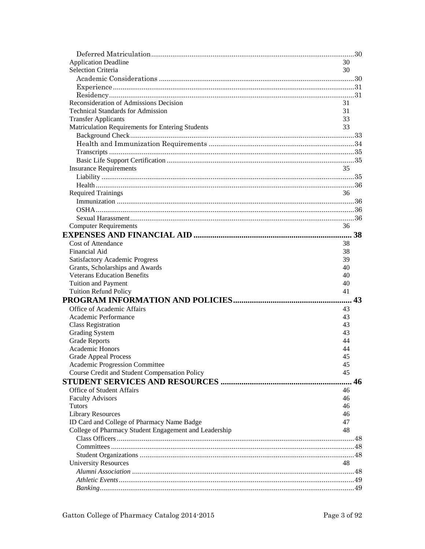| <b>Application Deadline</b>                           | 30 |
|-------------------------------------------------------|----|
| <b>Selection Criteria</b>                             | 30 |
|                                                       |    |
|                                                       |    |
|                                                       |    |
| Reconsideration of Admissions Decision                | 31 |
| <b>Technical Standards for Admission</b>              | 31 |
| <b>Transfer Applicants</b>                            | 33 |
| Matriculation Requirements for Entering Students      | 33 |
|                                                       |    |
|                                                       |    |
|                                                       |    |
|                                                       |    |
| <b>Insurance Requirements</b>                         | 35 |
|                                                       |    |
|                                                       |    |
| <b>Required Trainings</b>                             | 36 |
|                                                       |    |
|                                                       |    |
|                                                       |    |
|                                                       |    |
| <b>Computer Requirements</b>                          | 36 |
|                                                       |    |
| <b>Cost of Attendance</b>                             | 38 |
| <b>Financial Aid</b>                                  | 38 |
| <b>Satisfactory Academic Progress</b>                 | 39 |
| Grants, Scholarships and Awards                       | 40 |
| <b>Veterans Education Benefits</b>                    | 40 |
| <b>Tuition and Payment</b>                            | 40 |
| <b>Tuition Refund Policy</b>                          | 41 |
|                                                       |    |
| Office of Academic Affairs                            | 43 |
| Academic Performance                                  | 43 |
| <b>Class Registration</b>                             | 43 |
| <b>Grading System</b>                                 | 43 |
| <b>Grade Reports</b>                                  | 44 |
| Academic Honors                                       | 44 |
| <b>Grade Appeal Process</b>                           | 45 |
| Academic Progression Committee                        | 45 |
| Course Credit and Student Compensation Policy         | 45 |
|                                                       | 46 |
| Office of Student Affairs                             | 46 |
| <b>Faculty Advisors</b>                               | 46 |
| <b>Tutors</b>                                         | 46 |
| <b>Library Resources</b>                              | 46 |
| ID Card and College of Pharmacy Name Badge            | 47 |
| College of Pharmacy Student Engagement and Leadership | 48 |
|                                                       |    |
|                                                       |    |
|                                                       |    |
| <b>University Resources</b>                           | 48 |
|                                                       |    |
|                                                       |    |
|                                                       |    |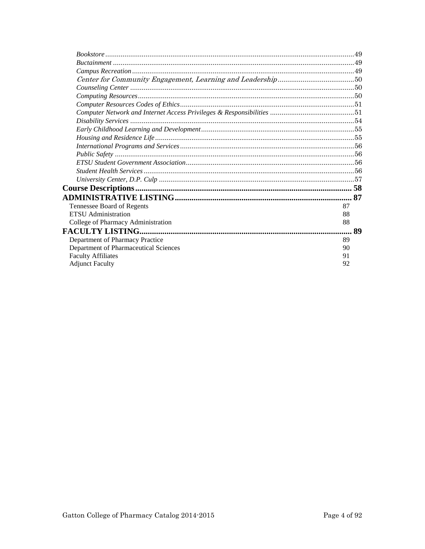| Tennessee Board of Regents            | 87 |
|---------------------------------------|----|
| <b>ETSU</b> Administration            | 88 |
| College of Pharmacy Administration    | 88 |
|                                       | 89 |
| Department of Pharmacy Practice       | 89 |
| Department of Pharmaceutical Sciences | 90 |
| <b>Faculty Affiliates</b>             | 91 |
| <b>Adjunct Faculty</b>                | 92 |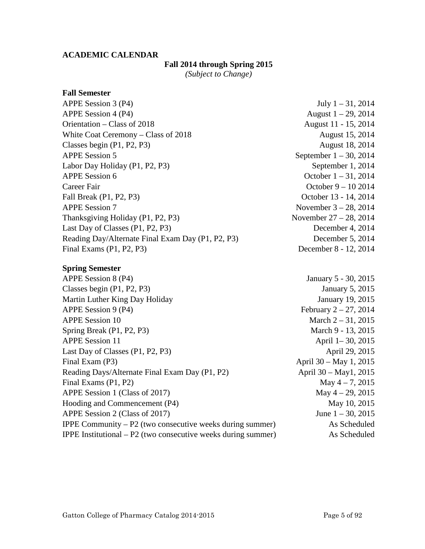# <span id="page-4-0"></span>**ACADEMIC CALENDAR**

# **Fall 2014 through Spring 2015**

*(Subject to Change)*

#### **Fall Semester**

| APPE Session 3 (P4)                               | July $1 - 31$ , 2014      |
|---------------------------------------------------|---------------------------|
| APPE Session 4 (P4)                               | August $1 - 29$ , 2014    |
| Orientation – Class of 2018                       | August 11 - 15, 2014      |
| White Coat Ceremony - Class of 2018               | August 15, 2014           |
| Classes begin $(P1, P2, P3)$                      | August 18, 2014           |
| <b>APPE Session 5</b>                             | September $1 - 30$ , 2014 |
| Labor Day Holiday (P1, P2, P3)                    | September 1, 2014         |
| <b>APPE Session 6</b>                             | October $1 - 31$ , 2014   |
| Career Fair                                       | October $9 - 102014$      |
| Fall Break (P1, P2, P3)                           | October 13 - 14, 2014     |
| <b>APPE Session 7</b>                             | November $3 - 28$ , 2014  |
| Thanksgiving Holiday (P1, P2, P3)                 | November $27 - 28$ , 2014 |
| Last Day of Classes (P1, P2, P3)                  | December 4, 2014          |
| Reading Day/Alternate Final Exam Day (P1, P2, P3) | December 5, 2014          |
| Final Exams $(P1, P2, P3)$                        | December 8 - 12, 2014     |
|                                                   |                           |

# **Spring Semester**

| APPE Session 8 (P4)                                                    | January 5 - 30, 2015     |
|------------------------------------------------------------------------|--------------------------|
| Classes begin $(P1, P2, P3)$                                           | <b>January 5, 2015</b>   |
| Martin Luther King Day Holiday                                         | January 19, 2015         |
| APPE Session 9 (P4)                                                    | February $2 - 27$ , 2014 |
| <b>APPE Session 10</b>                                                 | March $2 - 31$ , 2015    |
| Spring Break (P1, P2, P3)                                              | March 9 - 13, 2015       |
| <b>APPE Session 11</b>                                                 | April 1-30, 2015         |
| Last Day of Classes (P1, P2, P3)                                       | April 29, 2015           |
| Final Exam (P3)                                                        | April 30 – May 1, 2015   |
| Reading Days/Alternate Final Exam Day (P1, P2)                         | April 30 - May1, 2015    |
| Final Exams (P1, P2)                                                   | May $4 - 7$ , 2015       |
| APPE Session 1 (Class of 2017)                                         | May $4 - 29$ , 2015      |
| Hooding and Commencement (P4)                                          | May 10, 2015             |
| APPE Session 2 (Class of 2017)                                         | June $1 - 30$ , 2015     |
| <b>IPPE Community – P2</b> (two consecutive weeks during summer)       | As Scheduled             |
| <b>IPPE</b> Institutional $- P2$ (two consecutive weeks during summer) | As Scheduled             |
|                                                                        |                          |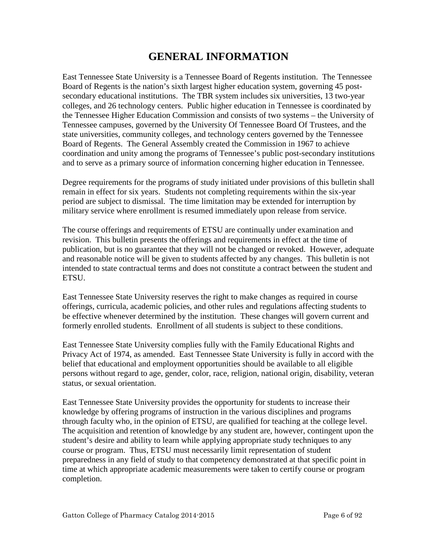# **GENERAL INFORMATION**

<span id="page-5-0"></span>East Tennessee State University is a Tennessee Board of Regents institution. The Tennessee Board of Regents is the nation's sixth largest higher education system, governing 45 postsecondary educational institutions. The TBR system includes six universities, 13 two-year colleges, and 26 technology centers. Public higher education in Tennessee is coordinated by the Tennessee Higher Education Commission and consists of two systems – the University of Tennessee campuses, governed by the University Of Tennessee Board Of Trustees, and the state universities, community colleges, and technology centers governed by the Tennessee Board of Regents. The General Assembly created the Commission in 1967 to achieve coordination and unity among the programs of Tennessee's public post-secondary institutions and to serve as a primary source of information concerning higher education in Tennessee.

Degree requirements for the programs of study initiated under provisions of this bulletin shall remain in effect for six years. Students not completing requirements within the six-year period are subject to dismissal. The time limitation may be extended for interruption by military service where enrollment is resumed immediately upon release from service.

The course offerings and requirements of ETSU are continually under examination and revision. This bulletin presents the offerings and requirements in effect at the time of publication, but is no guarantee that they will not be changed or revoked. However, adequate and reasonable notice will be given to students affected by any changes. This bulletin is not intended to state contractual terms and does not constitute a contract between the student and ETSU.

East Tennessee State University reserves the right to make changes as required in course offerings, curricula, academic policies, and other rules and regulations affecting students to be effective whenever determined by the institution. These changes will govern current and formerly enrolled students. Enrollment of all students is subject to these conditions.

East Tennessee State University complies fully with the Family Educational Rights and Privacy Act of 1974, as amended. East Tennessee State University is fully in accord with the belief that educational and employment opportunities should be available to all eligible persons without regard to age, gender, color, race, religion, national origin, disability, veteran status, or sexual orientation.

East Tennessee State University provides the opportunity for students to increase their knowledge by offering programs of instruction in the various disciplines and programs through faculty who, in the opinion of ETSU, are qualified for teaching at the college level. The acquisition and retention of knowledge by any student are, however, contingent upon the student's desire and ability to learn while applying appropriate study techniques to any course or program. Thus, ETSU must necessarily limit representation of student preparedness in any field of study to that competency demonstrated at that specific point in time at which appropriate academic measurements were taken to certify course or program completion.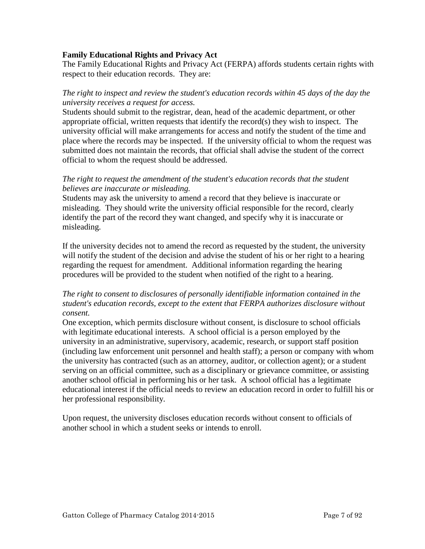#### <span id="page-6-0"></span>**Family Educational Rights and Privacy Act**

The Family Educational Rights and Privacy Act (FERPA) affords students certain rights with respect to their education records. They are:

# *The right to inspect and review the student's education records within 45 days of the day the university receives a request for access.*

Students should submit to the registrar, dean, head of the academic department, or other appropriate official, written requests that identify the record(s) they wish to inspect. The university official will make arrangements for access and notify the student of the time and place where the records may be inspected. If the university official to whom the request was submitted does not maintain the records, that official shall advise the student of the correct official to whom the request should be addressed.

# *The right to request the amendment of the student's education records that the student believes are inaccurate or misleading.*

Students may ask the university to amend a record that they believe is inaccurate or misleading. They should write the university official responsible for the record, clearly identify the part of the record they want changed, and specify why it is inaccurate or misleading.

If the university decides not to amend the record as requested by the student, the university will notify the student of the decision and advise the student of his or her right to a hearing regarding the request for amendment. Additional information regarding the hearing procedures will be provided to the student when notified of the right to a hearing.

# *The right to consent to disclosures of personally identifiable information contained in the student's education records, except to the extent that FERPA authorizes disclosure without consent.*

One exception, which permits disclosure without consent, is disclosure to school officials with legitimate educational interests. A school official is a person employed by the university in an administrative, supervisory, academic, research, or support staff position (including law enforcement unit personnel and health staff); a person or company with whom the university has contracted (such as an attorney, auditor, or collection agent); or a student serving on an official committee, such as a disciplinary or grievance committee, or assisting another school official in performing his or her task. A school official has a legitimate educational interest if the official needs to review an education record in order to fulfill his or her professional responsibility.

Upon request, the university discloses education records without consent to officials of another school in which a student seeks or intends to enroll.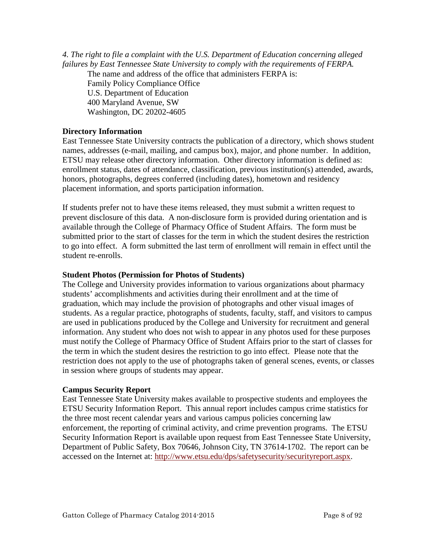<span id="page-7-0"></span>*4. The right to file a complaint with the U.S. Department of Education concerning alleged failures by East Tennessee State University to comply with the requirements of FERPA.* 

The name and address of the office that administers FERPA is:

Family Policy Compliance Office U.S. Department of Education 400 Maryland Avenue, SW Washington, DC 20202-4605

#### **Directory Information**

East Tennessee State University contracts the publication of a directory, which shows student names, addresses (e-mail, mailing, and campus box), major, and phone number. In addition, ETSU may release other directory information. Other directory information is defined as: enrollment status, dates of attendance, classification, previous institution(s) attended, awards, honors, photographs, degrees conferred (including dates), hometown and residency placement information, and sports participation information.

If students prefer not to have these items released, they must submit a written request to prevent disclosure of this data. A non-disclosure form is provided during orientation and is available through the College of Pharmacy Office of Student Affairs. The form must be submitted prior to the start of classes for the term in which the student desires the restriction to go into effect. A form submitted the last term of enrollment will remain in effect until the student re-enrolls.

#### **Student Photos (Permission for Photos of Students)**

The College and University provides information to various organizations about pharmacy students' accomplishments and activities during their enrollment and at the time of graduation, which may include the provision of photographs and other visual images of students. As a regular practice, photographs of students, faculty, staff, and visitors to campus are used in publications produced by the College and University for recruitment and general information. Any student who does not wish to appear in any photos used for these purposes must notify the College of Pharmacy Office of Student Affairs prior to the start of classes for the term in which the student desires the restriction to go into effect. Please note that the restriction does not apply to the use of photographs taken of general scenes, events, or classes in session where groups of students may appear.

#### **Campus Security Report**

East Tennessee State University makes available to prospective students and employees the ETSU Security Information Report. This annual report includes campus crime statistics for the three most recent calendar years and various campus policies concerning law enforcement, the reporting of criminal activity, and crime prevention programs. The ETSU Security Information Report is available upon request from East Tennessee State University, Department of Public Safety, Box 70646, Johnson City, TN 37614-1702. The report can be accessed on the Internet at: [http://www.etsu.edu/dps/safetysecurity/securityreport.aspx.](http://www.etsu.edu/dps/safetysecurity/securityreport.aspx)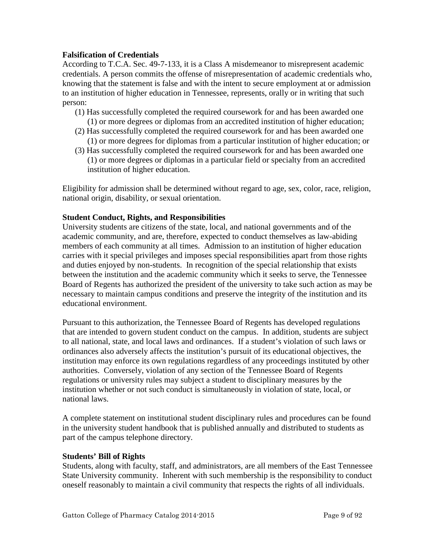# <span id="page-8-0"></span>**Falsification of Credentials**

According to T.C.A. Sec. 49-7-133, it is a Class A misdemeanor to misrepresent academic credentials. A person commits the offense of misrepresentation of academic credentials who, knowing that the statement is false and with the intent to secure employment at or admission to an institution of higher education in Tennessee, represents, orally or in writing that such person:

- (1) Has successfully completed the required coursework for and has been awarded one (1) or more degrees or diplomas from an accredited institution of higher education;
- (2) Has successfully completed the required coursework for and has been awarded one (1) or more degrees for diplomas from a particular institution of higher education; or
- (3) Has successfully completed the required coursework for and has been awarded one (1) or more degrees or diplomas in a particular field or specialty from an accredited institution of higher education.

Eligibility for admission shall be determined without regard to age, sex, color, race, religion, national origin, disability, or sexual orientation.

# **Student Conduct, Rights, and Responsibilities**

University students are citizens of the state, local, and national governments and of the academic community, and are, therefore, expected to conduct themselves as law-abiding members of each community at all times. Admission to an institution of higher education carries with it special privileges and imposes special responsibilities apart from those rights and duties enjoyed by non-students. In recognition of the special relationship that exists between the institution and the academic community which it seeks to serve, the Tennessee Board of Regents has authorized the president of the university to take such action as may be necessary to maintain campus conditions and preserve the integrity of the institution and its educational environment.

Pursuant to this authorization, the Tennessee Board of Regents has developed regulations that are intended to govern student conduct on the campus. In addition, students are subject to all national, state, and local laws and ordinances. If a student's violation of such laws or ordinances also adversely affects the institution's pursuit of its educational objectives, the institution may enforce its own regulations regardless of any proceedings instituted by other authorities. Conversely, violation of any section of the Tennessee Board of Regents regulations or university rules may subject a student to disciplinary measures by the institution whether or not such conduct is simultaneously in violation of state, local, or national laws.

A complete statement on institutional student disciplinary rules and procedures can be found in the university student handbook that is published annually and distributed to students as part of the campus telephone directory.

#### **Students' Bill of Rights**

Students, along with faculty, staff, and administrators, are all members of the East Tennessee State University community. Inherent with such membership is the responsibility to conduct oneself reasonably to maintain a civil community that respects the rights of all individuals.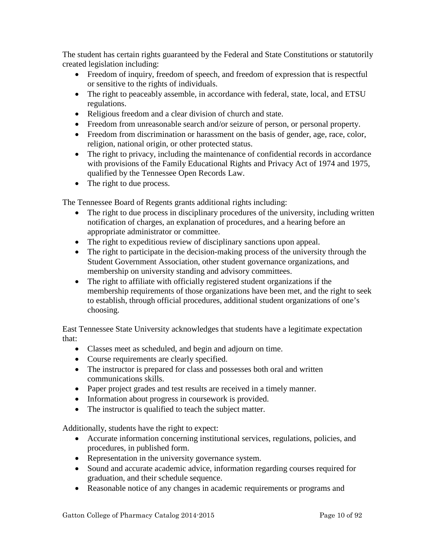The student has certain rights guaranteed by the Federal and State Constitutions or statutorily created legislation including:

- Freedom of inquiry, freedom of speech, and freedom of expression that is respectful or sensitive to the rights of individuals.
- The right to peaceably assemble, in accordance with federal, state, local, and ETSU regulations.
- Religious freedom and a clear division of church and state.
- Freedom from unreasonable search and/or seizure of person, or personal property.
- Freedom from discrimination or harassment on the basis of gender, age, race, color, religion, national origin, or other protected status.
- The right to privacy, including the maintenance of confidential records in accordance with provisions of the Family Educational Rights and Privacy Act of 1974 and 1975, qualified by the Tennessee Open Records Law.
- The right to due process.

The Tennessee Board of Regents grants additional rights including:

- The right to due process in disciplinary procedures of the university, including written notification of charges, an explanation of procedures, and a hearing before an appropriate administrator or committee.
- The right to expeditious review of disciplinary sanctions upon appeal.
- The right to participate in the decision-making process of the university through the Student Government Association, other student governance organizations, and membership on university standing and advisory committees.
- The right to affiliate with officially registered student organizations if the membership requirements of those organizations have been met, and the right to seek to establish, through official procedures, additional student organizations of one's choosing.

East Tennessee State University acknowledges that students have a legitimate expectation that:

- Classes meet as scheduled, and begin and adjourn on time.
- Course requirements are clearly specified.
- The instructor is prepared for class and possesses both oral and written communications skills.
- Paper project grades and test results are received in a timely manner.
- Information about progress in coursework is provided.
- The instructor is qualified to teach the subject matter.

Additionally, students have the right to expect:

- Accurate information concerning institutional services, regulations, policies, and procedures, in published form.
- Representation in the university governance system.
- Sound and accurate academic advice, information regarding courses required for graduation, and their schedule sequence.
- Reasonable notice of any changes in academic requirements or programs and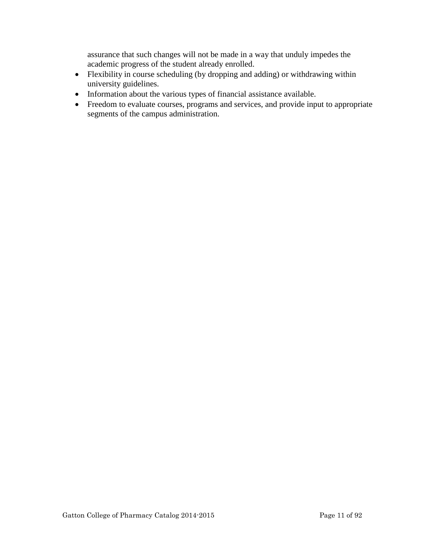assurance that such changes will not be made in a way that unduly impedes the academic progress of the student already enrolled.

- Flexibility in course scheduling (by dropping and adding) or withdrawing within university guidelines.
- Information about the various types of financial assistance available.
- Freedom to evaluate courses, programs and services, and provide input to appropriate segments of the campus administration.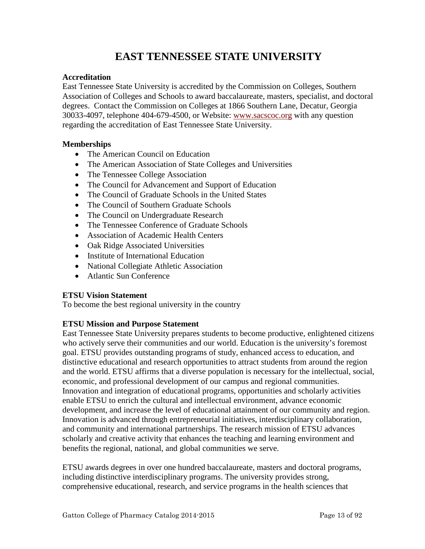# **EAST TENNESSEE STATE UNIVERSITY**

# <span id="page-12-0"></span>**Accreditation**

East Tennessee State University is accredited by the Commission on Colleges, Southern Association of Colleges and Schools to award baccalaureate, masters, specialist, and doctoral degrees. Contact the Commission on Colleges at 1866 Southern Lane, Decatur, Georgia 30033-4097, telephone 404-679-4500, or Website: [www.sacscoc.org](http://www.sacscoc.org/) with any question regarding the accreditation of East Tennessee State University.

# **Memberships**

- The American Council on Education
- The American Association of State Colleges and Universities
- The Tennessee College Association
- The Council for Advancement and Support of Education
- The Council of Graduate Schools in the United States
- The Council of Southern Graduate Schools
- The Council on Undergraduate Research
- The Tennessee Conference of Graduate Schools
- Association of Academic Health Centers
- Oak Ridge Associated Universities
- Institute of International Education
- National Collegiate Athletic Association
- Atlantic Sun Conference

# **ETSU Vision Statement**

To become the best regional university in the country

# **ETSU Mission and Purpose Statement**

East Tennessee State University prepares students to become productive, enlightened citizens who actively serve their communities and our world. Education is the university's foremost goal. ETSU provides outstanding programs of study, enhanced access to education, and distinctive educational and research opportunities to attract students from around the region and the world. ETSU affirms that a diverse population is necessary for the intellectual, social, economic, and professional development of our campus and regional communities. Innovation and integration of educational programs, opportunities and scholarly activities enable ETSU to enrich the cultural and intellectual environment, advance economic development, and increase the level of educational attainment of our community and region. Innovation is advanced through entrepreneurial initiatives, interdisciplinary collaboration, and community and international partnerships. The research mission of ETSU advances scholarly and creative activity that enhances the teaching and learning environment and benefits the regional, national, and global communities we serve.

ETSU awards degrees in over one hundred baccalaureate, masters and doctoral programs, including distinctive interdisciplinary programs. The university provides strong, comprehensive educational, research, and service programs in the health sciences that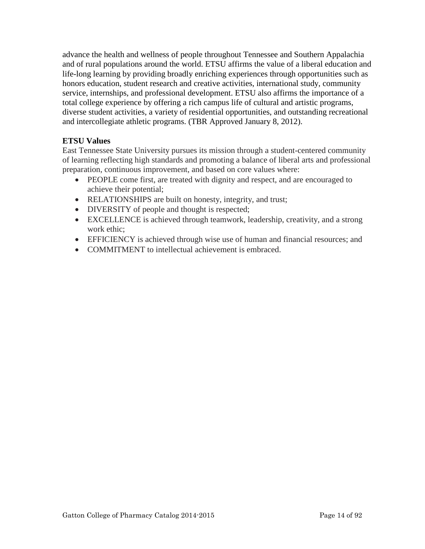<span id="page-13-0"></span>advance the health and wellness of people throughout Tennessee and Southern Appalachia and of rural populations around the world. ETSU affirms the value of a liberal education and life-long learning by providing broadly enriching experiences through opportunities such as honors education, student research and creative activities, international study, community service, internships, and professional development. ETSU also affirms the importance of a total college experience by offering a rich campus life of cultural and artistic programs, diverse student activities, a variety of residential opportunities, and outstanding recreational and intercollegiate athletic programs. (TBR Approved January 8, 2012).

# **ETSU Values**

East Tennessee State University pursues its mission through a student-centered community of learning reflecting high standards and promoting a balance of liberal arts and professional preparation, continuous improvement, and based on core values where:

- PEOPLE come first, are treated with dignity and respect, and are encouraged to achieve their potential;
- RELATIONSHIPS are built on honesty, integrity, and trust;
- DIVERSITY of people and thought is respected;
- EXCELLENCE is achieved through teamwork, leadership, creativity, and a strong work ethic;
- EFFICIENCY is achieved through wise use of human and financial resources; and
- COMMITMENT to intellectual achievement is embraced.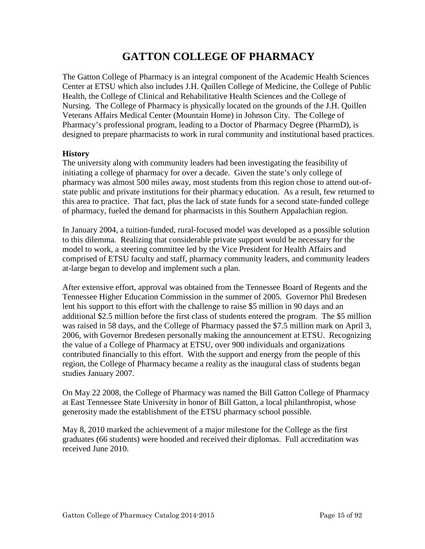# **GATTON COLLEGE OF PHARMACY**

<span id="page-14-0"></span>The Gatton College of Pharmacy is an integral component of the Academic Health Sciences Center at ETSU which also includes J.H. Quillen College of Medicine, the College of Public Health, the College of Clinical and Rehabilitative Health Sciences and the College of Nursing. The College of Pharmacy is physically located on the grounds of the J.H. Quillen Veterans Affairs Medical Center (Mountain Home) in Johnson City. The College of Pharmacy's professional program, leading to a Doctor of Pharmacy Degree (PharmD), is designed to prepare pharmacists to work in rural community and institutional based practices.

#### **History**

The university along with community leaders had been investigating the feasibility of initiating a college of pharmacy for over a decade. Given the state's only college of pharmacy was almost 500 miles away, most students from this region chose to attend out-ofstate public and private institutions for their pharmacy education. As a result, few returned to this area to practice. That fact, plus the lack of state funds for a second state-funded college of pharmacy, fueled the demand for pharmacists in this Southern Appalachian region.

In January 2004, a tuition-funded, rural-focused model was developed as a possible solution to this dilemma. Realizing that considerable private support would be necessary for the model to work, a steering committee led by the Vice President for Health Affairs and comprised of ETSU faculty and staff, pharmacy community leaders, and community leaders at-large began to develop and implement such a plan.

After extensive effort, approval was obtained from the Tennessee Board of Regents and the Tennessee Higher Education Commission in the summer of 2005. Governor Phil Bredesen lent his support to this effort with the challenge to raise \$5 million in 90 days and an additional \$2.5 million before the first class of students entered the program. The \$5 million was raised in 58 days, and the College of Pharmacy passed the \$7.5 million mark on April 3, 2006, with Governor Bredesen personally making the announcement at ETSU. Recognizing the value of a College of Pharmacy at ETSU, over 900 individuals and organizations contributed financially to this effort. With the support and energy from the people of this region, the College of Pharmacy became a reality as the inaugural class of students began studies January 2007.

On May 22 2008, the College of Pharmacy was named the Bill Gatton College of Pharmacy at East Tennessee State University in honor of Bill Gatton, a local philanthropist, whose generosity made the establishment of the ETSU pharmacy school possible.

May 8, 2010 marked the achievement of a major milestone for the College as the first graduates (66 students) were hooded and received their diplomas. Full accreditation was received June 2010.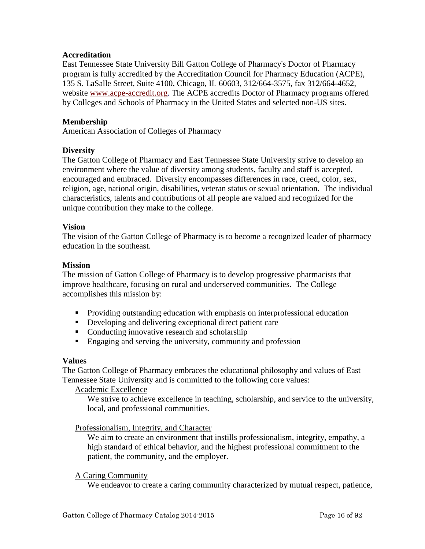#### <span id="page-15-0"></span>**Accreditation**

East Tennessee State University Bill Gatton College of Pharmacy's Doctor of Pharmacy program is fully accredited by the Accreditation Council for Pharmacy Education (ACPE), 135 S. LaSalle Street, Suite 4100, Chicago, IL 60603, 312/664-3575, fax 312/664-4652, website [www.acpe-accredit.org.](http://www.acpe-accredit.org/) The ACPE accredits Doctor of Pharmacy programs offered by Colleges and Schools of Pharmacy in the United States and selected non-US sites.

# **Membership**

American Association of Colleges of Pharmacy

#### **Diversity**

The Gatton College of Pharmacy and East Tennessee State University strive to develop an environment where the value of diversity among students, faculty and staff is accepted, encouraged and embraced. Diversity encompasses differences in race, creed, color, sex, religion, age, national origin, disabilities, veteran status or sexual orientation. The individual characteristics, talents and contributions of all people are valued and recognized for the unique contribution they make to the college.

#### **Vision**

The vision of the Gatton College of Pharmacy is to become a recognized leader of pharmacy education in the southeast.

#### **Mission**

The mission of Gatton College of Pharmacy is to develop progressive pharmacists that improve healthcare, focusing on rural and underserved communities. The College accomplishes this mission by:

- **Providing outstanding education with emphasis on interprofessional education**
- Developing and delivering exceptional direct patient care
- Conducting innovative research and scholarship
- **Engaging and serving the university, community and profession**

#### **Values**

The Gatton College of Pharmacy embraces the educational philosophy and values of East Tennessee State University and is committed to the following core values:

Academic Excellence

We strive to achieve excellence in teaching, scholarship, and service to the university, local, and professional communities.

#### Professionalism, Integrity, and Character

We aim to create an environment that instills professionalism, integrity, empathy, a high standard of ethical behavior, and the highest professional commitment to the patient, the community, and the employer.

#### A Caring Community

We endeavor to create a caring community characterized by mutual respect, patience,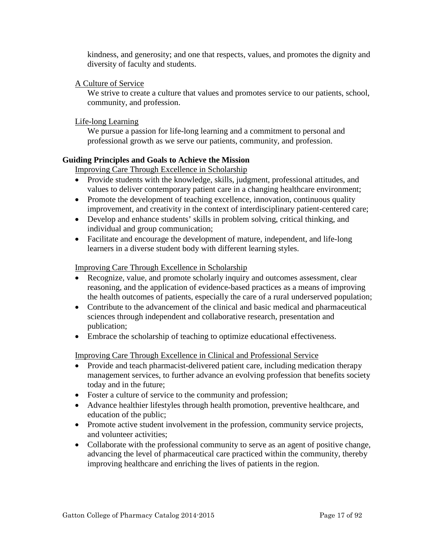<span id="page-16-0"></span>kindness, and generosity; and one that respects, values, and promotes the dignity and diversity of faculty and students.

# A Culture of Service

We strive to create a culture that values and promotes service to our patients, school, community, and profession.

# Life-long Learning

We pursue a passion for life-long learning and a commitment to personal and professional growth as we serve our patients, community, and profession.

# **Guiding Principles and Goals to Achieve the Mission**

Improving Care Through Excellence in Scholarship

- Provide students with the knowledge, skills, judgment, professional attitudes, and values to deliver contemporary patient care in a changing healthcare environment;
- Promote the development of teaching excellence, innovation, continuous quality improvement, and creativity in the context of interdisciplinary patient-centered care;
- Develop and enhance students' skills in problem solving, critical thinking, and individual and group communication;
- Facilitate and encourage the development of mature, independent, and life-long learners in a diverse student body with different learning styles.

#### Improving Care Through Excellence in Scholarship

- Recognize, value, and promote scholarly inquiry and outcomes assessment, clear reasoning, and the application of evidence-based practices as a means of improving the health outcomes of patients, especially the care of a rural underserved population;
- Contribute to the advancement of the clinical and basic medical and pharmaceutical sciences through independent and collaborative research, presentation and publication;
- Embrace the scholarship of teaching to optimize educational effectiveness.

Improving Care Through Excellence in Clinical and Professional Service

- Provide and teach pharmacist-delivered patient care, including medication therapy management services, to further advance an evolving profession that benefits society today and in the future;
- Foster a culture of service to the community and profession;
- Advance healthier lifestyles through health promotion, preventive healthcare, and education of the public;
- Promote active student involvement in the profession, community service projects, and volunteer activities;
- Collaborate with the professional community to serve as an agent of positive change, advancing the level of pharmaceutical care practiced within the community, thereby improving healthcare and enriching the lives of patients in the region.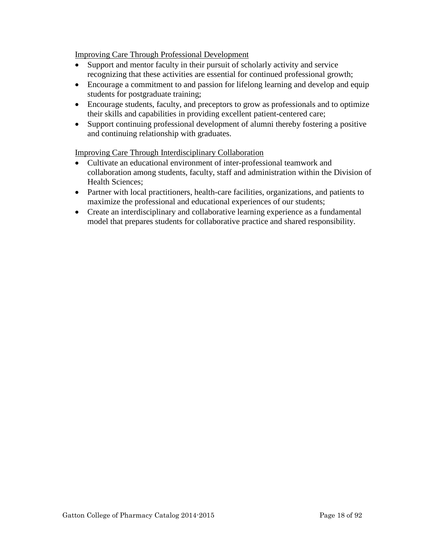Improving Care Through Professional Development

- Support and mentor faculty in their pursuit of scholarly activity and service recognizing that these activities are essential for continued professional growth;
- Encourage a commitment to and passion for lifelong learning and develop and equip students for postgraduate training;
- Encourage students, faculty, and preceptors to grow as professionals and to optimize their skills and capabilities in providing excellent patient-centered care;
- Support continuing professional development of alumni thereby fostering a positive and continuing relationship with graduates.

Improving Care Through Interdisciplinary Collaboration

- Cultivate an educational environment of inter-professional teamwork and collaboration among students, faculty, staff and administration within the Division of Health Sciences;
- Partner with local practitioners, health-care facilities, organizations, and patients to maximize the professional and educational experiences of our students;
- Create an interdisciplinary and collaborative learning experience as a fundamental model that prepares students for collaborative practice and shared responsibility.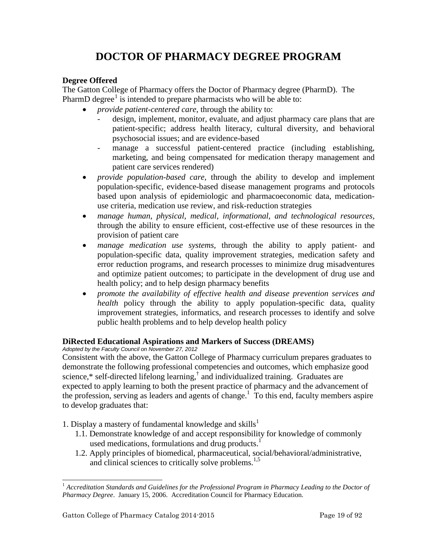# <span id="page-18-1"></span>**DOCTOR OF PHARMACY DEGREE PROGRAM**

# <span id="page-18-0"></span>**Degree Offered**

The Gatton College of Pharmacy offers the Doctor of Pharmacy degree (PharmD). The PharmD degree<sup>[1](#page-18-2)</sup> is intended to prepare pharmacists who will be able to:

- *provide patient-centered care*, through the ability to:
	- design, implement, monitor, evaluate, and adjust pharmacy care plans that are patient-specific; address health literacy, cultural diversity, and behavioral psychosocial issues; and are evidence-based
	- manage a successful patient-centered practice (including establishing, marketing, and being compensated for medication therapy management and patient care services rendered)
- *provide population-based care,* through the ability to develop and implement population-specific, evidence-based disease management programs and protocols based upon analysis of epidemiologic and pharmacoeconomic data, medicationuse criteria, medication use review, and risk-reduction strategies
- *manage human, physical, medical, informational, and technological resources,*  through the ability to ensure efficient, cost-effective use of these resources in the provision of patient care
- *manage medication use systems,* through the ability to apply patient- and population-specific data, quality improvement strategies, medication safety and error reduction programs, and research processes to minimize drug misadventures and optimize patient outcomes; to participate in the development of drug use and health policy; and to help design pharmacy benefits
- *promote the availability of effective health and disease prevention services and health* policy through the ability to apply population-specific data, quality improvement strategies, informatics, and research processes to identify and solve public health problems and to help develop health policy

# **DiRected Educational Aspirations and Markers of Success (DREAMS)**

*Adopted by the Faculty Council on November 27, 2012*

Consistent with the above, the Gatton College of Pharmacy curriculum prepares graduates to demonstrate the following professional competencies and outcomes, which emphasize good science, $*$  self-directed lifelong learning, $\frac{1}{s}$  and individualized training. Graduates are expected to apply learning to both the present practice of pharmacy and the advancement of the profession, serving as leaders and agents of change.<sup>1</sup> To this end, faculty members aspire to develop graduates that:

- 1. Display a mastery of fundamental knowledge and skills<sup>1</sup>
	- 1.1. Demonstrate knowledge of and accept responsibility for knowledge of commonly used medications, formulations and drug products.<sup>1</sup>
	- 1.2. Apply principles of biomedical, pharmaceutical, social/behavioral/administrative, and clinical sciences to critically solve problems.<sup>1,5</sup>

<span id="page-18-2"></span><sup>&</sup>lt;sup>1</sup> Accreditation Standards and Guidelines for the Professional Program in Pharmacy Leading to the Doctor of *Pharmacy Degree*. January 15, 2006. Accreditation Council for Pharmacy Education.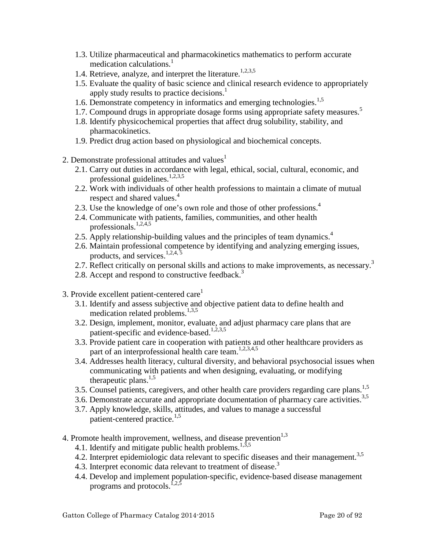- 1.3. Utilize pharmaceutical and pharmacokinetics mathematics to perform accurate medication calculations.<sup>1</sup>
- 1.4. Retrieve, analyze, and interpret the literature.<sup>1,2,3,5</sup>
- 1.5. Evaluate the quality of basic science and clinical research evidence to appropriately apply study results to practice decisions.<sup>1</sup>
- 1.6. Demonstrate competency in informatics and emerging technologies.<sup>1,5</sup>
- 1.7. Compound drugs in appropriate dosage forms using appropriate safety measures.<sup>5</sup>
- 1.8. Identify physicochemical properties that affect drug solubility, stability, and pharmacokinetics.
- 1.9. Predict drug action based on physiological and biochemical concepts.
- 2. Demonstrate professional attitudes and values $<sup>1</sup>$ </sup>
	- 2.1. Carry out duties in accordance with legal, ethical, social, cultural, economic, and professional guidelines.<sup>1,2,3,5</sup>
	- 2.2. Work with individuals of other health professions to maintain a climate of mutual respect and shared values.<sup>4</sup>
	- 2.3. Use the knowledge of one's own role and those of other professions.<sup>4</sup>
	- 2.4. Communicate with patients, families, communities, and other health professionals.<sup>1,2,4,5</sup>
	- 2.5. Apply relationship-building values and the principles of team dynamics.<sup>4</sup>
	- 2.6. Maintain professional competence by identifying and analyzing emerging issues, products, and services. $1,2,4,5$
	- 2.7. Reflect critically on personal skills and actions to make improvements, as necessary.<sup>3</sup>
	- 2.8. Accept and respond to constructive feedback.<sup>3</sup>
- 3. Provide excellent patient-centered care<sup>1</sup>
	- 3.1. Identify and assess subjective and objective patient data to define health and medication related problems. $^{1,3,5}$
	- 3.2. Design, implement, monitor, evaluate, and adjust pharmacy care plans that are patient-specific and evidence-based.<sup>1,2,3,5</sup>
	- 3.3. Provide patient care in cooperation with patients and other healthcare providers as part of an interprofessional health care team.<sup>1,2,3,4,5</sup>
	- 3.4. Addresses health literacy, cultural diversity, and behavioral psychosocial issues when communicating with patients and when designing, evaluating, or modifying therapeutic plans. $1,5$
	- 3.5. Counsel patients, caregivers, and other health care providers regarding care plans.<sup>1,5</sup>
	- 3.6. Demonstrate accurate and appropriate documentation of pharmacy care activities.<sup>3,5</sup>
	- 3.7. Apply knowledge, skills, attitudes, and values to manage a successful patient-centered practice.<sup>1,5</sup>
- 4. Promote health improvement, wellness, and disease prevention $1,3$ 
	- 4.1. Identify and mitigate public health problems.<sup>1,3,5</sup>
	- 4.2. Interpret epidemiologic data relevant to specific diseases and their management.<sup>3,5</sup>
	- 4.3. Interpret economic data relevant to treatment of disease.<sup>3</sup>
	- 4.4. Develop and implement population‐specific, evidence‐based disease management programs and protocols.<sup>1,2,5</sup>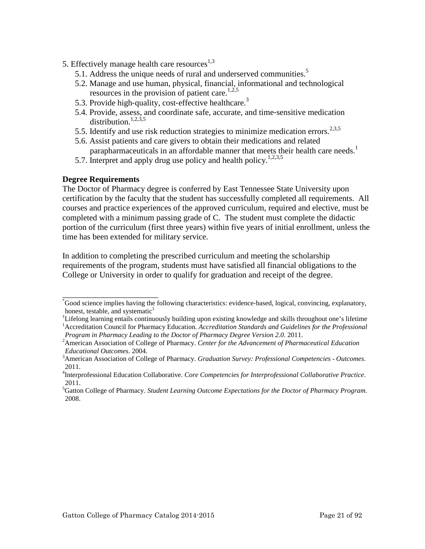- 5. Effectively manage health care resources $^{1,3}$ 
	- 5.1. Address the unique needs of rural and underserved communities.<sup>5</sup>
	- 5.2. Manage and use human, physical, financial, informational and technological resources in the provision of patient care.<sup>1,2,5</sup>
	- 5.3. Provide high-quality, cost-effective healthcare.<sup>3</sup>
	- 5.4. Provide, assess, and coordinate safe, accurate, and time‐sensitive medication distribution.<sup>1,2,3,5</sup>
	- 5.5. Identify and use risk reduction strategies to minimize medication errors.<sup>2,3,5</sup>
	- 5.6. Assist patients and care givers to obtain their medications and related parapharmaceuticals in an affordable manner that meets their health care needs.<sup>1</sup>
	- 5.7. Interpret and apply drug use policy and health policy.<sup>1,2,3,5</sup>

#### **Degree Requirements**

\_\_\_\_\_\_\_\_\_\_\_\_\_\_\_\_\_\_\_\_\_\_\_

The Doctor of Pharmacy degree is conferred by East Tennessee State University upon certification by the faculty that the student has successfully completed all requirements. All courses and practice experiences of the approved curriculum, required and elective, must be completed with a minimum passing grade of C. The student must complete the didactic portion of the curriculum (first three years) within five years of initial enrollment, unless the time has been extended for military service.

In addition to completing the prescribed curriculum and meeting the scholarship requirements of the program, students must have satisfied all financial obligations to the College or University in order to qualify for graduation and receipt of the degree.

<sup>\*</sup> Good science implies having the following characteristics: evidence‐based, logical, convincing, explanatory, honest, testable, and systematic<sup>1</sup>

<sup>†</sup> Lifelong learning entails continuously building upon existing knowledge and skills throughout one's lifetime 1 Accreditation Council for Pharmacy Education. *Accreditation Standards and Guidelines for the Professional Program in Pharmacy Leading to the Doctor of Pharmacy Degree Version 2.0*. 2011. <sup>2</sup>

American Association of College of Pharmacy. *Center for the Advancement of Pharmaceutical Education Educational Outcomes.* 2004.

American Association of College of Pharmacy. *Graduation Survey: Professional Competencies - Outcomes*. 2011.

<sup>4</sup> Interprofessional Education Collaborative. *Core Competencies for Interprofessional Collaborative Practice*. 2011.

<sup>5</sup> Gatton College of Pharmacy. *Student Learning Outcome Expectations for the Doctor of Pharmacy Program*. 2008.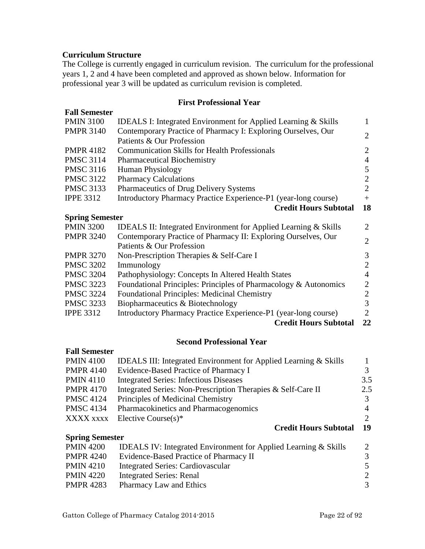# <span id="page-21-0"></span>**Curriculum Structure**

The College is currently engaged in curriculum revision. The curriculum for the professional years 1, 2 and 4 have been completed and approved as shown below. Information for professional year 3 will be updated as curriculum revision is completed.

#### **First Professional Year**

| <b>Fall Semester</b>   |                                                                                             |                |
|------------------------|---------------------------------------------------------------------------------------------|----------------|
| <b>PMIN 3100</b>       | <b>IDEALS I: Integrated Environment for Applied Learning &amp; Skills</b>                   | $\mathbf{1}$   |
| <b>PMPR 3140</b>       | Contemporary Practice of Pharmacy I: Exploring Ourselves, Our<br>Patients & Our Profession  | $\overline{2}$ |
| <b>PMPR 4182</b>       | <b>Communication Skills for Health Professionals</b>                                        | $\overline{2}$ |
| <b>PMSC 3114</b>       | <b>Pharmaceutical Biochemistry</b>                                                          | $\overline{4}$ |
| <b>PMSC 3116</b>       | Human Physiology                                                                            | 5              |
| <b>PMSC 3122</b>       | <b>Pharmacy Calculations</b>                                                                | $\overline{2}$ |
| <b>PMSC 3133</b>       | Pharmaceutics of Drug Delivery Systems                                                      | $\overline{2}$ |
| <b>IPPE 3312</b>       | Introductory Pharmacy Practice Experience-P1 (year-long course)                             | $+$            |
|                        | <b>Credit Hours Subtotal</b>                                                                | 18             |
| <b>Spring Semester</b> |                                                                                             |                |
| <b>PMIN 3200</b>       | <b>IDEALS II: Integrated Environment for Applied Learning &amp; Skills</b>                  | 2              |
| <b>PMPR 3240</b>       | Contemporary Practice of Pharmacy II: Exploring Ourselves, Our<br>Patients & Our Profession | $\overline{2}$ |
| <b>PMPR 3270</b>       | Non-Prescription Therapies & Self-Care I                                                    | 3              |
| <b>PMSC 3202</b>       | Immunology                                                                                  | $\overline{2}$ |
| <b>PMSC 3204</b>       | Pathophysiology: Concepts In Altered Health States                                          | $\overline{4}$ |
| <b>PMSC 3223</b>       | Foundational Principles: Principles of Pharmacology & Autonomics                            | $\overline{2}$ |
| <b>PMSC 3224</b>       | <b>Foundational Principles: Medicinal Chemistry</b>                                         | $\mathfrak{2}$ |
| <b>PMSC 3233</b>       | Biopharmaceutics & Biotechnology                                                            | 3              |
| <b>IPPE 3312</b>       | Introductory Pharmacy Practice Experience-P1 (year-long course)                             | $\overline{2}$ |
|                        | <b>Credit Hours Subtotal</b>                                                                | 22             |

#### **Second Professional Year**

# **Fall Semester**

| <b>PMIN 4100</b>       | <b>IDEALS III: Integrated Environment for Applied Learning &amp; Skills</b> |     |
|------------------------|-----------------------------------------------------------------------------|-----|
| <b>PMPR 4140</b>       | Evidence-Based Practice of Pharmacy I                                       | 3   |
| <b>PMIN 4110</b>       | <b>Integrated Series: Infectious Diseases</b>                               | 3.5 |
| <b>PMPR 4170</b>       | Integrated Series: Non-Prescription Therapies & Self-Care II                | 2.5 |
| <b>PMSC 4124</b>       | Principles of Medicinal Chemistry                                           | 3   |
| <b>PMSC 4134</b>       | Pharmacokinetics and Pharmacogenomics                                       | 4   |
| XXXX xxxx              | Elective Course $(s)^*$                                                     | 2   |
|                        | <b>Credit Hours Subtotal</b>                                                | 19  |
| <b>Spring Semester</b> |                                                                             |     |
| <b>PMIN 4200</b>       | <b>IDEALS IV:</b> Integrated Environment for Applied Learning & Skills      | 2   |
| <b>PMPR 4240</b>       | Evidence-Based Practice of Pharmacy II                                      | 3   |
| <b>PMIN 4210</b>       | <b>Integrated Series: Cardiovascular</b>                                    | 5   |
| <b>PMIN 4220</b>       | <b>Integrated Series: Renal</b>                                             | 2   |
| <b>PMPR 4283</b>       | <b>Pharmacy Law and Ethics</b>                                              | 3   |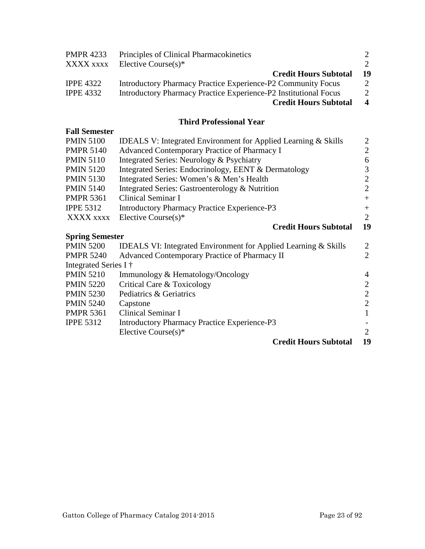<span id="page-22-0"></span>

| <b>PMPR 4233</b> | Principles of Clinical Pharmacokinetics                          | $\mathcal{D}_{\mathcal{L}}$ |
|------------------|------------------------------------------------------------------|-----------------------------|
| XXXX xxxx        | Elective Course $(s)^*$                                          | $2^{\circ}$                 |
|                  | <b>Credit Hours Subtotal</b>                                     | 19                          |
| <b>IPPE 4322</b> | Introductory Pharmacy Practice Experience-P2 Community Focus     | $\mathcal{D}_{\mathcal{L}}$ |
| <b>IPPE 4332</b> | Introductory Pharmacy Practice Experience-P2 Institutional Focus | 2                           |
|                  | <b>Credit Hours Subtotal</b>                                     | $\overline{\mathbf{4}}$     |

# **Third Professional Year**

| <b>Fall Semester</b>   |                                                                            |                |
|------------------------|----------------------------------------------------------------------------|----------------|
| <b>PMIN 5100</b>       | <b>IDEALS V: Integrated Environment for Applied Learning &amp; Skills</b>  | 2              |
| <b>PMPR 5140</b>       | Advanced Contemporary Practice of Pharmacy I                               | $\overline{2}$ |
| <b>PMIN 5110</b>       | Integrated Series: Neurology & Psychiatry                                  | 6              |
| <b>PMIN 5120</b>       | Integrated Series: Endocrinology, EENT & Dermatology                       | 3              |
| <b>PMIN 5130</b>       | Integrated Series: Women's & Men's Health                                  | $\overline{2}$ |
| <b>PMIN 5140</b>       | Integrated Series: Gastroenterology & Nutrition                            | $\overline{2}$ |
| <b>PMPR 5361</b>       | Clinical Seminar I                                                         | $+$            |
| <b>IPPE 5312</b>       | <b>Introductory Pharmacy Practice Experience-P3</b>                        | $+$            |
| XXXX xxxx              | Elective Course $(s)^*$                                                    | $\overline{2}$ |
|                        | <b>Credit Hours Subtotal</b>                                               | 19             |
|                        |                                                                            |                |
| <b>Spring Semester</b> |                                                                            |                |
| <b>PMIN 5200</b>       | <b>IDEALS VI: Integrated Environment for Applied Learning &amp; Skills</b> | 2              |
| <b>PMPR 5240</b>       | Advanced Contemporary Practice of Pharmacy II                              | $\overline{2}$ |
| Integrated Series I †  |                                                                            |                |
| <b>PMIN 5210</b>       | Immunology & Hematology/Oncology                                           | $\overline{4}$ |
| <b>PMIN 5220</b>       | Critical Care & Toxicology                                                 | $\overline{2}$ |
| <b>PMIN 5230</b>       | Pediatrics & Geriatrics                                                    | $\overline{2}$ |
| <b>PMIN 5240</b>       | Capstone                                                                   | $\overline{2}$ |
| <b>PMPR 5361</b>       | Clinical Seminar I                                                         | $\mathbf{1}$   |
| <b>IPPE 5312</b>       | <b>Introductory Pharmacy Practice Experience-P3</b>                        |                |

# **Credit Hours Subtotal 19**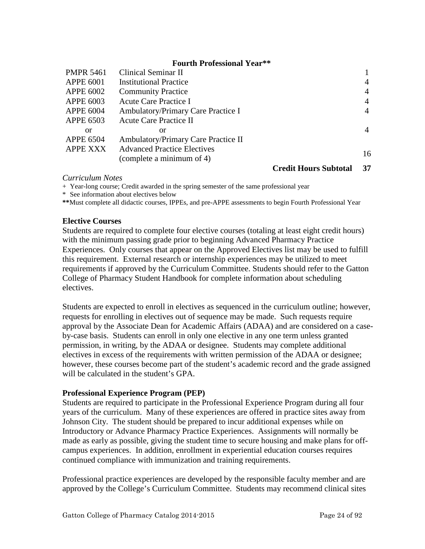#### **Fourth Professional Year\*\***

<span id="page-23-0"></span>

| <b>PMPR 5461</b> | Clinical Seminar II                 |                              |                |
|------------------|-------------------------------------|------------------------------|----------------|
| <b>APPE 6001</b> | <b>Institutional Practice</b>       |                              | $\overline{4}$ |
| <b>APPE 6002</b> | <b>Community Practice</b>           |                              | $\overline{4}$ |
| <b>APPE 6003</b> | Acute Care Practice I               |                              | $\overline{4}$ |
| <b>APPE 6004</b> | Ambulatory/Primary Care Practice I  |                              | $\overline{4}$ |
| <b>APPE 6503</b> | Acute Care Practice II              |                              |                |
| or               | or                                  |                              | $\overline{4}$ |
| <b>APPE 6504</b> | Ambulatory/Primary Care Practice II |                              |                |
| <b>APPE XXX</b>  | <b>Advanced Practice Electives</b>  |                              |                |
|                  | (complete a minimum of 4)           |                              | 16             |
|                  |                                     | <b>Credit Hours Subtotal</b> | 37             |

#### *Curriculum Notes*

+ Year-long course; Credit awarded in the spring semester of the same professional year

\* See information about electives below

**\*\***Must complete all didactic courses, IPPEs, and pre-APPE assessments to begin Fourth Professional Year

#### **Elective Courses**

Students are required to complete four elective courses (totaling at least eight credit hours) with the minimum passing grade prior to beginning Advanced Pharmacy Practice Experiences. Only courses that appear on the Approved Electives list may be used to fulfill this requirement. External research or internship experiences may be utilized to meet requirements if approved by the Curriculum Committee. Students should refer to the Gatton College of Pharmacy Student Handbook for complete information about scheduling electives.

Students are expected to enroll in electives as sequenced in the curriculum outline; however, requests for enrolling in electives out of sequence may be made. Such requests require approval by the Associate Dean for Academic Affairs (ADAA) and are considered on a caseby-case basis. Students can enroll in only one elective in any one term unless granted permission, in writing, by the ADAA or designee. Students may complete additional electives in excess of the requirements with written permission of the ADAA or designee; however, these courses become part of the student's academic record and the grade assigned will be calculated in the student's GPA.

#### **Professional Experience Program (PEP)**

Students are required to participate in the Professional Experience Program during all four years of the curriculum. Many of these experiences are offered in practice sites away from Johnson City. The student should be prepared to incur additional expenses while on Introductory or Advance Pharmacy Practice Experiences. Assignments will normally be made as early as possible, giving the student time to secure housing and make plans for offcampus experiences. In addition, enrollment in experiential education courses requires continued compliance with immunization and training requirements.

Professional practice experiences are developed by the responsible faculty member and are approved by the College's Curriculum Committee. Students may recommend clinical sites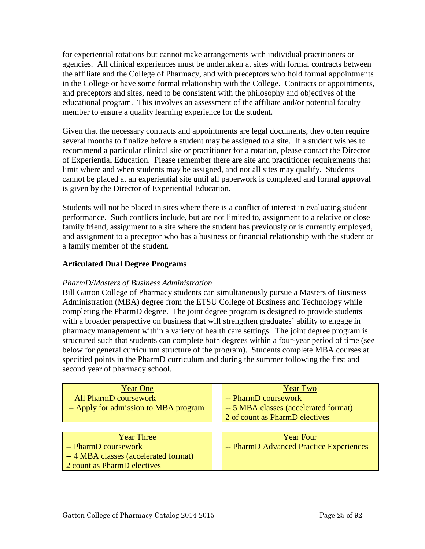<span id="page-24-0"></span>for experiential rotations but cannot make arrangements with individual practitioners or agencies. All clinical experiences must be undertaken at sites with formal contracts between the affiliate and the College of Pharmacy, and with preceptors who hold formal appointments in the College or have some formal relationship with the College. Contracts or appointments, and preceptors and sites, need to be consistent with the philosophy and objectives of the educational program. This involves an assessment of the affiliate and/or potential faculty member to ensure a quality learning experience for the student.

Given that the necessary contracts and appointments are legal documents, they often require several months to finalize before a student may be assigned to a site. If a student wishes to recommend a particular clinical site or practitioner for a rotation, please contact the Director of Experiential Education. Please remember there are site and practitioner requirements that limit where and when students may be assigned, and not all sites may qualify. Students cannot be placed at an experiential site until all paperwork is completed and formal approval is given by the Director of Experiential Education.

Students will not be placed in sites where there is a conflict of interest in evaluating student performance. Such conflicts include, but are not limited to, assignment to a relative or close family friend, assignment to a site where the student has previously or is currently employed, and assignment to a preceptor who has a business or financial relationship with the student or a family member of the student.

# **Articulated Dual Degree Programs**

#### *PharmD/Masters of Business Administration*

Bill Gatton College of Pharmacy students can simultaneously pursue a Masters of Business Administration (MBA) degree from the ETSU College of Business and Technology while completing the PharmD degree. The joint degree program is designed to provide students with a broader perspective on business that will strengthen graduates' ability to engage in pharmacy management within a variety of health care settings. The joint degree program is structured such that students can complete both degrees within a four-year period of time (see below for general curriculum structure of the program). Students complete MBA courses at specified points in the PharmD curriculum and during the summer following the first and second year of pharmacy school.

| <b>Year One</b>                       | <b>Year Two</b>                         |
|---------------------------------------|-----------------------------------------|
| - All PharmD coursework               | -- PharmD coursework                    |
| -- Apply for admission to MBA program | -- 5 MBA classes (accelerated format)   |
|                                       | 2 of count as PharmD electives          |
|                                       |                                         |
| <b>Year Three</b>                     | <b>Year Four</b>                        |
| -- PharmD coursework                  | -- PharmD Advanced Practice Experiences |
| --4 MBA classes (accelerated format)  |                                         |
| 2 count as PharmD electives           |                                         |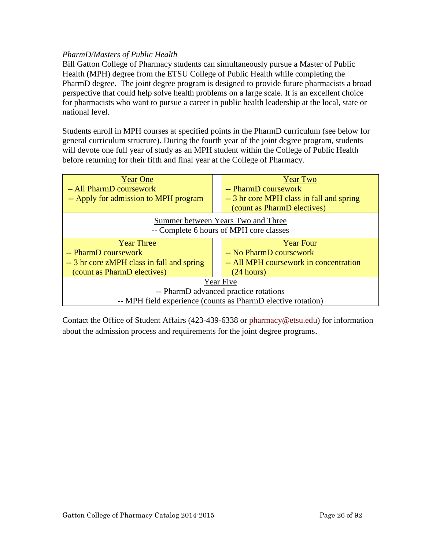# <span id="page-25-0"></span>*PharmD/Masters of Public Health*

Bill Gatton College of Pharmacy students can simultaneously pursue a Master of Public Health (MPH) degree from the ETSU College of Public Health while completing the PharmD degree. The joint degree program is designed to provide future pharmacists a broad perspective that could help solve health problems on a large scale. It is an excellent choice for pharmacists who want to pursue a career in public health leadership at the local, state or national level.

Students enroll in MPH courses at specified points in the PharmD curriculum (see below for general curriculum structure). During the fourth year of the joint degree program, students will devote one full year of study as an MPH student within the College of Public Health before returning for their fifth and final year at the College of Pharmacy.



Contact the Office of Student Affairs (423-439-6338 or [pharmacy@etsu.edu\)](mailto:pharmacy@etsu.edu) for information about the admission process and requirements for the joint degree programs.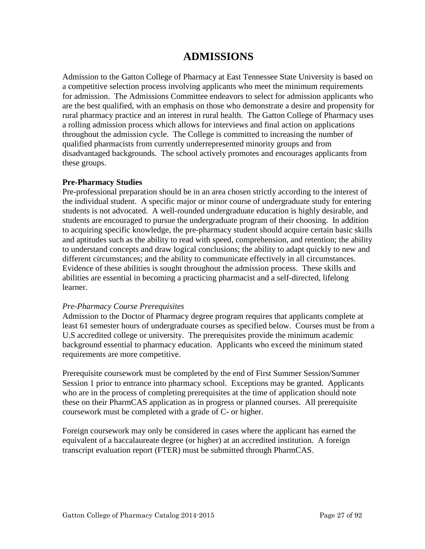# **ADMISSIONS**

<span id="page-26-0"></span>Admission to the Gatton College of Pharmacy at East Tennessee State University is based on a competitive selection process involving applicants who meet the minimum requirements for admission. The Admissions Committee endeavors to select for admission applicants who are the best qualified, with an emphasis on those who demonstrate a desire and propensity for rural pharmacy practice and an interest in rural health. The Gatton College of Pharmacy uses a rolling admission process which allows for interviews and final action on applications throughout the admission cycle. The College is committed to increasing the number of qualified pharmacists from currently underrepresented minority groups and from disadvantaged backgrounds. The school actively promotes and encourages applicants from these groups.

# **Pre-Pharmacy Studies**

Pre-professional preparation should be in an area chosen strictly according to the interest of the individual student. A specific major or minor course of undergraduate study for entering students is not advocated. A well-rounded undergraduate education is highly desirable, and students are encouraged to pursue the undergraduate program of their choosing. In addition to acquiring specific knowledge, the pre-pharmacy student should acquire certain basic skills and aptitudes such as the ability to read with speed, comprehension, and retention; the ability to understand concepts and draw logical conclusions; the ability to adapt quickly to new and different circumstances; and the ability to communicate effectively in all circumstances. Evidence of these abilities is sought throughout the admission process. These skills and abilities are essential in becoming a practicing pharmacist and a self-directed, lifelong learner.

# *Pre-Pharmacy Course Prerequisites*

Admission to the Doctor of Pharmacy degree program requires that applicants complete at least 61 semester hours of undergraduate courses as specified below. Courses must be from a U.S accredited college or university. The prerequisites provide the minimum academic background essential to pharmacy education. Applicants who exceed the minimum stated requirements are more competitive.

Prerequisite coursework must be completed by the end of First Summer Session/Summer Session 1 prior to entrance into pharmacy school. Exceptions may be granted. Applicants who are in the process of completing prerequisites at the time of application should note these on their PharmCAS application as in progress or planned courses. All prerequisite coursework must be completed with a grade of C- or higher.

Foreign coursework may only be considered in cases where the applicant has earned the equivalent of a baccalaureate degree (or higher) at an accredited institution. A foreign transcript evaluation report (FTER) must be submitted through PharmCAS.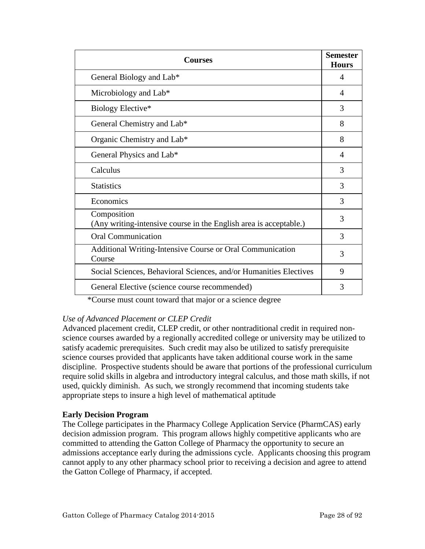<span id="page-27-0"></span>

| <b>Courses</b>                                                                   |   |
|----------------------------------------------------------------------------------|---|
| General Biology and Lab*                                                         | 4 |
| Microbiology and Lab*                                                            | 4 |
| Biology Elective*                                                                | 3 |
| General Chemistry and Lab*                                                       | 8 |
| Organic Chemistry and Lab*                                                       | 8 |
| General Physics and Lab*                                                         | 4 |
| Calculus                                                                         | 3 |
| <b>Statistics</b>                                                                | 3 |
| Economics                                                                        | 3 |
| Composition<br>(Any writing-intensive course in the English area is acceptable.) | 3 |
| <b>Oral Communication</b>                                                        | 3 |
| Additional Writing-Intensive Course or Oral Communication<br>Course              | 3 |
| Social Sciences, Behavioral Sciences, and/or Humanities Electives                | 9 |
| General Elective (science course recommended)                                    | 3 |

\*Course must count toward that major or a science degree

# *Use of Advanced Placement or CLEP Credit*

Advanced placement credit, CLEP credit, or other nontraditional credit in required nonscience courses awarded by a regionally accredited college or university may be utilized to satisfy academic prerequisites. Such credit may also be utilized to satisfy prerequisite science courses provided that applicants have taken additional course work in the same discipline. Prospective students should be aware that portions of the professional curriculum require solid skills in algebra and introductory integral calculus, and those math skills, if not used, quickly diminish. As such, we strongly recommend that incoming students take appropriate steps to insure a high level of mathematical aptitude

# **Early Decision Program**

The College participates in the Pharmacy College Application Service (PharmCAS) early decision admission program. This program allows highly competitive applicants who are committed to attending the Gatton College of Pharmacy the opportunity to secure an admissions acceptance early during the admissions cycle. Applicants choosing this program cannot apply to any other pharmacy school prior to receiving a decision and agree to attend the Gatton College of Pharmacy, if accepted.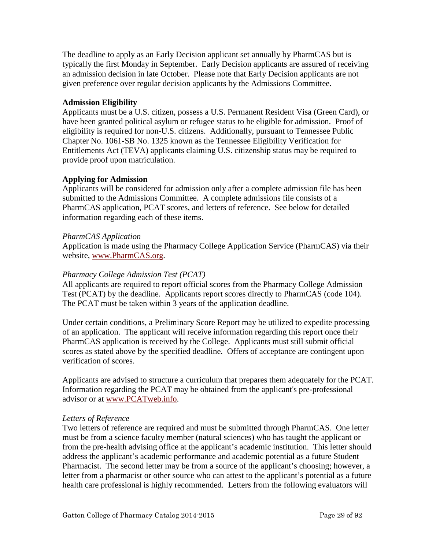<span id="page-28-0"></span>The deadline to apply as an Early Decision applicant set annually by PharmCAS but is typically the first Monday in September. Early Decision applicants are assured of receiving an admission decision in late October. Please note that Early Decision applicants are not given preference over regular decision applicants by the Admissions Committee.

# **Admission Eligibility**

Applicants must be a U.S. citizen, possess a U.S. Permanent Resident Visa (Green Card), or have been granted political asylum or refugee status to be eligible for admission. Proof of eligibility is required for non-U.S. citizens. Additionally, pursuant to Tennessee Public Chapter No. 1061-SB No. 1325 known as the Tennessee Eligibility Verification for Entitlements Act (TEVA) applicants claiming U.S. citizenship status may be required to provide proof upon matriculation.

# **Applying for Admission**

Applicants will be considered for admission only after a complete admission file has been submitted to the Admissions Committee. A complete admissions file consists of a PharmCAS application, PCAT scores, and letters of reference. See below for detailed information regarding each of these items.

#### *PharmCAS Application*

Application is made using the Pharmacy College Application Service (PharmCAS) via their website, www.PharmCAS.org.

#### *Pharmacy College Admission Test (PCAT)*

All applicants are required to report official scores from the Pharmacy College Admission Test (PCAT) by the deadline. Applicants report scores directly to PharmCAS (code 104). The PCAT must be taken within 3 years of the application deadline.

Under certain conditions, a Preliminary Score Report may be utilized to expedite processing of an application. The applicant will receive information regarding this report once their PharmCAS application is received by the College. Applicants must still submit official scores as stated above by the specified deadline. Offers of acceptance are contingent upon verification of scores.

Applicants are advised to structure a curriculum that prepares them adequately for the PCAT. Information regarding the PCAT may be obtained from the applicant's pre-professional advisor or at www.PCATweb.info.

#### *Letters of Reference*

Two letters of reference are required and must be submitted through PharmCAS. One letter must be from a science faculty member (natural sciences) who has taught the applicant or from the pre-health advising office at the applicant's academic institution. This letter should address the applicant's academic performance and academic potential as a future Student Pharmacist. The second letter may be from a source of the applicant's choosing; however, a letter from a pharmacist or other source who can attest to the applicant's potential as a future health care professional is highly recommended. Letters from the following evaluators will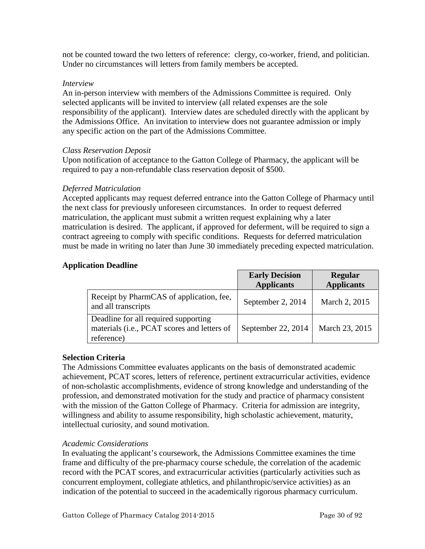<span id="page-29-0"></span>not be counted toward the two letters of reference: clergy, co-worker, friend, and politician. Under no circumstances will letters from family members be accepted.

#### *Interview*

An in-person interview with members of the Admissions Committee is required. Only selected applicants will be invited to interview (all related expenses are the sole responsibility of the applicant). Interview dates are scheduled directly with the applicant by the Admissions Office. An invitation to interview does not guarantee admission or imply any specific action on the part of the Admissions Committee.

# *Class Reservation Deposit*

Upon notification of acceptance to the Gatton College of Pharmacy, the applicant will be required to pay a non-refundable class reservation deposit of \$500.

# *Deferred Matriculation*

Accepted applicants may request deferred entrance into the Gatton College of Pharmacy until the next class for previously unforeseen circumstances. In order to request deferred matriculation, the applicant must submit a written request explaining why a later matriculation is desired. The applicant, if approved for deferment, will be required to sign a contract agreeing to comply with specific conditions. Requests for deferred matriculation must be made in writing no later than June 30 immediately preceding expected matriculation.

# **Application Deadline**

|                                                                                                   | <b>Early Decision</b><br><b>Applicants</b> | <b>Regular</b><br><b>Applicants</b> |
|---------------------------------------------------------------------------------------------------|--------------------------------------------|-------------------------------------|
| Receipt by PharmCAS of application, fee,<br>and all transcripts                                   | September 2, 2014                          | March 2, 2015                       |
| Deadline for all required supporting<br>materials (i.e., PCAT scores and letters of<br>reference) | September 22, 2014                         | March 23, 2015                      |

#### **Selection Criteria**

The Admissions Committee evaluates applicants on the basis of demonstrated academic achievement, PCAT scores, letters of reference, pertinent extracurricular activities, evidence of non-scholastic accomplishments, evidence of strong knowledge and understanding of the profession, and demonstrated motivation for the study and practice of pharmacy consistent with the mission of the Gatton College of Pharmacy. Criteria for admission are integrity, willingness and ability to assume responsibility, high scholastic achievement, maturity, intellectual curiosity, and sound motivation.

#### *Academic Considerations*

In evaluating the applicant's coursework, the Admissions Committee examines the time frame and difficulty of the pre-pharmacy course schedule, the correlation of the academic record with the PCAT scores, and extracurricular activities (particularly activities such as concurrent employment, collegiate athletics, and philanthropic/service activities) as an indication of the potential to succeed in the academically rigorous pharmacy curriculum.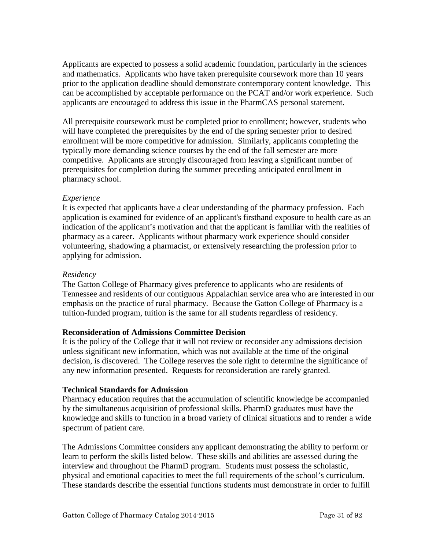<span id="page-30-0"></span>Applicants are expected to possess a solid academic foundation, particularly in the sciences and mathematics. Applicants who have taken prerequisite coursework more than 10 years prior to the application deadline should demonstrate contemporary content knowledge. This can be accomplished by acceptable performance on the PCAT and/or work experience. Such applicants are encouraged to address this issue in the PharmCAS personal statement.

All prerequisite coursework must be completed prior to enrollment; however, students who will have completed the prerequisites by the end of the spring semester prior to desired enrollment will be more competitive for admission. Similarly, applicants completing the typically more demanding science courses by the end of the fall semester are more competitive. Applicants are strongly discouraged from leaving a significant number of prerequisites for completion during the summer preceding anticipated enrollment in pharmacy school.

# *Experience*

It is expected that applicants have a clear understanding of the pharmacy profession. Each application is examined for evidence of an applicant's firsthand exposure to health care as an indication of the applicant's motivation and that the applicant is familiar with the realities of pharmacy as a career. Applicants without pharmacy work experience should consider volunteering, shadowing a pharmacist, or extensively researching the profession prior to applying for admission.

#### *Residency*

The Gatton College of Pharmacy gives preference to applicants who are residents of Tennessee and residents of our contiguous Appalachian service area who are interested in our emphasis on the practice of rural pharmacy. Because the Gatton College of Pharmacy is a tuition-funded program, tuition is the same for all students regardless of residency.

#### **Reconsideration of Admissions Committee Decision**

It is the policy of the College that it will not review or reconsider any admissions decision unless significant new information, which was not available at the time of the original decision, is discovered. The College reserves the sole right to determine the significance of any new information presented. Requests for reconsideration are rarely granted.

#### **Technical Standards for Admission**

Pharmacy education requires that the accumulation of scientific knowledge be accompanied by the simultaneous acquisition of professional skills. PharmD graduates must have the knowledge and skills to function in a broad variety of clinical situations and to render a wide spectrum of patient care.

The Admissions Committee considers any applicant demonstrating the ability to perform or learn to perform the skills listed below. These skills and abilities are assessed during the interview and throughout the PharmD program. Students must possess the scholastic, physical and emotional capacities to meet the full requirements of the school's curriculum. These standards describe the essential functions students must demonstrate in order to fulfill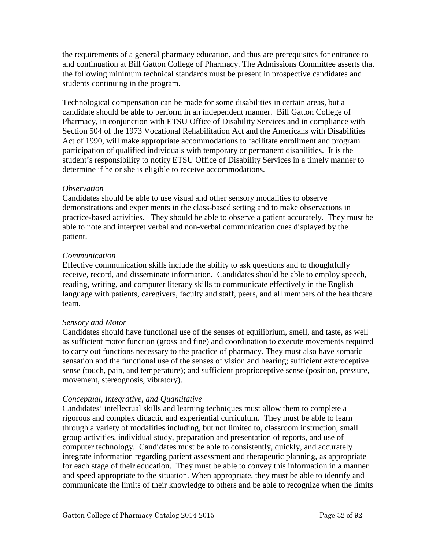the requirements of a general pharmacy education, and thus are prerequisites for entrance to and continuation at Bill Gatton College of Pharmacy. The Admissions Committee asserts that the following minimum technical standards must be present in prospective candidates and students continuing in the program.

Technological compensation can be made for some disabilities in certain areas, but a candidate should be able to perform in an independent manner. Bill Gatton College of Pharmacy, in conjunction with ETSU Office of Disability Services and in compliance with Section 504 of the 1973 Vocational Rehabilitation Act and the Americans with Disabilities Act of 1990, will make appropriate accommodations to facilitate enrollment and program participation of qualified individuals with temporary or permanent disabilities. It is the student's responsibility to notify ETSU Office of Disability Services in a timely manner to determine if he or she is eligible to receive accommodations.

# *Observation*

Candidates should be able to use visual and other sensory modalities to observe demonstrations and experiments in the class-based setting and to make observations in practice-based activities. They should be able to observe a patient accurately. They must be able to note and interpret verbal and non-verbal communication cues displayed by the patient.

# *Communication*

Effective communication skills include the ability to ask questions and to thoughtfully receive, record, and disseminate information. Candidates should be able to employ speech, reading, writing, and computer literacy skills to communicate effectively in the English language with patients, caregivers, faculty and staff, peers, and all members of the healthcare team.

# *Sensory and Motor*

Candidates should have functional use of the senses of equilibrium, smell, and taste, as well as sufficient motor function (gross and fine) and coordination to execute movements required to carry out functions necessary to the practice of pharmacy. They must also have somatic sensation and the functional use of the senses of vision and hearing; sufficient exteroceptive sense (touch, pain, and temperature); and sufficient proprioceptive sense (position, pressure, movement, stereognosis, vibratory).

# *Conceptual, Integrative, and Quantitative*

Candidates' intellectual skills and learning techniques must allow them to complete a rigorous and complex didactic and experiential curriculum. They must be able to learn through a variety of modalities including, but not limited to, classroom instruction, small group activities, individual study, preparation and presentation of reports, and use of computer technology. Candidates must be able to consistently, quickly, and accurately integrate information regarding patient assessment and therapeutic planning, as appropriate for each stage of their education. They must be able to convey this information in a manner and speed appropriate to the situation. When appropriate, they must be able to identify and communicate the limits of their knowledge to others and be able to recognize when the limits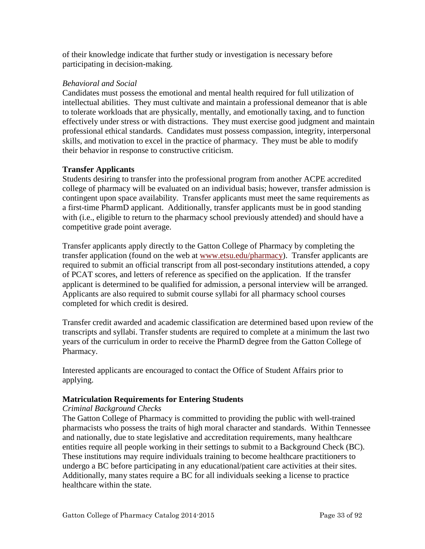<span id="page-32-0"></span>of their knowledge indicate that further study or investigation is necessary before participating in decision-making.

# *Behavioral and Social*

Candidates must possess the emotional and mental health required for full utilization of intellectual abilities. They must cultivate and maintain a professional demeanor that is able to tolerate workloads that are physically, mentally, and emotionally taxing, and to function effectively under stress or with distractions. They must exercise good judgment and maintain professional ethical standards. Candidates must possess compassion, integrity, interpersonal skills, and motivation to excel in the practice of pharmacy. They must be able to modify their behavior in response to constructive criticism.

# **Transfer Applicants**

Students desiring to transfer into the professional program from another ACPE accredited college of pharmacy will be evaluated on an individual basis; however, transfer admission is contingent upon space availability. Transfer applicants must meet the same requirements as a first-time PharmD applicant. Additionally, transfer applicants must be in good standing with (i.e., eligible to return to the pharmacy school previously attended) and should have a competitive grade point average.

Transfer applicants apply directly to the Gatton College of Pharmacy by completing the transfer application (found on the web at [www.etsu.edu/pharmacy\)](http://www.etsu.edu/pharmacy). Transfer applicants are required to submit an official transcript from all post-secondary institutions attended, a copy of PCAT scores, and letters of reference as specified on the application. If the transfer applicant is determined to be qualified for admission, a personal interview will be arranged. Applicants are also required to submit course syllabi for all pharmacy school courses completed for which credit is desired.

Transfer credit awarded and academic classification are determined based upon review of the transcripts and syllabi. Transfer students are required to complete at a minimum the last two years of the curriculum in order to receive the PharmD degree from the Gatton College of Pharmacy.

Interested applicants are encouraged to contact the Office of Student Affairs prior to applying.

# **Matriculation Requirements for Entering Students**

#### *Criminal Background Checks*

The Gatton College of Pharmacy is committed to providing the public with well-trained pharmacists who possess the traits of high moral character and standards. Within Tennessee and nationally, due to state legislative and accreditation requirements, many healthcare entities require all people working in their settings to submit to a Background Check (BC). These institutions may require individuals training to become healthcare practitioners to undergo a BC before participating in any educational/patient care activities at their sites. Additionally, many states require a BC for all individuals seeking a license to practice healthcare within the state.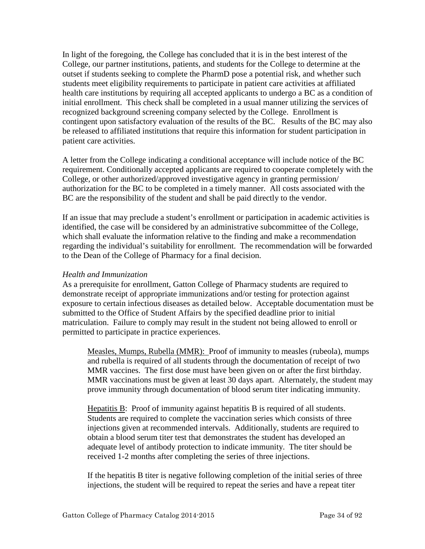<span id="page-33-0"></span>In light of the foregoing, the College has concluded that it is in the best interest of the College, our partner institutions, patients, and students for the College to determine at the outset if students seeking to complete the PharmD pose a potential risk, and whether such students meet eligibility requirements to participate in patient care activities at affiliated health care institutions by requiring all accepted applicants to undergo a BC as a condition of initial enrollment. This check shall be completed in a usual manner utilizing the services of recognized background screening company selected by the College. Enrollment is contingent upon satisfactory evaluation of the results of the BC. Results of the BC may also be released to affiliated institutions that require this information for student participation in patient care activities.

A letter from the College indicating a conditional acceptance will include notice of the BC requirement. Conditionally accepted applicants are required to cooperate completely with the College, or other authorized/approved investigative agency in granting permission/ authorization for the BC to be completed in a timely manner. All costs associated with the BC are the responsibility of the student and shall be paid directly to the vendor.

If an issue that may preclude a student's enrollment or participation in academic activities is identified, the case will be considered by an administrative subcommittee of the College, which shall evaluate the information relative to the finding and make a recommendation regarding the individual's suitability for enrollment. The recommendation will be forwarded to the Dean of the College of Pharmacy for a final decision.

#### *Health and Immunization*

As a prerequisite for enrollment, Gatton College of Pharmacy students are required to demonstrate receipt of appropriate immunizations and/or testing for protection against exposure to certain infectious diseases as detailed below. Acceptable documentation must be submitted to the Office of Student Affairs by the specified deadline prior to initial matriculation. Failure to comply may result in the student not being allowed to enroll or permitted to participate in practice experiences.

Measles, Mumps, Rubella (MMR): Proof of immunity to measles (rubeola), mumps and rubella is required of all students through the documentation of receipt of two MMR vaccines. The first dose must have been given on or after the first birthday. MMR vaccinations must be given at least 30 days apart. Alternately, the student may prove immunity through documentation of blood serum titer indicating immunity.

Hepatitis B: Proof of immunity against hepatitis B is required of all students. Students are required to complete the vaccination series which consists of three injections given at recommended intervals. Additionally, students are required to obtain a blood serum titer test that demonstrates the student has developed an adequate level of antibody protection to indicate immunity. The titer should be received 1-2 months after completing the series of three injections.

If the hepatitis B titer is negative following completion of the initial series of three injections, the student will be required to repeat the series and have a repeat titer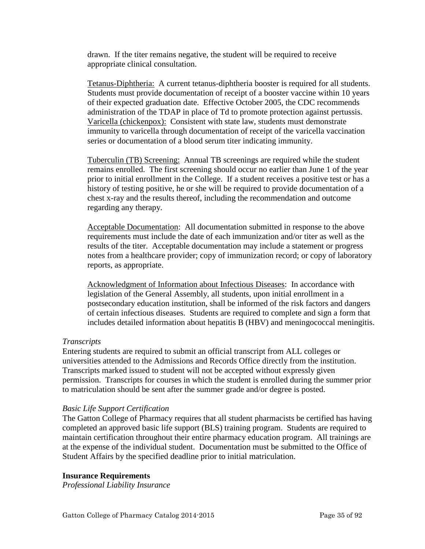<span id="page-34-0"></span>drawn. If the titer remains negative, the student will be required to receive appropriate clinical consultation.

Tetanus-Diphtheria: A current tetanus-diphtheria booster is required for all students. Students must provide documentation of receipt of a booster vaccine within 10 years of their expected graduation date. Effective October 2005, the CDC recommends administration of the TDAP in place of Td to promote protection against pertussis. Varicella (chickenpox): Consistent with state law, students must demonstrate immunity to varicella through documentation of receipt of the varicella vaccination series or documentation of a blood serum titer indicating immunity.

Tuberculin (TB) Screening: Annual TB screenings are required while the student remains enrolled. The first screening should occur no earlier than June 1 of the year prior to initial enrollment in the College. If a student receives a positive test or has a history of testing positive, he or she will be required to provide documentation of a chest x-ray and the results thereof, including the recommendation and outcome regarding any therapy.

Acceptable Documentation: All documentation submitted in response to the above requirements must include the date of each immunization and/or titer as well as the results of the titer. Acceptable documentation may include a statement or progress notes from a healthcare provider; copy of immunization record; or copy of laboratory reports, as appropriate.

Acknowledgment of Information about Infectious Diseases: In accordance with legislation of the General Assembly, all students, upon initial enrollment in a postsecondary education institution, shall be informed of the risk factors and dangers of certain infectious diseases. Students are required to complete and sign a form that includes detailed information about hepatitis B (HBV) and meningococcal meningitis.

# *Transcripts*

Entering students are required to submit an official transcript from ALL colleges or universities attended to the Admissions and Records Office directly from the institution. Transcripts marked issued to student will not be accepted without expressly given permission. Transcripts for courses in which the student is enrolled during the summer prior to matriculation should be sent after the summer grade and/or degree is posted.

#### *Basic Life Support Certification*

The Gatton College of Pharmacy requires that all student pharmacists be certified has having completed an approved basic life support (BLS) training program. Students are required to maintain certification throughout their entire pharmacy education program. All trainings are at the expense of the individual student. Documentation must be submitted to the Office of Student Affairs by the specified deadline prior to initial matriculation.

#### **Insurance Requirements**

*Professional Liability Insurance*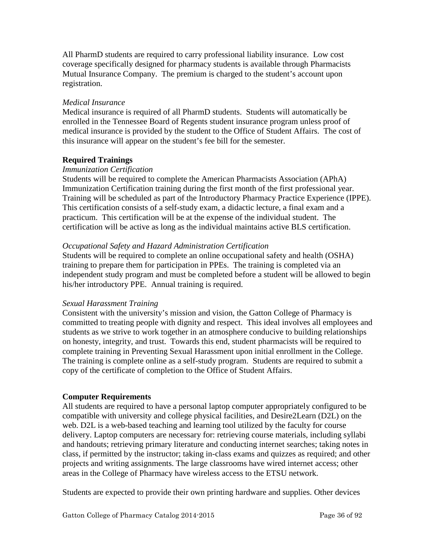<span id="page-35-0"></span>All PharmD students are required to carry professional liability insurance. Low cost coverage specifically designed for pharmacy students is available through Pharmacists Mutual Insurance Company. The premium is charged to the student's account upon registration.

# *Medical Insurance*

Medical insurance is required of all PharmD students. Students will automatically be enrolled in the Tennessee Board of Regents student insurance program unless proof of medical insurance is provided by the student to the Office of Student Affairs. The cost of this insurance will appear on the student's fee bill for the semester.

# **Required Trainings**

# *Immunization Certification*

Students will be required to complete the American Pharmacists Association (APhA) Immunization Certification training during the first month of the first professional year. Training will be scheduled as part of the Introductory Pharmacy Practice Experience (IPPE). This certification consists of a self-study exam, a didactic lecture, a final exam and a practicum. This certification will be at the expense of the individual student. The certification will be active as long as the individual maintains active BLS certification.

# *Occupational Safety and Hazard Administration Certification*

Students will be required to complete an online occupational safety and health (OSHA) training to prepare them for participation in PPEs. The training is completed via an independent study program and must be completed before a student will be allowed to begin his/her introductory PPE. Annual training is required.

#### *Sexual Harassment Training*

Consistent with the university's mission and vision, the Gatton College of Pharmacy is committed to treating people with dignity and respect. This ideal involves all employees and students as we strive to work together in an atmosphere conducive to building relationships on honesty, integrity, and trust. Towards this end, student pharmacists will be required to complete training in Preventing Sexual Harassment upon initial enrollment in the College. The training is complete online as a self-study program. Students are required to submit a copy of the certificate of completion to the Office of Student Affairs.

# **Computer Requirements**

All students are required to have a personal laptop computer appropriately configured to be compatible with university and college physical facilities, and Desire2Learn (D2L) on the web. D2L is a web-based teaching and learning tool utilized by the faculty for course delivery. Laptop computers are necessary for: retrieving course materials, including syllabi and handouts; retrieving primary literature and conducting internet searches; taking notes in class, if permitted by the instructor; taking in-class exams and quizzes as required; and other projects and writing assignments. The large classrooms have wired internet access; other areas in the College of Pharmacy have wireless access to the ETSU network.

Students are expected to provide their own printing hardware and supplies. Other devices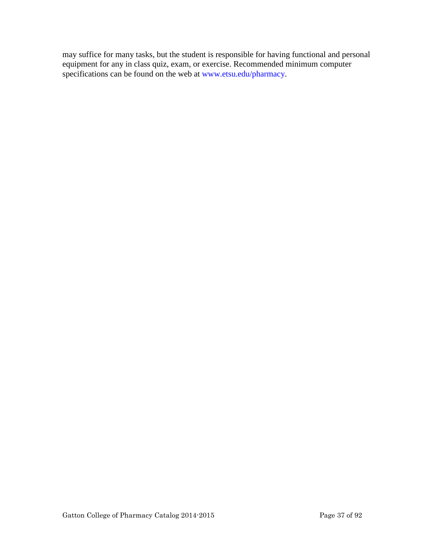may suffice for many tasks, but the student is responsible for having functional and personal equipment for any in class quiz, exam, or exercise. Recommended minimum computer specifications can be found on the web at www.etsu.edu/pharmacy.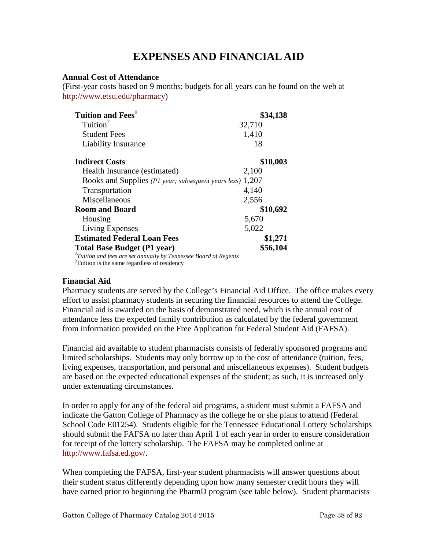# **EXPENSES AND FINANCIAL AID**

#### **Annual Cost of Attendance**

(First-year costs based on 9 months; budgets for all years can be found on the web at [http://www.etsu.edu/pharmacy\)](http://www.etsupharmacy.com/)

| <b>Tuition and Fees</b> <sup>1</sup>                                         | \$34,138 |
|------------------------------------------------------------------------------|----------|
| Tuition <sup>2</sup>                                                         | 32,710   |
| <b>Student Fees</b>                                                          | 1,410    |
| Liability Insurance                                                          | 18       |
| <b>Indirect Costs</b>                                                        | \$10,003 |
| Health Insurance (estimated)                                                 | 2,100    |
| Books and Supplies (P1 year; subsequent years less)                          | 1,207    |
| Transportation                                                               | 4,140    |
| Miscellaneous                                                                | 2,556    |
| <b>Room and Board</b>                                                        | \$10,692 |
| Housing                                                                      | 5,670    |
| Living Expenses                                                              | 5,022    |
| <b>Estimated Federal Loan Fees</b>                                           | \$1,271  |
| <b>Total Base Budget (P1 year)</b>                                           | \$56,104 |
| <sup>1</sup> Tuition and fees are set annually by Tennessee Board of Regents |          |
| <sup>2</sup> Tuition is the same regardless of residency                     |          |

#### **Financial Aid**

Pharmacy students are served by the College's Financial Aid Office. The office makes every effort to assist pharmacy students in securing the financial resources to attend the College. Financial aid is awarded on the basis of demonstrated need, which is the annual cost of attendance less the expected family contribution as calculated by the federal government from information provided on the Free Application for Federal Student Aid (FAFSA).

Financial aid available to student pharmacists consists of federally sponsored programs and limited scholarships. Students may only borrow up to the cost of attendance (tuition, fees, living expenses, transportation, and personal and miscellaneous expenses). Student budgets are based on the expected educational expenses of the student; as such, it is increased only under extenuating circumstances.

In order to apply for any of the federal aid programs, a student must submit a FAFSA and indicate the Gatton College of Pharmacy as the college he or she plans to attend (Federal School Code E01254). Students eligible for the Tennessee Educational Lottery Scholarships should submit the FAFSA no later than April 1 of each year in order to ensure consideration for receipt of the lottery scholarship. The FAFSA may be completed online at [http://www.fafsa.ed.gov/.](http://www.fafsa.ed.gov/)

When completing the FAFSA, first-year student pharmacists will answer questions about their student status differently depending upon how many semester credit hours they will have earned prior to beginning the PharmD program (see table below). Student pharmacists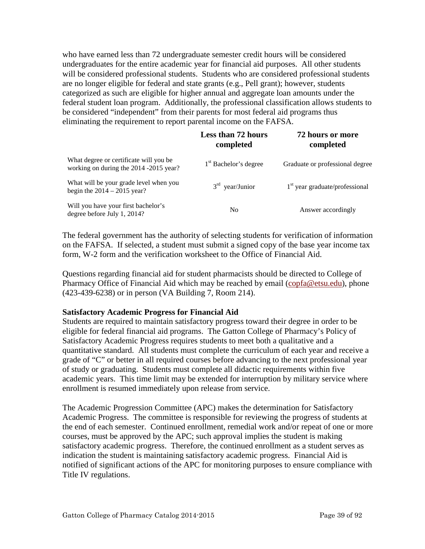who have earned less than 72 undergraduate semester credit hours will be considered undergraduates for the entire academic year for financial aid purposes. All other students will be considered professional students. Students who are considered professional students are no longer eligible for federal and state grants (e.g., Pell grant); however, students categorized as such are eligible for higher annual and aggregate loan amounts under the federal student loan program. Additionally, the professional classification allows students to be considered "independent" from their parents for most federal aid programs thus eliminating the requirement to report parental income on the FAFSA.

|                                                                                  | <b>Less than 72 hours</b><br>completed | 72 hours or more<br>completed    |  |
|----------------------------------------------------------------------------------|----------------------------------------|----------------------------------|--|
| What degree or certificate will you be<br>working on during the 2014 -2015 year? | 1 <sup>st</sup> Bachelor's degree      | Graduate or professional degree  |  |
| What will be your grade level when you<br>begin the $2014 - 2015$ year?          | $3rd$ year/Junior                      | $1st$ year graduate/professional |  |
| Will you have your first bachelor's<br>degree before July 1, 2014?               | No                                     | Answer accordingly               |  |

The federal government has the authority of selecting students for verification of information on the FAFSA. If selected, a student must submit a signed copy of the base year income tax form, W-2 form and the verification worksheet to the Office of Financial Aid.

Questions regarding financial aid for student pharmacists should be directed to College of Pharmacy Office of Financial Aid which may be reached by email (copfa@etsu.edu), phone (423-439-6238) or in person (VA Building 7, Room 214).

#### **Satisfactory Academic Progress for Financial Aid**

Students are required to maintain satisfactory progress toward their degree in order to be eligible for federal financial aid programs. The Gatton College of Pharmacy's Policy of Satisfactory Academic Progress requires students to meet both a qualitative and a quantitative standard. All students must complete the curriculum of each year and receive a grade of "C" or better in all required courses before advancing to the next professional year of study or graduating. Students must complete all didactic requirements within five academic years. This time limit may be extended for interruption by military service where enrollment is resumed immediately upon release from service.

The Academic Progression Committee (APC) makes the determination for Satisfactory Academic Progress. The committee is responsible for reviewing the progress of students at the end of each semester. Continued enrollment, remedial work and/or repeat of one or more courses, must be approved by the APC; such approval implies the student is making satisfactory academic progress. Therefore, the continued enrollment as a student serves as indication the student is maintaining satisfactory academic progress. Financial Aid is notified of significant actions of the APC for monitoring purposes to ensure compliance with Title IV regulations.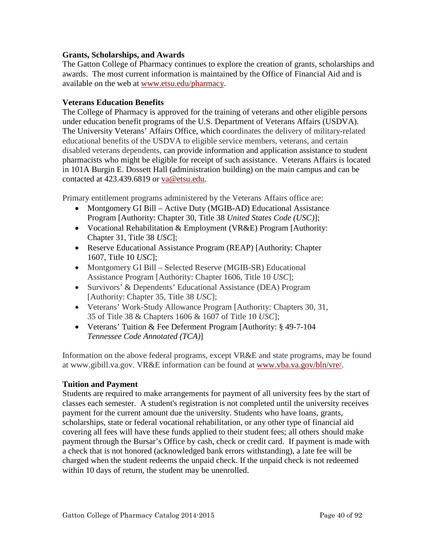#### **Grants, Scholarships, and Awards**

The Gatton College of Pharmacy continues to explore the creation of grants, scholarships and awards. The most current information is maintained by the Office of Financial Aid and is available on the web at [www.etsu.edu/pharmacy.](http://www.etsupharmacy.com/)

#### **Veterans Education Benefits**

The College of Pharmacy is approved for the training of veterans and other eligible persons under education benefit programs of the U.S. Department of Veterans Affairs (USDVA). The University Veterans' Affairs Office, which coordinates the delivery of military-related educational benefits of the USDVA to eligible service members, veterans, and certain disabled veterans dependents, can provide information and application assistance to student pharmacists who might be eligible for receipt of such assistance. Veterans Affairs is located in 101A Burgin E. Dossett Hall (administration building) on the main campus and can be contacted at 423.439.6819 or va@etsu.edu.

Primary entitlement programs administered by the Veterans Affairs office are:

- Montgomery GI Bill Active Duty (MGIB-AD) Educational Assistance Program [Authority: Chapter 30, Title 38 *United States Code (USC)*];
- Vocational Rehabilitation & Employment (VR&E) Program [Authority: Chapter 31, Title 38 *USC*];
- Reserve Educational Assistance Program (REAP) [Authority: Chapter 1607, Title 10 *USC*];
- Montgomery GI Bill Selected Reserve (MGIB-SR) Educational Assistance Program [Authority: Chapter 1606, Title 10 *USC*];
- Survivors' & Dependents' Educational Assistance (DEA) Program [Authority: Chapter 35, Title 38 *USC*];
- Veterans' Work-Study Allowance Program [Authority: Chapters 30, 31, 35 of Title 38 & Chapters 1606 & 1607 of Title 10 *USC*];
- Veterans' Tuition & Fee Deferment Program [Authority: § 49-7-104] *Tennessee Code Annotated (TCA)*]

Information on the above federal programs, except VR&E and state programs, may be found at www.gibill.va.gov. VR&E information can be found at [www.vba.va.gov/bln/vre/.](http://www.vba.va.gov/bln/vre/)

#### **Tuition and Payment**

Students are required to make arrangements for payment of all university fees by the start of classes each semester. A student's registration is not completed until the university receives payment for the current amount due the university. Students who have loans, grants, scholarships, state or federal vocational rehabilitation, or any other type of financial aid covering all fees will have these funds applied to their student fees; all others should make payment through the Bursar's Office by cash, check or credit card. If payment is made with a check that is not honored (acknowledged bank errors withstanding), a late fee will be charged when the student redeems the unpaid check. If the unpaid check is not redeemed within 10 days of return, the student may be unenrolled.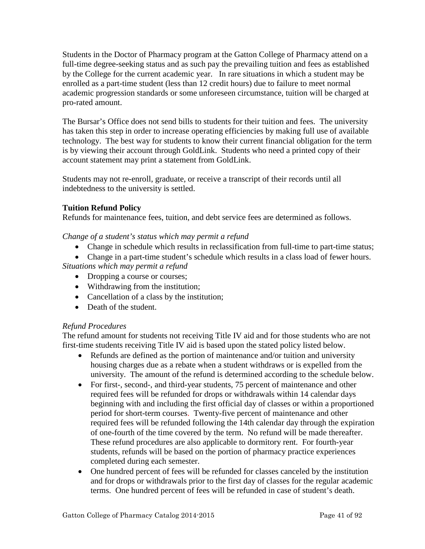Students in the Doctor of Pharmacy program at the Gatton College of Pharmacy attend on a full-time degree-seeking status and as such pay the prevailing tuition and fees as established by the College for the current academic year. In rare situations in which a student may be enrolled as a part-time student (less than 12 credit hours) due to failure to meet normal academic progression standards or some unforeseen circumstance, tuition will be charged at pro-rated amount.

The Bursar's Office does not send bills to students for their [tuition and fees.](http://www.etsu.edu/comptrol/bursar_tuition_and_fees.htm) The university has taken this step in order to increase operating efficiencies by making full use of available technology. The best way for students to know their current financial obligation for the term is by viewing their account through [GoldLink.](https://goldlink.etsu.edu/ahomepg.htm) Students who need a printed copy of their account statement may print a statement from [GoldLink.](https://goldlink.etsu.edu/ahomepg.htm)

Students may not re-enroll, graduate, or receive a transcript of their records until all indebtedness to the university is settled.

### **Tuition Refund Policy**

Refunds for maintenance fees, tuition, and debt service fees are determined as follows.

*Change of a student's status which may permit a refund* 

- Change in schedule which results in reclassification from full-time to part-time status;
- Change in a part-time student's schedule which results in a class load of fewer hours. *Situations which may permit a refund* 
	- Dropping a course or courses;
	- Withdrawing from the institution;
	- Cancellation of a class by the institution;
	- Death of the student.

### *Refund Procedures*

The refund amount for students not receiving Title IV aid and for those students who are not first-time students receiving Title IV aid is based upon the stated policy listed below.

- Refunds are defined as the portion of maintenance and/or tuition and university housing charges due as a rebate when a student withdraws or is expelled from the university. The amount of the refund is determined according to the schedule below.
- For first-, second-, and third-year students, 75 percent of maintenance and other required fees will be refunded for drops or withdrawals within 14 calendar days beginning with and including the first official day of classes or within a proportioned period for short-term courses. Twenty-five percent of maintenance and other required fees will be refunded following the 14th calendar day through the expiration of one-fourth of the time covered by the term. No refund will be made thereafter. These refund procedures are also applicable to dormitory rent. For fourth-year students, refunds will be based on the portion of pharmacy practice experiences completed during each semester.
- One hundred percent of fees will be refunded for classes canceled by the institution and for drops or withdrawals prior to the first day of classes for the regular academic terms. One hundred percent of fees will be refunded in case of student's death.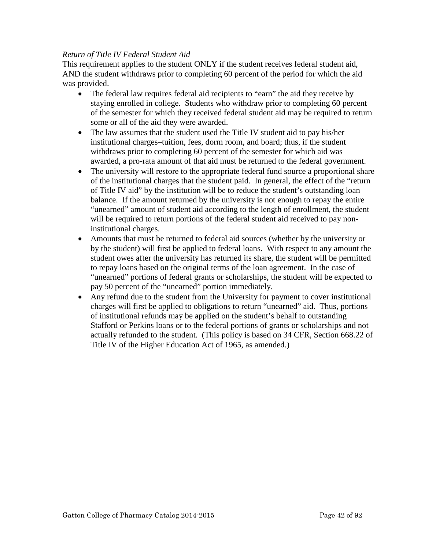### *Return of Title IV Federal Student Aid*

This requirement applies to the student ONLY if the student receives federal student aid, AND the student withdraws prior to completing 60 percent of the period for which the aid was provided.

- The federal law requires federal aid recipients to "earn" the aid they receive by staying enrolled in college. Students who withdraw prior to completing 60 percent of the semester for which they received federal student aid may be required to return some or all of the aid they were awarded.
- The law assumes that the student used the Title IV student aid to pay his/her institutional charges–tuition, fees, dorm room, and board; thus, if the student withdraws prior to completing 60 percent of the semester for which aid was awarded, a pro-rata amount of that aid must be returned to the federal government.
- The university will restore to the appropriate federal fund source a proportional share of the institutional charges that the student paid. In general, the effect of the "return of Title IV aid" by the institution will be to reduce the student's outstanding loan balance. If the amount returned by the university is not enough to repay the entire "unearned" amount of student aid according to the length of enrollment, the student will be required to return portions of the federal student aid received to pay noninstitutional charges.
- Amounts that must be returned to federal aid sources (whether by the university or by the student) will first be applied to federal loans. With respect to any amount the student owes after the university has returned its share, the student will be permitted to repay loans based on the original terms of the loan agreement. In the case of "unearned" portions of federal grants or scholarships, the student will be expected to pay 50 percent of the "unearned" portion immediately.
- Any refund due to the student from the University for payment to cover institutional charges will first be applied to obligations to return "unearned" aid. Thus, portions of institutional refunds may be applied on the student's behalf to outstanding Stafford or Perkins loans or to the federal portions of grants or scholarships and not actually refunded to the student. (This policy is based on 34 CFR, Section 668.22 of Title IV of the Higher Education Act of 1965, as amended.)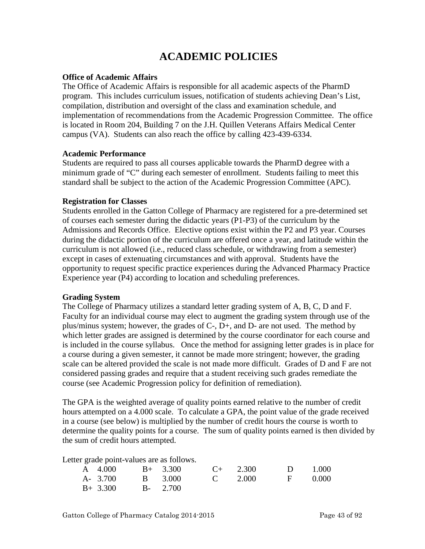# **ACADEMIC POLICIES**

#### **Office of Academic Affairs**

The Office of Academic Affairs is responsible for all academic aspects of the PharmD program. This includes curriculum issues, notification of students achieving Dean's List, compilation, distribution and oversight of the class and examination schedule, and implementation of recommendations from the Academic Progression Committee. The office is located in Room 204, Building 7 on the J.H. Quillen Veterans Affairs Medical Center campus (VA). Students can also reach the office by calling 423-439-6334.

#### **Academic Performance**

Students are required to pass all courses applicable towards the PharmD degree with a minimum grade of "C" during each semester of enrollment. Students failing to meet this standard shall be subject to the action of the Academic Progression Committee (APC).

#### **Registration for Classes**

Students enrolled in the Gatton College of Pharmacy are registered for a pre-determined set of courses each semester during the didactic years (P1-P3) of the curriculum by the Admissions and Records Office. Elective options exist within the P2 and P3 year. Courses during the didactic portion of the curriculum are offered once a year, and latitude within the curriculum is not allowed (i.e., reduced class schedule, or withdrawing from a semester) except in cases of extenuating circumstances and with approval. Students have the opportunity to request specific practice experiences during the Advanced Pharmacy Practice Experience year (P4) according to location and scheduling preferences.

#### **Grading System**

The College of Pharmacy utilizes a standard letter grading system of A, B, C, D and F. Faculty for an individual course may elect to augment the grading system through use of the plus/minus system; however, the grades of C-, D+, and D- are not used. The method by which letter grades are assigned is determined by the course coordinator for each course and is included in the course syllabus. Once the method for assigning letter grades is in place for a course during a given semester, it cannot be made more stringent; however, the grading scale can be altered provided the scale is not made more difficult. Grades of D and F are not considered passing grades and require that a student receiving such grades remediate the course (see Academic Progression policy for definition of remediation).

The GPA is the weighted average of quality points earned relative to the number of credit hours attempted on a 4.000 scale. To calculate a GPA, the point value of the grade received in a course (see below) is multiplied by the number of credit hours the course is worth to determine the quality points for a course. The sum of quality points earned is then divided by the sum of credit hours attempted.

Letter grade point-values are as follows.

| A $4.000$ B+ $3.300$  |                          | $C+$ 2.300 | $D = 1.000$ |  |
|-----------------------|--------------------------|------------|-------------|--|
|                       | A- 3.700 B 3.000 C 2.000 |            | F 0.000     |  |
| $B+ 3.300$ $B- 2.700$ |                          |            |             |  |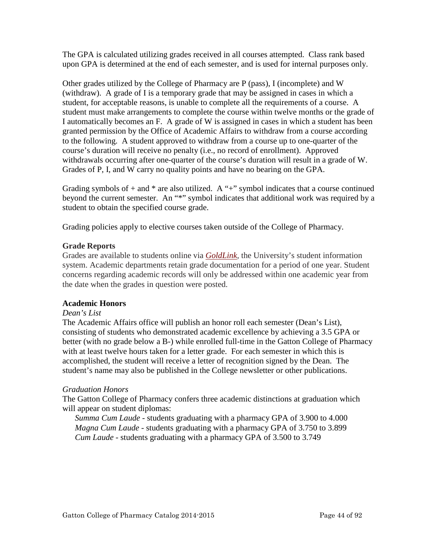The GPA is calculated utilizing grades received in all courses attempted. Class rank based upon GPA is determined at the end of each semester, and is used for internal purposes only.

Other grades utilized by the College of Pharmacy are P (pass), I (incomplete) and W (withdraw). A grade of I is a temporary grade that may be assigned in cases in which a student, for acceptable reasons, is unable to complete all the requirements of a course. A student must make arrangements to complete the course within twelve months or the grade of I automatically becomes an F. A grade of W is assigned in cases in which a student has been granted permission by the Office of Academic Affairs to withdraw from a course according to the following. A student approved to withdraw from a course up to one-quarter of the course's duration will receive no penalty (i.e., no record of enrollment). Approved withdrawals occurring after one-quarter of the course's duration will result in a grade of W. Grades of P, I, and W carry no quality points and have no bearing on the GPA.

Grading symbols of  $+$  and  $*$  are also utilized. A " $+$ " symbol indicates that a course continued beyond the current semester. An "\*" symbol indicates that additional work was required by a student to obtain the specified course grade.

Grading policies apply to elective courses taken outside of the College of Pharmacy.

### **Grade Reports**

Grades are available to students online via *[GoldLink,](http://goldlink.etsu.edu/)* the University's student information system. Academic departments retain grade documentation for a period of one year. Student concerns regarding academic records will only be addressed within one academic year from the date when the grades in question were posted.

### **Academic Honors**

#### *Dean's List*

The Academic Affairs office will publish an honor roll each semester (Dean's List), consisting of students who demonstrated academic excellence by achieving a 3.5 GPA or better (with no grade below a B-) while enrolled full-time in the Gatton College of Pharmacy with at least twelve hours taken for a letter grade. For each semester in which this is accomplished, the student will receive a letter of recognition signed by the Dean. The student's name may also be published in the College newsletter or other publications.

### *Graduation Honors*

The Gatton College of Pharmacy confers three academic distinctions at graduation which will appear on student diplomas:

*Summa Cum Laude* - students graduating with a pharmacy GPA of 3.900 to 4.000 *Magna Cum Laude* - students graduating with a pharmacy GPA of 3.750 to 3.899 *Cum Laude* - students graduating with a pharmacy GPA of 3.500 to 3.749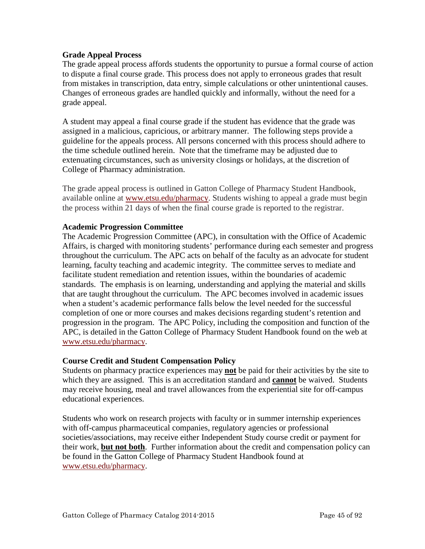#### **Grade Appeal Process**

The grade appeal process affords students the opportunity to pursue a formal course of action to dispute a final course grade. This process does not apply to erroneous grades that result from mistakes in transcription, data entry, simple calculations or other unintentional causes. Changes of erroneous grades are handled quickly and informally, without the need for a grade appeal.

A student may appeal a final course grade if the student has evidence that the grade was assigned in a malicious, capricious, or arbitrary manner. The following steps provide a guideline for the appeals process. All persons concerned with this process should adhere to the time schedule outlined herein. Note that the timeframe may be adjusted due to extenuating circumstances, such as university closings or holidays, at the discretion of College of Pharmacy administration.

The grade appeal process is outlined in Gatton College of Pharmacy Student Handbook, available online at [www.etsu.edu/pharmacy.](http://www.etsu.edu/pharmacy) Students wishing to appeal a grade must begin the process within 21 days of when the final course grade is reported to the registrar.

#### **Academic Progression Committee**

The Academic Progression Committee (APC), in consultation with the Office of Academic Affairs, is charged with monitoring students' performance during each semester and progress throughout the curriculum. The APC acts on behalf of the faculty as an advocate for student learning, faculty teaching and academic integrity. The committee serves to mediate and facilitate student remediation and retention issues, within the boundaries of academic standards. The emphasis is on learning, understanding and applying the material and skills that are taught throughout the curriculum. The APC becomes involved in academic issues when a student's academic performance falls below the level needed for the successful completion of one or more courses and makes decisions regarding student's retention and progression in the program. The APC Policy, including the composition and function of the APC, is detailed in the Gatton College of Pharmacy Student Handbook found on the web at [www.etsu.edu/pharmacy.](http://www.etsu.edu/pharmacy)

#### **Course Credit and Student Compensation Policy**

Students on pharmacy practice experiences may **not** be paid for their activities by the site to which they are assigned. This is an accreditation standard and **cannot** be waived. Students may receive housing, meal and travel allowances from the experiential site for off-campus educational experiences.

Students who work on research projects with faculty or in summer internship experiences with off-campus pharmaceutical companies, regulatory agencies or professional societies/associations, may receive either Independent Study course credit or payment for their work, **but not both**. Further information about the credit and compensation policy can be found in the Gatton College of Pharmacy Student Handbook found at [www.etsu.edu/pharmacy.](http://www.etsu.edu/pharmacy)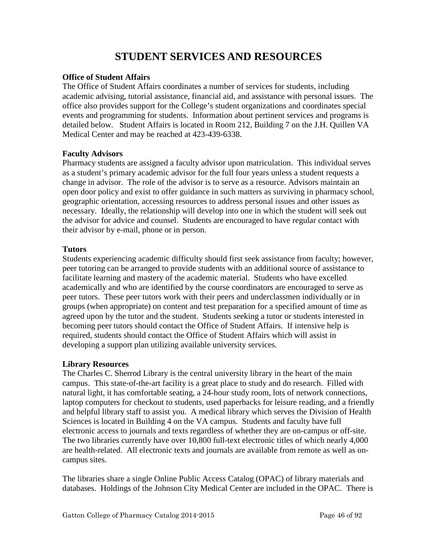# **STUDENT SERVICES AND RESOURCES**

#### **Office of Student Affairs**

The Office of Student Affairs coordinates a number of services for students, including academic advising, tutorial assistance, financial aid, and assistance with personal issues. The office also provides support for the College's student organizations and coordinates special events and programming for students. Information about pertinent services and programs is detailed below. Student Affairs is located in Room 212, Building 7 on the J.H. Quillen VA Medical Center and may be reached at 423-439-6338.

### **Faculty Advisors**

Pharmacy students are assigned a faculty advisor upon matriculation. This individual serves as a student's primary academic advisor for the full four years unless a student requests a change in advisor. The role of the advisor is to serve as a resource. Advisors maintain an open door policy and exist to offer guidance in such matters as surviving in pharmacy school, geographic orientation, accessing resources to address personal issues and other issues as necessary. Ideally, the relationship will develop into one in which the student will seek out the advisor for advice and counsel. Students are encouraged to have regular contact with their advisor by e-mail, phone or in person.

### **Tutors**

Students experiencing academic difficulty should first seek assistance from faculty; however, peer tutoring can be arranged to provide students with an additional source of assistance to facilitate learning and mastery of the academic material. Students who have excelled academically and who are identified by the course coordinators are encouraged to serve as peer tutors. These peer tutors work with their peers and underclassmen individually or in groups (when appropriate) on content and test preparation for a specified amount of time as agreed upon by the tutor and the student. Students seeking a tutor or students interested in becoming peer tutors should contact the Office of Student Affairs. If intensive help is required, students should contact the Office of Student Affairs which will assist in developing a support plan utilizing available university services.

### **Library Resources**

The Charles C. Sherrod Library is the central university library in the heart of the main campus. This state-of-the-art facility is a great place to study and do research. Filled with natural light, it has comfortable seating, a 24-hour study room, lots of network connections, laptop computers for checkout to students, used paperbacks for leisure reading, and a friendly and helpful library staff to assist you. A medical library which serves the Division of Health Sciences is located in Building 4 on the VA campus. Students and faculty have full electronic access to journals and texts regardless of whether they are on-campus or off-site. The two libraries currently have over 10,800 full-text electronic titles of which nearly 4,000 are health-related. All electronic texts and journals are available from remote as well as oncampus sites.

The libraries share a single Online Public Access Catalog (OPAC) of library materials and databases. Holdings of the Johnson City Medical Center are included in the OPAC. There is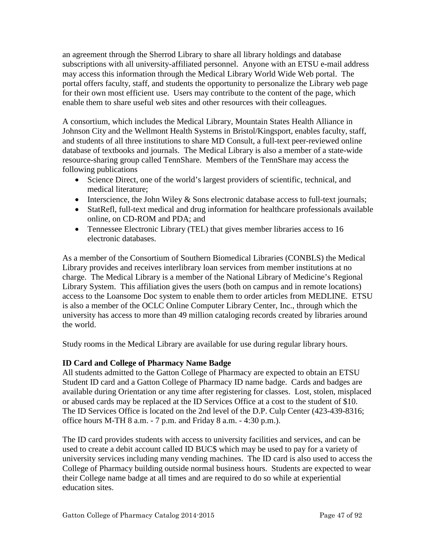an agreement through the Sherrod Library to share all library holdings and database subscriptions with all university-affiliated personnel. Anyone with an ETSU e-mail address may access this information through the Medical Library World Wide Web portal. The portal offers faculty, staff, and students the opportunity to personalize the Library web page for their own most efficient use. Users may contribute to the content of the page, which enable them to share useful web sites and other resources with their colleagues.

A consortium, which includes the Medical Library, Mountain States Health Alliance in Johnson City and the Wellmont Health Systems in Bristol/Kingsport, enables faculty, staff, and students of all three institutions to share MD Consult, a full-text peer-reviewed online database of textbooks and journals. The Medical Library is also a member of a state-wide resource-sharing group called TennShare. Members of the TennShare may access the following publications

- Science Direct, one of the world's largest providers of scientific, technical, and medical literature;
- Interscience, the John Wiley & Sons electronic database access to full-text journals;
- StatRefl, full-text medical and drug information for healthcare professionals available online, on CD-ROM and PDA; and
- Tennessee Electronic Library (TEL) that gives member libraries access to 16 electronic databases.

As a member of the Consortium of Southern Biomedical Libraries (CONBLS) the Medical Library provides and receives interlibrary loan services from member institutions at no charge. The Medical Library is a member of the National Library of Medicine's Regional Library System. This affiliation gives the users (both on campus and in remote locations) access to the Loansome Doc system to enable them to order articles from MEDLINE. ETSU is also a member of the OCLC Online Computer Library Center, Inc., through which the university has access to more than 49 million cataloging records created by libraries around the world.

Study rooms in the Medical Library are available for use during regular library hours.

# **ID Card and College of Pharmacy Name Badge**

All students admitted to the Gatton College of Pharmacy are expected to obtain an ETSU Student ID card and a Gatton College of Pharmacy ID name badge. Cards and badges are available during Orientation or any time after registering for classes. Lost, stolen, misplaced or abused cards may be replaced at the ID Services Office at a cost to the student of \$10. The ID Services Office is located on the 2nd level of the D.P. Culp Center (423-439-8316; office hours M-TH 8 a.m. - 7 p.m. and Friday 8 a.m. - 4:30 p.m.).

The ID card provides students with access to university facilities and services, and can be used to create a debit account called ID BUC\$ which may be used to pay for a variety of university services including many vending machines. The ID card is also used to access the College of Pharmacy building outside normal business hours. Students are expected to wear their College name badge at all times and are required to do so while at experiential education sites.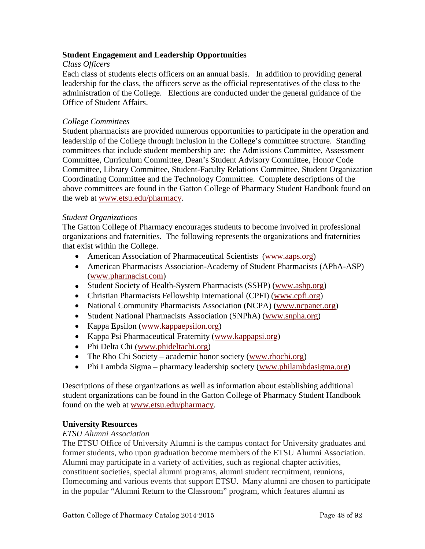### **Student Engagement and Leadership Opportunities**

#### *Class Officers*

Each class of students elects officers on an annual basis. In addition to providing general leadership for the class, the officers serve as the official representatives of the class to the administration of the College. Elections are conducted under the general guidance of the Office of Student Affairs.

#### *College Committees*

Student pharmacists are provided numerous opportunities to participate in the operation and leadership of the College through inclusion in the College's committee structure. Standing committees that include student membership are: the Admissions Committee, Assessment Committee, Curriculum Committee, Dean's Student Advisory Committee, Honor Code Committee, Library Committee, Student-Faculty Relations Committee, Student Organization Coordinating Committee and the Technology Committee. Complete descriptions of the above committees are found in the Gatton College of Pharmacy Student Handbook found on the web at [www.etsu.edu/pharmacy.](http://www.etsu.edu/pharmacy)

#### *Student Organizations*

The Gatton College of Pharmacy encourages students to become involved in professional organizations and fraternities. The following represents the organizations and fraternities that exist within the College.

- American Association of Pharmaceutical Scientists [\(www.aaps.org\)](http://www.aaps.org/)
- American Pharmacists Association-Academy of Student Pharmacists (APhA-ASP) [\(www.pharmacist.com\)](http://www.pharmacist.com/)
- Student Society of Health-System Pharmacists (SSHP) [\(www.ashp.org\)](http://www.ashp.org/)
- Christian Pharmacists Fellowship International (CPFI) [\(www.cpfi.org\)](http://www.cpfi.org/)
- National Community Pharmacists Association (NCPA) [\(www.ncpanet.org\)](http://www.ncpanet.org/)
- Student National Pharmacists Association (SNPhA) [\(www.snpha.org\)](http://www.snpha.org/)
- Kappa Epsilon [\(www.kappaepsilon.org\)](http://www.kappaepsilon.org/)
- Kappa Psi Pharmaceutical Fraternity [\(www.kappapsi.org\)](http://www.kappapsi.org/)
- Phi Delta Chi [\(www.phideltachi.org\)](http://www.phideltachi.org/)
- The Rho Chi Society academic honor society [\(www.rhochi.org\)](http://www.rhochi.org/)
- Phi Lambda Sigma pharmacy leadership society [\(www.philambdasigma.org\)](http://www.philambdasigma.org/)

Descriptions of these organizations as well as information about establishing additional student organizations can be found in the Gatton College of Pharmacy Student Handbook found on the web at [www.etsu.edu/pharmacy.](http://www.etsu.edu/pharmacy)

#### **University Resources**

#### *ETSU Alumni Association*

The ETSU Office of University Alumni is the campus contact for University graduates and former students, who upon graduation become members of the ETSU Alumni Association. Alumni may participate in a variety of activities, such as regional chapter activities, constituent societies, special alumni programs, alumni student recruitment, reunions, Homecoming and various events that support ETSU. Many alumni are chosen to participate in the popular "Alumni Return to the Classroom" program, which features alumni as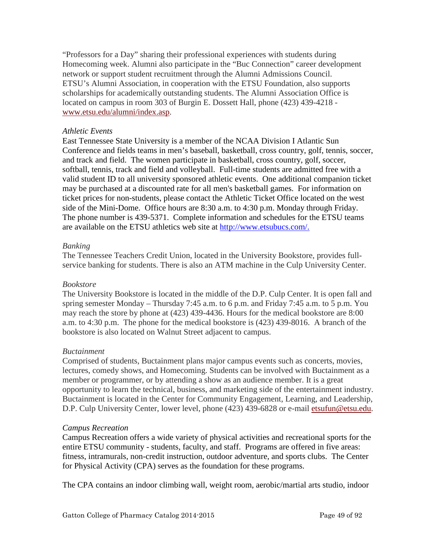"Professors for a Day" sharing their professional experiences with students during Homecoming week. Alumni also participate in the "Buc Connection" career development network or support student recruitment through the Alumni Admissions Council. ETSU's Alumni Association, in cooperation with the ETSU Foundation, also supports scholarships for academically outstanding students. The Alumni Association Office is located on campus in room 303 of Burgin E. Dossett Hall, phone (423) 439-4218 [www.etsu.edu/alumni/index.asp.](http://www.etsu.edu/alumni/index.asp)

#### *Athletic Events*

East Tennessee State University is a member of the NCAA Division I Atlantic Sun Conference and fields teams in men's baseball, basketball, cross country, golf, tennis, soccer, and track and field. The women participate in basketball, cross country, golf, soccer, softball, tennis, track and field and volleyball. Full-time students are admitted free with a valid student ID to all university sponsored athletic events. One additional companion ticket may be purchased at a discounted rate for all men's basketball games. For information on ticket prices for non-students, please contact the Athletic Ticket Office located on the west side of the Mini-Dome. Office hours are 8:30 a.m. to 4:30 p.m. Monday through Friday. The phone number is 439-5371. Complete information and schedules for the ETSU teams are available on the ETSU athletics web site at [http://www.etsubucs.com/.](http://www.etsubucs.com/)

#### *Banking*

The Tennessee Teachers Credit Union, located in the University Bookstore, provides fullservice banking for students. There is also an ATM machine in the Culp University Center.

#### *Bookstore*

The University Bookstore is located in the middle of the D.P. Culp Center. It is open fall and spring semester Monday – Thursday 7:45 a.m. to 6 p.m. and Friday 7:45 a.m. to 5 p.m. You may reach the store by phone at (423) 439-4436. Hours for the medical bookstore are 8:00 a.m. to 4:30 p.m. The phone for the medical bookstore is (423) 439-8016. A branch of the bookstore is also located on Walnut Street adjacent to campus.

#### *Buctainment*

Comprised of students, Buctainment plans major campus events such as concerts, movies, lectures, comedy shows, and Homecoming. Students can be involved with Buctainment as a member or programmer, or by attending a show as an audience member. It is a great opportunity to learn the technical, business, and marketing side of the entertainment industry. Buctainment is located in the Center for Community Engagement, Learning, and Leadership, D.P. Culp University Center, lower level, phone (423) 439-6828 or e-mail [etsufun@etsu.edu.](mailto:etsufun@etsu.edu)

#### *Campus Recreation*

Campus Recreation offers a wide variety of physical activities and recreational sports for the entire ETSU community - students, faculty, and staff. Programs are offered in five areas: fitness, intramurals, non-credit instruction, outdoor adventure, and sports clubs. The Center for Physical Activity (CPA) serves as the foundation for these programs.

The CPA contains an indoor climbing wall, weight room, aerobic/martial arts studio, indoor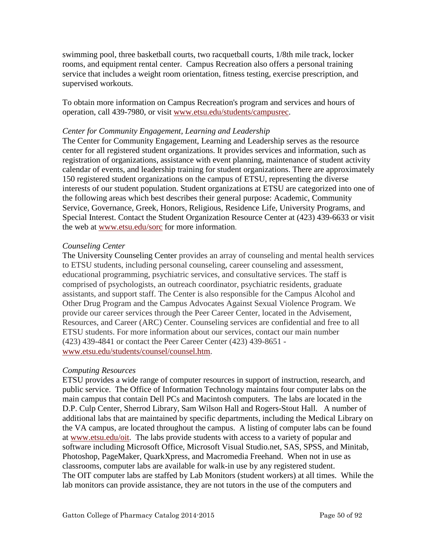swimming pool, three basketball courts, two racquetball courts, 1/8th mile track, locker rooms, and equipment rental center. Campus Recreation also offers a personal training service that includes a weight room orientation, fitness testing, exercise prescription, and supervised workouts.

To obtain more information on Campus Recreation's program and services and hours of operation, call 439-7980, or visit www.etsu.edu/students/campusrec.

#### *Center for Community Engagement, Learning and Leadership*

The Center for Community Engagement, Learning and Leadership serves as the resource center for all registered student organizations. It provides services and information, such as registration of organizations, assistance with event planning, maintenance of student activity calendar of events, and leadership training for student organizations. There are approximately 150 registered student organizations on the campus of ETSU, representing the diverse interests of our student population. Student organizations at ETSU are categorized into one of the following areas which best describes their general purpose: Academic, Community Service, Governance, Greek, Honors, Religious, Residence Life, University Programs, and Special Interest. Contact the Student Organization Resource Center at (423) 439-6633 or visit the web at [www.etsu.edu/sorc](http://www.etsu.edu/sorc) for more information.

#### *Counseling Center*

The University Counseling Center provides an array of counseling and mental health services to ETSU students, including personal counseling, career counseling and assessment, educational programming, psychiatric services, and consultative services. The staff is comprised of psychologists, an outreach coordinator, psychiatric residents, graduate assistants, and support staff. The Center is also responsible for the Campus Alcohol and Other Drug Program and the Campus Advocates Against Sexual Violence Program. We provide our career services through the Peer Career Center, located in the Advisement, Resources, and Career (ARC) Center. Counseling services are confidential and free to all ETSU students. For more information about our services, contact our main number (423) 439-4841 or contact the Peer Career Center (423) 439-8651 [www.etsu.edu/students/counsel/counsel.htm.](http://www.etsu.edu/students/counsel/counsel.htm)

#### *Computing Resources*

ETSU provides a wide range of computer resources in support of instruction, research, and public service. The Office of Information Technology maintains four computer labs on the main campus that contain Dell PCs and Macintosh computers. The labs are located in the D.P. Culp Center, Sherrod Library, Sam Wilson Hall and Rogers-Stout Hall. A number of additional labs that are maintained by specific departments, including the Medical Library on the VA campus, are located throughout the campus. A listing of computer labs can be found at [www.etsu.edu/oit.](http://www.etsu.edu/oit) The labs provide students with access to a variety of popular and software including Microsoft Office, Microsoft Visual Studio.net, SAS, SPSS, and Minitab, Photoshop, PageMaker, QuarkXpress, and Macromedia Freehand. When not in use as classrooms, computer labs are available for walk-in use by any registered student. The OIT computer labs are staffed by Lab Monitors (student workers) at all times. While the lab monitors can provide assistance, they are not tutors in the use of the computers and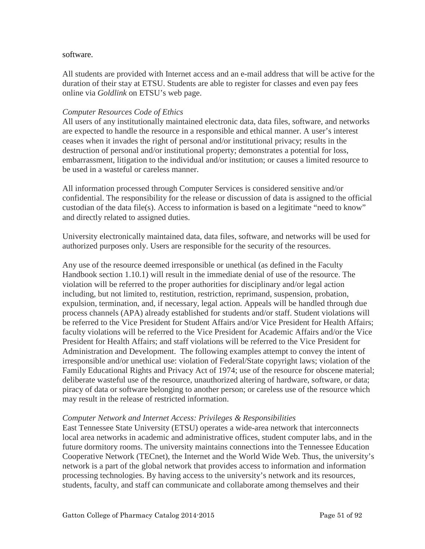#### software.

All students are provided with Internet access and an e-mail address that will be active for the duration of their stay at ETSU. Students are able to register for classes and even pay fees online via *Goldlink* on ETSU's web page.

#### *Computer Resources Code of Ethics*

All users of any institutionally maintained electronic data, data files, software, and networks are expected to handle the resource in a responsible and ethical manner. A user's interest ceases when it invades the right of personal and/or institutional privacy; results in the destruction of personal and/or institutional property; demonstrates a potential for loss, embarrassment, litigation to the individual and/or institution; or causes a limited resource to be used in a wasteful or careless manner.

All information processed through Computer Services is considered sensitive and/or confidential. The responsibility for the release or discussion of data is assigned to the official custodian of the data file(s). Access to information is based on a legitimate "need to know" and directly related to assigned duties.

University electronically maintained data, data files, software, and networks will be used for authorized purposes only. Users are responsible for the security of the resources.

Any use of the resource deemed irresponsible or unethical (as defined in the Faculty Handbook section 1.10.1) will result in the immediate denial of use of the resource. The violation will be referred to the proper authorities for disciplinary and/or legal action including, but not limited to, restitution, restriction, reprimand, suspension, probation, expulsion, termination, and, if necessary, legal action. Appeals will be handled through due process channels (APA) already established for students and/or staff. Student violations will be referred to the Vice President for Student Affairs and/or Vice President for Health Affairs; faculty violations will be referred to the Vice President for Academic Affairs and/or the Vice President for Health Affairs; and staff violations will be referred to the Vice President for Administration and Development. The following examples attempt to convey the intent of irresponsible and/or unethical use: violation of Federal/State copyright laws; violation of the Family Educational Rights and Privacy Act of 1974; use of the resource for obscene material; deliberate wasteful use of the resource, unauthorized altering of hardware, software, or data; piracy of data or software belonging to another person; or careless use of the resource which may result in the release of restricted information.

#### *Computer Network and Internet Access: Privileges & Responsibilities*

East Tennessee State University (ETSU) operates a wide-area network that interconnects local area networks in academic and administrative offices, student computer labs, and in the future dormitory rooms. The university maintains connections into the Tennessee Education Cooperative Network (TECnet), the Internet and the World Wide Web. Thus, the university's network is a part of the global network that provides access to information and information processing technologies. By having access to the university's network and its resources, students, faculty, and staff can communicate and collaborate among themselves and their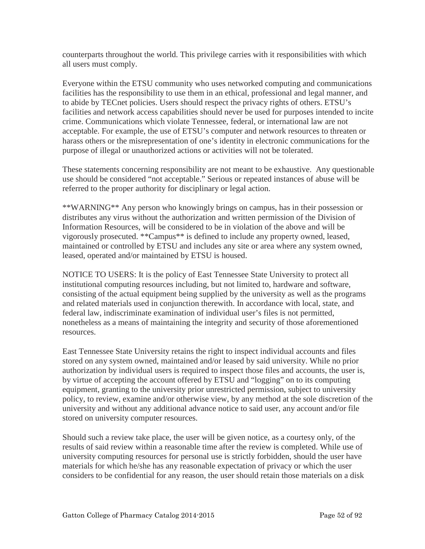counterparts throughout the world. This privilege carries with it responsibilities with which all users must comply.

Everyone within the ETSU community who uses networked computing and communications facilities has the responsibility to use them in an ethical, professional and legal manner, and to abide by TECnet policies. Users should respect the privacy rights of others. ETSU's facilities and network access capabilities should never be used for purposes intended to incite crime. Communications which violate Tennessee, federal, or international law are not acceptable. For example, the use of ETSU's computer and network resources to threaten or harass others or the misrepresentation of one's identity in electronic communications for the purpose of illegal or unauthorized actions or activities will not be tolerated.

These statements concerning responsibility are not meant to be exhaustive. Any questionable use should be considered "not acceptable." Serious or repeated instances of abuse will be referred to the proper authority for disciplinary or legal action.

\*\*WARNING\*\* Any person who knowingly brings on campus, has in their possession or distributes any virus without the authorization and written permission of the Division of Information Resources, will be considered to be in violation of the above and will be vigorously prosecuted. \*\*Campus\*\* is defined to include any property owned, leased, maintained or controlled by ETSU and includes any site or area where any system owned, leased, operated and/or maintained by ETSU is housed.

NOTICE TO USERS: It is the policy of East Tennessee State University to protect all institutional computing resources including, but not limited to, hardware and software, consisting of the actual equipment being supplied by the university as well as the programs and related materials used in conjunction therewith. In accordance with local, state, and federal law, indiscriminate examination of individual user's files is not permitted, nonetheless as a means of maintaining the integrity and security of those aforementioned resources.

East Tennessee State University retains the right to inspect individual accounts and files stored on any system owned, maintained and/or leased by said university. While no prior authorization by individual users is required to inspect those files and accounts, the user is, by virtue of accepting the account offered by ETSU and "logging" on to its computing equipment, granting to the university prior unrestricted permission, subject to university policy, to review, examine and/or otherwise view, by any method at the sole discretion of the university and without any additional advance notice to said user, any account and/or file stored on university computer resources.

Should such a review take place, the user will be given notice, as a courtesy only, of the results of said review within a reasonable time after the review is completed. While use of university computing resources for personal use is strictly forbidden, should the user have materials for which he/she has any reasonable expectation of privacy or which the user considers to be confidential for any reason, the user should retain those materials on a disk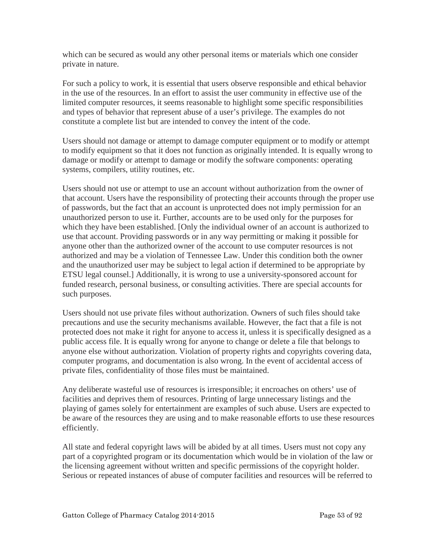which can be secured as would any other personal items or materials which one consider private in nature.

For such a policy to work, it is essential that users observe responsible and ethical behavior in the use of the resources. In an effort to assist the user community in effective use of the limited computer resources, it seems reasonable to highlight some specific responsibilities and types of behavior that represent abuse of a user's privilege. The examples do not constitute a complete list but are intended to convey the intent of the code.

Users should not damage or attempt to damage computer equipment or to modify or attempt to modify equipment so that it does not function as originally intended. It is equally wrong to damage or modify or attempt to damage or modify the software components: operating systems, compilers, utility routines, etc.

Users should not use or attempt to use an account without authorization from the owner of that account. Users have the responsibility of protecting their accounts through the proper use of passwords, but the fact that an account is unprotected does not imply permission for an unauthorized person to use it. Further, accounts are to be used only for the purposes for which they have been established. [Only the individual owner of an account is authorized to use that account. Providing passwords or in any way permitting or making it possible for anyone other than the authorized owner of the account to use computer resources is not authorized and may be a violation of Tennessee Law. Under this condition both the owner and the unauthorized user may be subject to legal action if determined to be appropriate by ETSU legal counsel.] Additionally, it is wrong to use a university-sponsored account for funded research, personal business, or consulting activities. There are special accounts for such purposes.

Users should not use private files without authorization. Owners of such files should take precautions and use the security mechanisms available. However, the fact that a file is not protected does not make it right for anyone to access it, unless it is specifically designed as a public access file. It is equally wrong for anyone to change or delete a file that belongs to anyone else without authorization. Violation of property rights and copyrights covering data, computer programs, and documentation is also wrong. In the event of accidental access of private files, confidentiality of those files must be maintained.

Any deliberate wasteful use of resources is irresponsible; it encroaches on others' use of facilities and deprives them of resources. Printing of large unnecessary listings and the playing of games solely for entertainment are examples of such abuse. Users are expected to be aware of the resources they are using and to make reasonable efforts to use these resources efficiently.

All state and federal copyright laws will be abided by at all times. Users must not copy any part of a copyrighted program or its documentation which would be in violation of the law or the licensing agreement without written and specific permissions of the copyright holder. Serious or repeated instances of abuse of computer facilities and resources will be referred to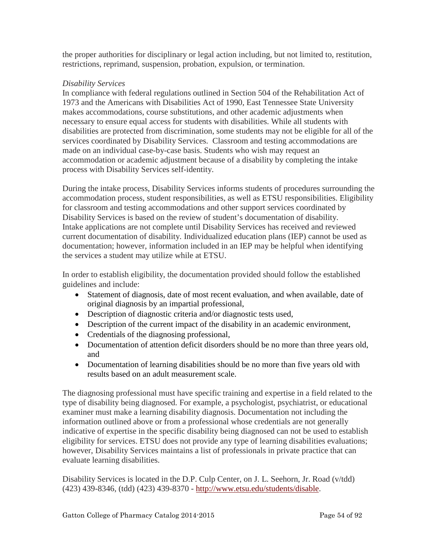the proper authorities for disciplinary or legal action including, but not limited to, restitution, restrictions, reprimand, suspension, probation, expulsion, or termination.

### *Disability Services*

In compliance with federal regulations outlined in Section 504 of the Rehabilitation Act of 1973 and the Americans with Disabilities Act of 1990, East Tennessee State University makes accommodations, course substitutions, and other academic adjustments when necessary to ensure equal access for students with disabilities. While all students with disabilities are protected from discrimination, some students may not be eligible for all of the services coordinated by Disability Services. Classroom and testing accommodations are made on an individual case-by-case basis. Students who wish may request an accommodation or academic adjustment because of a disability by completing the intake process with Disability Services self-identity.

During the intake process, Disability Services informs students of procedures surrounding the accommodation process, student responsibilities, as well as ETSU responsibilities. Eligibility for classroom and testing accommodations and other support services coordinated by Disability Services is based on the review of student's documentation of disability. Intake applications are not complete until Disability Services has received and reviewed current documentation of disability. Individualized education plans (IEP) cannot be used as documentation; however, information included in an IEP may be helpful when identifying the services a student may utilize while at ETSU.

In order to establish eligibility, the documentation provided should follow the established guidelines and include:

- Statement of diagnosis, date of most recent evaluation, and when available, date of original diagnosis by an impartial professional,
- Description of diagnostic criteria and/or diagnostic tests used,
- Description of the current impact of the disability in an academic environment,
- Credentials of the diagnosing professional,
- Documentation of attention deficit disorders should be no more than three years old, and
- Documentation of learning disabilities should be no more than five years old with results based on an adult measurement scale.

The diagnosing professional must have specific training and expertise in a field related to the type of disability being diagnosed. For example, a psychologist, psychiatrist, or educational examiner must make a learning disability diagnosis. Documentation not including the information outlined above or from a professional whose credentials are not generally indicative of expertise in the specific disability being diagnosed can not be used to establish eligibility for services. ETSU does not provide any type of learning disabilities evaluations; however, Disability Services maintains a list of professionals in private practice that can evaluate learning disabilities.

Disability Services is located in the D.P. Culp Center, on J. L. Seehorn, Jr. Road (v/tdd) (423) 439-8346, (tdd) (423) 439-8370 - [http://www.etsu.edu/students/disable.](http://www.etsu.edu/students/disable)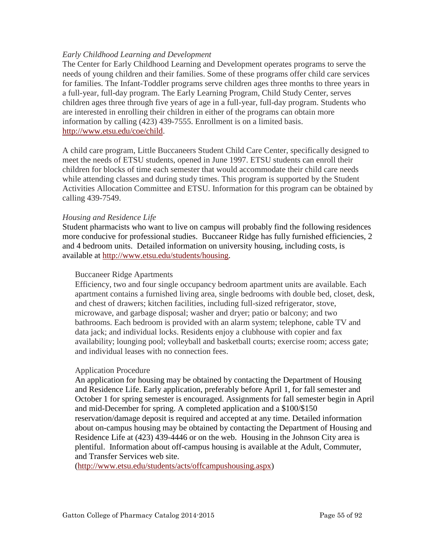### *Early Childhood Learning and Development*

The Center for Early Childhood Learning and Development operates programs to serve the needs of young children and their families. Some of these programs offer child care services for families. The Infant-Toddler programs serve children ages three months to three years in a full-year, full-day program. The Early Learning Program, Child Study Center, serves children ages three through five years of age in a full-year, full-day program. Students who are interested in enrolling their children in either of the programs can obtain more information by calling (423) 439-7555. Enrollment is on a limited basis. [http://www.etsu.edu/coe/child.](http://www.etsu.edu/coe/child)

A child care program, Little Buccaneers Student Child Care Center, specifically designed to meet the needs of ETSU students, opened in June 1997. ETSU students can enroll their children for blocks of time each semester that would accommodate their child care needs while attending classes and during study times. This program is supported by the Student Activities Allocation Committee and ETSU. Information for this program can be obtained by calling 439-7549.

#### *Housing and Residence Life*

Student pharmacists who want to live on campus will probably find the following residences more conducive for professional studies. Buccaneer Ridge has fully furnished efficiencies, 2 and 4 bedroom units. Detailed information on university housing, including costs, is available at [http://www.etsu.edu/students/housing.](http://www.etsu.edu/students/housing)

#### Buccaneer Ridge Apartments

Efficiency, two and four single occupancy bedroom apartment units are available. Each apartment contains a furnished living area, single bedrooms with double bed, closet, desk, and chest of drawers; kitchen facilities, including full-sized refrigerator, stove, microwave, and garbage disposal; washer and dryer; patio or balcony; and two bathrooms. Each bedroom is provided with an alarm system; telephone, cable TV and data jack; and individual locks. Residents enjoy a clubhouse with copier and fax availability; lounging pool; volleyball and basketball courts; exercise room; access gate; and individual leases with no connection fees.

#### Application Procedure

An application for housing may be obtained by contacting the Department of Housing and Residence Life. Early application, preferably before April 1, for fall semester and October 1 for spring semester is encouraged. Assignments for fall semester begin in April and mid-December for spring. A completed application and a \$100/\$150 reservation/damage deposit is required and accepted at any time. Detailed information about on-campus housing may be obtained by contacting the Department of Housing and Residence Life at (423) 439-4446 or on the web. Housing in the Johnson City area is plentiful. Information about off-campus housing is available at the [Adult, Commuter,](http://www.etsu.edu/students/acts/off_campus_housing.asp)  [and Transfer Services web](http://www.etsu.edu/students/acts/off_campus_housing.asp) site.

[\(http://www.etsu.edu/students/acts/offcampushousing.aspx\)](http://www.etsu.edu/students/acts/offcampushousing.aspx)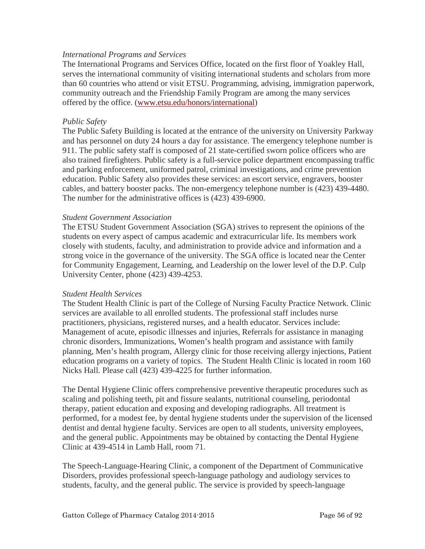#### *International Programs and Services*

The International Programs and Services Office, located on the first floor of Yoakley Hall, serves the international community of visiting international students and scholars from more than 60 countries who attend or visit ETSU. Programming, advising, immigration paperwork, community outreach and the Friendship Family Program are among the many services offered by the office. [\(www.etsu.edu/honors/international\)](http://www.etsu.edu/honors/international)

### *Public Safety*

The Public Safety Building is located at the entrance of the university on University Parkway and has personnel on duty 24 hours a day for assistance. The emergency telephone number is 911. The public safety staff is composed of 21 state-certified sworn police officers who are also trained firefighters. Public safety is a full-service police department encompassing traffic and parking enforcement, uniformed patrol, criminal investigations, and crime prevention education. Public Safety also provides these services: an escort service, engravers, booster cables, and battery booster packs. The non-emergency telephone number is (423) 439-4480. The number for the administrative offices is (423) 439-6900.

#### *Student Government Association*

The ETSU Student Government Association (SGA) strives to represent the opinions of the students on every aspect of campus academic and extracurricular life. Its members work closely with students, faculty, and administration to provide advice and information and a strong voice in the governance of the university. The SGA office is located near the Center for Community Engagement, Learning, and Leadership on the lower level of the D.P. Culp University Center, phone (423) 439-4253.

#### *Student Health Services*

The Student Health Clinic is part of the College of Nursing Faculty Practice Network. Clinic services are available to all enrolled students. The professional staff includes nurse practitioners, physicians, registered nurses, and a health educator. Services include: Management of acute, episodic illnesses and injuries, Referrals for assistance in managing chronic disorders, Immunizations, Women's health program and assistance with family planning, Men's health program, Allergy clinic for those receiving allergy injections, Patient education programs on a variety of topics. The Student Health Clinic is located in room 160 Nicks Hall. Please call (423) 439-4225 for further information.

The Dental Hygiene Clinic offers comprehensive preventive therapeutic procedures such as scaling and polishing teeth, pit and fissure sealants, nutritional counseling, periodontal therapy, patient education and exposing and developing radiographs. All treatment is performed, for a modest fee, by dental hygiene students under the supervision of the licensed dentist and dental hygiene faculty. Services are open to all students, university employees, and the general public. Appointments may be obtained by contacting the Dental Hygiene Clinic at 439-4514 in Lamb Hall, room 71.

The Speech-Language-Hearing Clinic, a component of the Department of Communicative Disorders, provides professional speech-language pathology and audiology services to students, faculty, and the general public. The service is provided by speech-language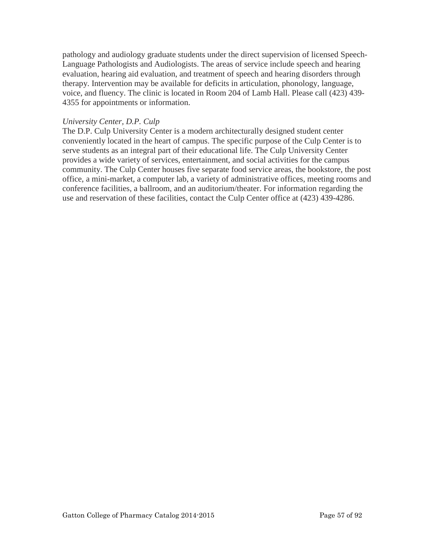pathology and audiology graduate students under the direct supervision of licensed Speech-Language Pathologists and Audiologists. The areas of service include speech and hearing evaluation, hearing aid evaluation, and treatment of speech and hearing disorders through therapy. Intervention may be available for deficits in articulation, phonology, language, voice, and fluency. The clinic is located in Room 204 of Lamb Hall. Please call (423) 439- 4355 for appointments or information.

### *University Center, D.P. Culp*

The D.P. Culp University Center is a modern architecturally designed student center conveniently located in the heart of campus. The specific purpose of the Culp Center is to serve students as an integral part of their educational life. The Culp University Center provides a wide variety of services, entertainment, and social activities for the campus community. The Culp Center houses five separate food service areas, the bookstore, the post office, a mini-market, a computer lab, a variety of administrative offices, meeting rooms and conference facilities, a ballroom, and an auditorium/theater. For information regarding the use and reservation of these facilities, contact the Culp Center office at (423) 439-4286.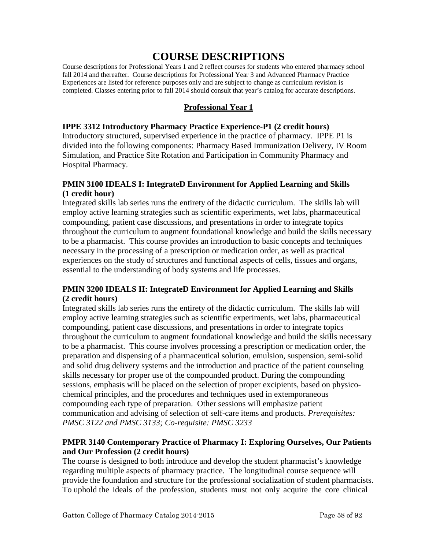# **COURSE DESCRIPTIONS**

Course descriptions for Professional Years 1 and 2 reflect courses for students who entered pharmacy school fall 2014 and thereafter. Course descriptions for Professional Year 3 and Advanced Pharmacy Practice Experiences are listed for reference purposes only and are subject to change as curriculum revision is completed. Classes entering prior to fall 2014 should consult that year's catalog for accurate descriptions.

# **Professional Year 1**

### **IPPE 3312 Introductory Pharmacy Practice Experience-P1 (2 credit hours)**

Introductory structured, supervised experience in the practice of pharmacy. IPPE P1 is divided into the following components: Pharmacy Based Immunization Delivery, IV Room Simulation, and Practice Site Rotation and Participation in Community Pharmacy and Hospital Pharmacy.

### **PMIN 3100 IDEALS I: IntegrateD Environment for Applied Learning and Skills (1 credit hour)**

Integrated skills lab series runs the entirety of the didactic curriculum. The skills lab will employ active learning strategies such as scientific experiments, wet labs, pharmaceutical compounding, patient case discussions, and presentations in order to integrate topics throughout the curriculum to augment foundational knowledge and build the skills necessary to be a pharmacist. This course provides an introduction to basic concepts and techniques necessary in the processing of a prescription or medication order, as well as practical experiences on the study of structures and functional aspects of cells, tissues and organs, essential to the understanding of body systems and life processes.

# **PMIN 3200 IDEALS II: IntegrateD Environment for Applied Learning and Skills (2 credit hours)**

Integrated skills lab series runs the entirety of the didactic curriculum. The skills lab will employ active learning strategies such as scientific experiments, wet labs, pharmaceutical compounding, patient case discussions, and presentations in order to integrate topics throughout the curriculum to augment foundational knowledge and build the skills necessary to be a pharmacist. This course involves processing a prescription or medication order, the preparation and dispensing of a pharmaceutical solution, emulsion, suspension, semi-solid and solid drug delivery systems and the introduction and practice of the patient counseling skills necessary for proper use of the compounded product. During the compounding sessions, emphasis will be placed on the selection of proper excipients, based on physicochemical principles, and the procedures and techniques used in extemporaneous compounding each type of preparation. Other sessions will emphasize patient communication and advising of selection of self-care items and products. *Prerequisites: PMSC 3122 and PMSC 3133; Co-requisite: PMSC 3233*

### **PMPR 3140 Contemporary Practice of Pharmacy I: Exploring Ourselves, Our Patients and Our Profession (2 credit hours)**

The course is designed to both introduce and develop the student pharmacist's knowledge regarding multiple aspects of pharmacy practice. The longitudinal course sequence will provide the foundation and structure for the professional socialization of student pharmacists. To uphold the ideals of the profession, students must not only acquire the core clinical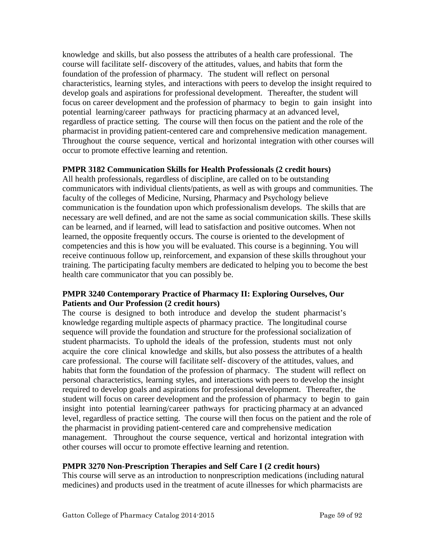knowledge and skills, but also possess the attributes of a health care professional. The course will facilitate self- discovery of the attitudes, values, and habits that form the foundation of the profession of pharmacy. The student will reflect on personal characteristics, learning styles, and interactions with peers to develop the insight required to develop goals and aspirations for professional development. Thereafter, the student will focus on career development and the profession of pharmacy to begin to gain insight into potential learning/career pathways for practicing pharmacy at an advanced level, regardless of practice setting. The course will then focus on the patient and the role of the pharmacist in providing patient-centered care and comprehensive medication management. Throughout the course sequence, vertical and horizontal integration with other courses will occur to promote effective learning and retention.

### **PMPR 3182 Communication Skills for Health Professionals (2 credit hours)**

All health professionals, regardless of discipline, are called on to be outstanding communicators with individual clients/patients, as well as with groups and communities. The faculty of the colleges of Medicine, Nursing, Pharmacy and Psychology believe communication is the foundation upon which professionalism develops. The skills that are necessary are well defined, and are not the same as social communication skills. These skills can be learned, and if learned, will lead to satisfaction and positive outcomes. When not learned, the opposite frequently occurs. The course is oriented to the development of competencies and this is how you will be evaluated. This course is a beginning. You will receive continuous follow up, reinforcement, and expansion of these skills throughout your training. The participating faculty members are dedicated to helping you to become the best health care communicator that you can possibly be.

### **PMPR 3240 Contemporary Practice of Pharmacy II: Exploring Ourselves, Our Patients and Our Profession (2 credit hours)**

The course is designed to both introduce and develop the student pharmacist's knowledge regarding multiple aspects of pharmacy practice. The longitudinal course sequence will provide the foundation and structure for the professional socialization of student pharmacists. To uphold the ideals of the profession, students must not only acquire the core clinical knowledge and skills, but also possess the attributes of a health care professional. The course will facilitate self- discovery of the attitudes, values, and habits that form the foundation of the profession of pharmacy. The student will reflect on personal characteristics, learning styles, and interactions with peers to develop the insight required to develop goals and aspirations for professional development. Thereafter, the student will focus on career development and the profession of pharmacy to begin to gain insight into potential learning/career pathways for practicing pharmacy at an advanced level, regardless of practice setting. The course will then focus on the patient and the role of the pharmacist in providing patient-centered care and comprehensive medication management. Throughout the course sequence, vertical and horizontal integration with other courses will occur to promote effective learning and retention.

### **PMPR 3270 Non-Prescription Therapies and Self Care I (2 credit hours)**

This course will serve as an introduction to nonprescription medications (including natural medicines) and products used in the treatment of acute illnesses for which pharmacists are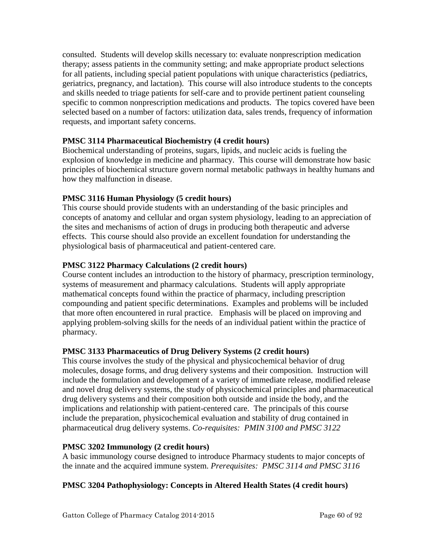consulted. Students will develop skills necessary to: evaluate nonprescription medication therapy; assess patients in the community setting; and make appropriate product selections for all patients, including special patient populations with unique characteristics (pediatrics, geriatrics, pregnancy, and lactation). This course will also introduce students to the concepts and skills needed to triage patients for self-care and to provide pertinent patient counseling specific to common nonprescription medications and products. The topics covered have been selected based on a number of factors: utilization data, sales trends, frequency of information requests, and important safety concerns.

### **PMSC 3114 Pharmaceutical Biochemistry (4 credit hours)**

Biochemical understanding of proteins, sugars, lipids, and nucleic acids is fueling the explosion of knowledge in medicine and pharmacy. This course will demonstrate how basic principles of biochemical structure govern normal metabolic pathways in healthy humans and how they malfunction in disease.

# **PMSC 3116 Human Physiology (5 credit hours)**

This course should provide students with an understanding of the basic principles and concepts of anatomy and cellular and organ system physiology, leading to an appreciation of the sites and mechanisms of action of drugs in producing both therapeutic and adverse effects. This course should also provide an excellent foundation for understanding the physiological basis of pharmaceutical and patient-centered care.

# **PMSC 3122 Pharmacy Calculations (2 credit hours)**

Course content includes an introduction to the history of pharmacy, prescription terminology, systems of measurement and pharmacy calculations. Students will apply appropriate mathematical concepts found within the practice of pharmacy, including prescription compounding and patient specific determinations. Examples and problems will be included that more often encountered in rural practice. Emphasis will be placed on improving and applying problem-solving skills for the needs of an individual patient within the practice of pharmacy.

### **PMSC 3133 Pharmaceutics of Drug Delivery Systems (2 credit hours)**

This course involves the study of the physical and physicochemical behavior of drug molecules, dosage forms, and drug delivery systems and their composition. Instruction will include the formulation and development of a variety of immediate release, modified release and novel drug delivery systems, the study of physicochemical principles and pharmaceutical drug delivery systems and their composition both outside and inside the body, and the implications and relationship with patient-centered care. The principals of this course include the preparation, physicochemical evaluation and stability of drug contained in pharmaceutical drug delivery systems. *Co-requisites: PMIN 3100 and PMSC 3122*

### **PMSC 3202 Immunology (2 credit hours)**

A basic immunology course designed to introduce Pharmacy students to major concepts of the innate and the acquired immune system. *Prerequisites: PMSC 3114 and PMSC 3116*

### **PMSC 3204 Pathophysiology: Concepts in Altered Health States (4 credit hours)**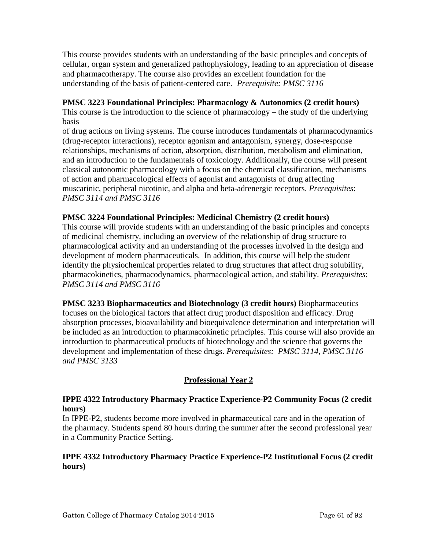This course provides students with an understanding of the basic principles and concepts of cellular, organ system and generalized pathophysiology, leading to an appreciation of disease and pharmacotherapy. The course also provides an excellent foundation for the understanding of the basis of patient-centered care. *Prerequisite: PMSC 3116*

### **PMSC 3223 Foundational Principles: Pharmacology & Autonomics (2 credit hours)**

This course is the introduction to the science of pharmacology – the study of the underlying basis

of drug actions on living systems. The course introduces fundamentals of pharmacodynamics (drug-receptor interactions), receptor agonism and antagonism, synergy, dose-response relationships, mechanisms of action, absorption, distribution, metabolism and elimination, and an introduction to the fundamentals of toxicology. Additionally, the course will present classical autonomic pharmacology with a focus on the chemical classification, mechanisms of action and pharmacological effects of agonist and antagonists of drug affecting muscarinic, peripheral nicotinic, and alpha and beta-adrenergic receptors. *Prerequisites*: *PMSC 3114 and PMSC 3116*

# **PMSC 3224 Foundational Principles: Medicinal Chemistry (2 credit hours)**

This course will provide students with an understanding of the basic principles and concepts of medicinal chemistry, including an overview of the relationship of drug structure to pharmacological activity and an understanding of the processes involved in the design and development of modern pharmaceuticals. In addition, this course will help the student identify the physiochemical properties related to drug structures that affect drug solubility, pharmacokinetics, pharmacodynamics, pharmacological action, and stability. *Prerequisites*: *PMSC 3114 and PMSC 3116*

**PMSC 3233 Biopharmaceutics and Biotechnology (3 credit hours)** Biopharmaceutics focuses on the biological factors that affect drug product disposition and efficacy. Drug absorption processes, bioavailability and bioequivalence determination and interpretation will be included as an introduction to pharmacokinetic principles. This course will also provide an introduction to pharmaceutical products of biotechnology and the science that governs the development and implementation of these drugs. *Prerequisites: PMSC 3114, PMSC 3116 and PMSC 3133*

# **Professional Year 2**

# **IPPE 4322 Introductory Pharmacy Practice Experience-P2 Community Focus (2 credit hours)**

In IPPE-P2, students become more involved in pharmaceutical care and in the operation of the pharmacy. Students spend 80 hours during the summer after the second professional year in a Community Practice Setting.

### **IPPE 4332 Introductory Pharmacy Practice Experience-P2 Institutional Focus (2 credit hours)**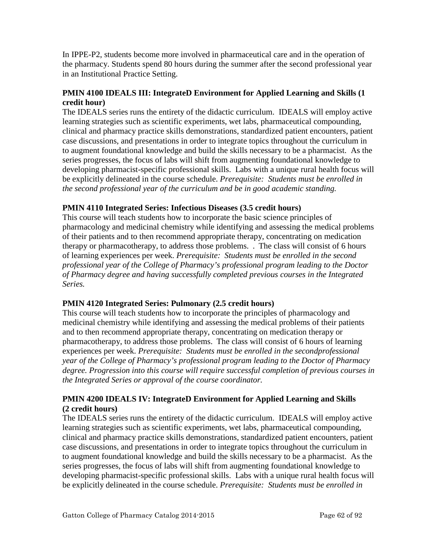In IPPE-P2, students become more involved in pharmaceutical care and in the operation of the pharmacy. Students spend 80 hours during the summer after the second professional year in an Institutional Practice Setting.

# **PMIN 4100 IDEALS III: IntegrateD Environment for Applied Learning and Skills (1 credit hour)**

The IDEALS series runs the entirety of the didactic curriculum. IDEALS will employ active learning strategies such as scientific experiments, wet labs, pharmaceutical compounding, clinical and pharmacy practice skills demonstrations, standardized patient encounters, patient case discussions, and presentations in order to integrate topics throughout the curriculum in to augment foundational knowledge and build the skills necessary to be a pharmacist. As the series progresses, the focus of labs will shift from augmenting foundational knowledge to developing pharmacist-specific professional skills. Labs with a unique rural health focus will be explicitly delineated in the course schedule. *Prerequisite: Students must be enrolled in the second professional year of the curriculum and be in good academic standing.*

# **PMIN 4110 Integrated Series: Infectious Diseases (3.5 credit hours)**

This course will teach students how to incorporate the basic science principles of pharmacology and medicinal chemistry while identifying and assessing the medical problems of their patients and to then recommend appropriate therapy, concentrating on medication therapy or pharmacotherapy, to address those problems. . The class will consist of 6 hours of learning experiences per week. *Prerequisite: Students must be enrolled in the second professional year of the College of Pharmacy's professional program leading to the Doctor of Pharmacy degree and having successfully completed previous courses in the Integrated Series.*

### **PMIN 4120 Integrated Series: Pulmonary (2.5 credit hours)**

This course will teach students how to incorporate the principles of pharmacology and medicinal chemistry while identifying and assessing the medical problems of their patients and to then recommend appropriate therapy, concentrating on medication therapy or pharmacotherapy, to address those problems. The class will consist of 6 hours of learning experiences per week. *Prerequisite: Students must be enrolled in the secondprofessional year of the College of Pharmacy's professional program leading to the Doctor of Pharmacy degree. Progression into this course will require successful completion of previous courses in the Integrated Series or approval of the course coordinator.*

### **PMIN 4200 IDEALS IV: IntegrateD Environment for Applied Learning and Skills (2 credit hours)**

The IDEALS series runs the entirety of the didactic curriculum. IDEALS will employ active learning strategies such as scientific experiments, wet labs, pharmaceutical compounding, clinical and pharmacy practice skills demonstrations, standardized patient encounters, patient case discussions, and presentations in order to integrate topics throughout the curriculum in to augment foundational knowledge and build the skills necessary to be a pharmacist. As the series progresses, the focus of labs will shift from augmenting foundational knowledge to developing pharmacist-specific professional skills. Labs with a unique rural health focus will be explicitly delineated in the course schedule. *Prerequisite: Students must be enrolled in*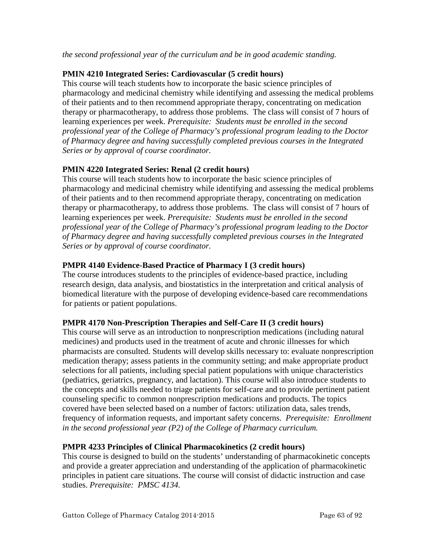*the second professional year of the curriculum and be in good academic standing.*

### **PMIN 4210 Integrated Series: Cardiovascular (5 credit hours)**

This course will teach students how to incorporate the basic science principles of pharmacology and medicinal chemistry while identifying and assessing the medical problems of their patients and to then recommend appropriate therapy, concentrating on medication therapy or pharmacotherapy, to address those problems. The class will consist of 7 hours of learning experiences per week. *Prerequisite: Students must be enrolled in the second professional year of the College of Pharmacy's professional program leading to the Doctor of Pharmacy degree and having successfully completed previous courses in the Integrated Series or by approval of course coordinator.*

# **PMIN 4220 Integrated Series: Renal (2 credit hours)**

This course will teach students how to incorporate the basic science principles of pharmacology and medicinal chemistry while identifying and assessing the medical problems of their patients and to then recommend appropriate therapy, concentrating on medication therapy or pharmacotherapy, to address those problems. The class will consist of 7 hours of learning experiences per week. *Prerequisite: Students must be enrolled in the second professional year of the College of Pharmacy's professional program leading to the Doctor of Pharmacy degree and having successfully completed previous courses in the Integrated Series or by approval of course coordinator.*

# **PMPR 4140 Evidence-Based Practice of Pharmacy I (3 credit hours)**

The course introduces students to the principles of evidence-based practice, including research design, data analysis, and biostatistics in the interpretation and critical analysis of biomedical literature with the purpose of developing evidence-based care recommendations for patients or patient populations.

### **PMPR 4170 Non-Prescription Therapies and Self-Care II (3 credit hours)**

This course will serve as an introduction to nonprescription medications (including natural medicines) and products used in the treatment of acute and chronic illnesses for which pharmacists are consulted. Students will develop skills necessary to: evaluate nonprescription medication therapy; assess patients in the community setting; and make appropriate product selections for all patients, including special patient populations with unique characteristics (pediatrics, geriatrics, pregnancy, and lactation). This course will also introduce students to the concepts and skills needed to triage patients for self-care and to provide pertinent patient counseling specific to common nonprescription medications and products. The topics covered have been selected based on a number of factors: utilization data, sales trends, frequency of information requests, and important safety concerns. *Prerequisite: Enrollment in the second professional year (P2) of the College of Pharmacy curriculum.*

### **PMPR 4233 Principles of Clinical Pharmacokinetics (2 credit hours)**

This course is designed to build on the students' understanding of pharmacokinetic concepts and provide a greater appreciation and understanding of the application of pharmacokinetic principles in patient care situations. The course will consist of didactic instruction and case studies. *Prerequisite: PMSC 4134.*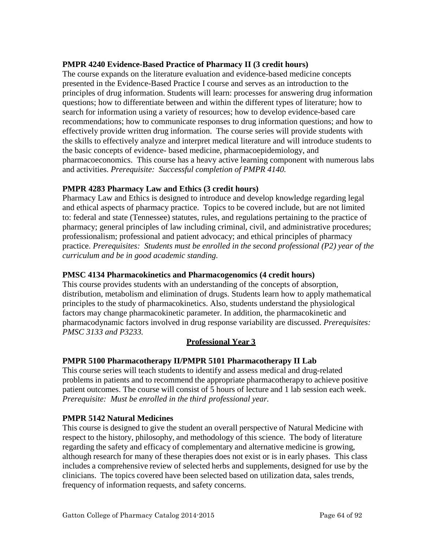### **PMPR 4240 Evidence-Based Practice of Pharmacy II (3 credit hours)**

The course expands on the literature evaluation and evidence-based medicine concepts presented in the Evidence-Based Practice I course and serves as an introduction to the principles of drug information. Students will learn: processes for answering drug information questions; how to differentiate between and within the different types of literature; how to search for information using a variety of resources; how to develop evidence-based care recommendations; how to communicate responses to drug information questions; and how to effectively provide written drug information. The course series will provide students with the skills to effectively analyze and interpret medical literature and will introduce students to the basic concepts of evidence- based medicine, pharmacoepidemiology, and pharmacoeconomics. This course has a heavy active learning component with numerous labs and activities. *Prerequisite: Successful completion of PMPR 4140.*

### **PMPR 4283 Pharmacy Law and Ethics (3 credit hours)**

Pharmacy Law and Ethics is designed to introduce and develop knowledge regarding legal and ethical aspects of pharmacy practice. Topics to be covered include, but are not limited to: federal and state (Tennessee) statutes, rules, and regulations pertaining to the practice of pharmacy; general principles of law including criminal, civil, and administrative procedures; professionalism; professional and patient advocacy; and ethical principles of pharmacy practice. *Prerequisites: Students must be enrolled in the second professional (P2) year of the curriculum and be in good academic standing.*

#### **PMSC 4134 Pharmacokinetics and Pharmacogenomics (4 credit hours)**

This course provides students with an understanding of the concepts of absorption, distribution, metabolism and elimination of drugs. Students learn how to apply mathematical principles to the study of pharmacokinetics. Also, students understand the physiological factors may change pharmacokinetic parameter. In addition, the pharmacokinetic and pharmacodynamic factors involved in drug response variability are discussed. *Prerequisites: PMSC 3133 and P3233.*

### **Professional Year 3**

### **PMPR 5100 Pharmacotherapy II/PMPR 5101 Pharmacotherapy II Lab**

This course series will teach students to identify and assess medical and drug-related problems in patients and to recommend the appropriate pharmacotherapy to achieve positive patient outcomes. The course will consist of 5 hours of lecture and 1 lab session each week. *Prerequisite: Must be enrolled in the third professional year.*

### **PMPR 5142 Natural Medicines**

This course is designed to give the student an overall perspective of Natural Medicine with respect to the history, philosophy, and methodology of this science. The body of literature regarding the safety and efficacy of complementary and alternative medicine is growing, although research for many of these therapies does not exist or is in early phases. This class includes a comprehensive review of selected herbs and supplements, designed for use by the clinicians. The topics covered have been selected based on utilization data, sales trends, frequency of information requests, and safety concerns.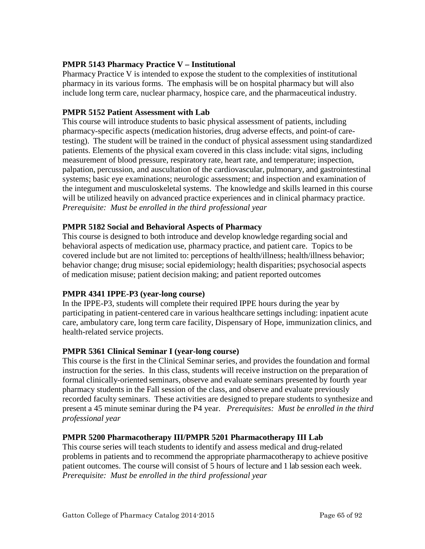### **PMPR 5143 Pharmacy Practice V – Institutional**

Pharmacy Practice V is intended to expose the student to the complexities of institutional pharmacy in its various forms. The emphasis will be on hospital pharmacy but will also include long term care, nuclear pharmacy, hospice care, and the pharmaceutical industry.

#### **PMPR 5152 Patient Assessment with Lab**

This course will introduce students to basic physical assessment of patients, including pharmacy-specific aspects (medication histories, drug adverse effects, and point-of caretesting). The student will be trained in the conduct of physical assessment using standardized patients. Elements of the physical exam covered in this class include: vital signs, including measurement of blood pressure, respiratory rate, heart rate, and temperature; inspection, palpation, percussion, and auscultation of the cardiovascular, pulmonary, and gastrointestinal systems; basic eye examinations; neurologic assessment; and inspection and examination of the integument and musculoskeletalsystems. The knowledge and skills learned in this course will be utilized heavily on advanced practice experiences and in clinical pharmacy practice. *Prerequisite: Must be enrolled in the third professional year*

#### **PMPR 5182 Social and Behavioral Aspects of Pharmacy**

This course is designed to both introduce and develop knowledge regarding social and behavioral aspects of medication use, pharmacy practice, and patient care. Topics to be covered include but are not limited to: perceptions of health/illness; health/illness behavior; behavior change; drug misuse; social epidemiology; health disparities; psychosocial aspects of medication misuse; patient decision making; and patient reported outcomes

#### **PMPR 4341 IPPE-P3 (year-long course)**

In the IPPE-P3, students will complete their required IPPE hours during the year by participating in patient-centered care in various healthcare settings including: inpatient acute care, ambulatory care, long term care facility, Dispensary of Hope, immunization clinics, and health-related service projects.

#### **PMPR 5361 Clinical Seminar I (year-long course)**

This course is the first in the Clinical Seminar series, and provides the foundation and formal instruction for the series. In this class, students will receive instruction on the preparation of formal clinically-oriented seminars, observe and evaluate seminars presented by fourth year pharmacy students in the Fall session of the class, and observe and evaluate previously recorded faculty seminars. These activities are designed to prepare students to synthesize and present a 45 minute seminar during the P4 year. *Prerequisites: Must be enrolled in the third professional year*

#### **PMPR 5200 Pharmacotherapy III/PMPR 5201 Pharmacotherapy III Lab**

This course series will teach students to identify and assess medical and drug-related problems in patients and to recommend the appropriate pharmacotherapy to achieve positive patient outcomes. The course will consist of 5 hours of lecture and 1 lab session each week. *Prerequisite: Must be enrolled in the third professional year*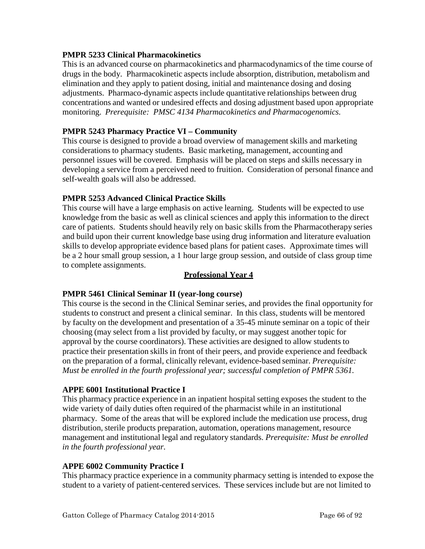### **PMPR 5233 Clinical Pharmacokinetics**

This is an advanced course on pharmacokinetics and pharmacodynamics of the time course of drugs in the body. Pharmacokinetic aspects include absorption, distribution, metabolism and elimination and they apply to patient dosing, initial and maintenance dosing and dosing adjustments. Pharmaco-dynamic aspects include quantitative relationships between drug concentrations and wanted or undesired effects and dosing adjustment based upon appropriate monitoring. *Prerequisite: PMSC 4134 Pharmacokinetics and Pharmacogenomics.*

### **PMPR 5243 Pharmacy Practice VI – Community**

This course is designed to provide a broad overview of management skills and marketing considerations to pharmacy students. Basic marketing, management, accounting and personnel issues will be covered. Emphasis will be placed on steps and skills necessary in developing a service from a perceived need to fruition. Consideration of personal finance and self-wealth goals will also be addressed.

### **PMPR 5253 Advanced Clinical Practice Skills**

This course will have a large emphasis on active learning. Students will be expected to use knowledge from the basic as well as clinical sciences and apply this information to the direct care of patients. Students should heavily rely on basic skills from the Pharmacotherapy series and build upon their current knowledge base using drug information and literature evaluation skills to develop appropriate evidence based plans for patient cases. Approximate times will be a 2 hour small group session, a 1 hour large group session, and outside of class group time to complete assignments.

#### **Professional Year 4**

### **PMPR 5461 Clinical Seminar II (year-long course)**

This course is the second in the Clinical Seminar series, and provides the final opportunity for students to construct and present a clinical seminar. In this class, students will be mentored by faculty on the development and presentation of a 35-45 minute seminar on a topic of their choosing (may select from a list provided by faculty, or may suggest another topic for approval by the course coordinators). These activities are designed to allow students to practice their presentation skills in front of their peers, and provide experience and feedback on the preparation of a formal, clinically relevant, evidence-based seminar. *Prerequisite: Must be enrolled in the fourth professional year; successful completion of PMPR 5361.*

#### **APPE 6001 Institutional Practice I**

This pharmacy practice experience in an inpatient hospital setting exposes the student to the wide variety of daily duties often required of the pharmacist while in an institutional pharmacy. Some of the areas that will be explored include the medication use process, drug distribution, sterile products preparation, automation, operations management, resource management and institutional legal and regulatory standards. *Prerequisite: Must be enrolled in the fourth professional year.*

#### **APPE 6002 Community Practice I**

This pharmacy practice experience in a community pharmacy setting is intended to expose the student to a variety of patient-centered services. These services include but are not limited to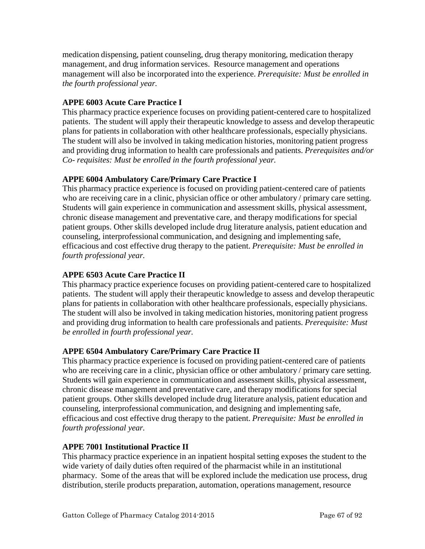medication dispensing, patient counseling, drug therapy monitoring, medication therapy management, and drug information services. Resource management and operations management will also be incorporated into the experience. *Prerequisite: Must be enrolled in the fourth professional year.*

# **APPE 6003 Acute Care Practice I**

This pharmacy practice experience focuses on providing patient-centered care to hospitalized patients. The student will apply their therapeutic knowledge to assess and develop therapeutic plans for patients in collaboration with other healthcare professionals, especially physicians. The student will also be involved in taking medication histories, monitoring patient progress and providing drug information to health care professionals and patients. *Prerequisites and/or Co- requisites: Must be enrolled in the fourth professional year.*

# **APPE 6004 Ambulatory Care/Primary Care Practice I**

This pharmacy practice experience is focused on providing patient-centered care of patients who are receiving care in a clinic, physician office or other ambulatory / primary care setting. Students will gain experience in communication and assessment skills, physical assessment, chronic disease management and preventative care, and therapy modifications for special patient groups. Other skills developed include drug literature analysis, patient education and counseling, interprofessional communication, and designing and implementing safe, efficacious and cost effective drug therapy to the patient. *Prerequisite: Must be enrolled in fourth professional year.*

### **APPE 6503 Acute Care Practice II**

This pharmacy practice experience focuses on providing patient-centered care to hospitalized patients. The student will apply their therapeutic knowledge to assess and develop therapeutic plans for patients in collaboration with other healthcare professionals, especially physicians. The student will also be involved in taking medication histories, monitoring patient progress and providing drug information to health care professionals and patients. *Prerequisite: Must be enrolled in fourth professional year.*

### **APPE 6504 Ambulatory Care/Primary Care Practice II**

This pharmacy practice experience is focused on providing patient-centered care of patients who are receiving care in a clinic, physician office or other ambulatory / primary care setting. Students will gain experience in communication and assessment skills, physical assessment, chronic disease management and preventative care, and therapy modifications for special patient groups. Other skills developed include drug literature analysis, patient education and counseling, interprofessional communication, and designing and implementing safe, efficacious and cost effective drug therapy to the patient. *Prerequisite: Must be enrolled in fourth professional year.*

### **APPE 7001 Institutional Practice II**

This pharmacy practice experience in an inpatient hospital setting exposes the student to the wide variety of daily duties often required of the pharmacist while in an institutional pharmacy. Some of the areas that will be explored include the medication use process, drug distribution, sterile products preparation, automation, operations management, resource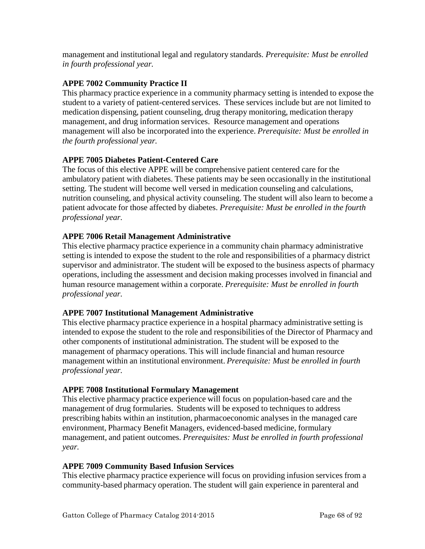management and institutional legal and regulatory standards. *Prerequisite: Must be enrolled in fourth professional year.*

# **APPE 7002 Community Practice II**

This pharmacy practice experience in a community pharmacy setting is intended to expose the student to a variety of patient-centered services. These services include but are not limited to medication dispensing, patient counseling, drug therapy monitoring, medication therapy management, and drug information services. Resource management and operations management will also be incorporated into the experience. *Prerequisite: Must be enrolled in the fourth professional year.*

# **APPE 7005 Diabetes Patient-Centered Care**

The focus of this elective APPE will be comprehensive patient centered care for the ambulatory patient with diabetes. These patients may be seen occasionally in the institutional setting. The student will become well versed in medication counseling and calculations, nutrition counseling, and physical activity counseling. The student will also learn to become a patient advocate for those affected by diabetes. *Prerequisite: Must be enrolled in the fourth professional year.*

# **APPE 7006 Retail Management Administrative**

This elective pharmacy practice experience in a community chain pharmacy administrative setting is intended to expose the student to the role and responsibilities of a pharmacy district supervisor and administrator. The student will be exposed to the business aspects of pharmacy operations, including the assessment and decision making processes involved in financial and human resource management within a corporate. *Prerequisite: Must be enrolled in fourth professional year.*

### **APPE 7007 Institutional Management Administrative**

This elective pharmacy practice experience in a hospital pharmacy administrative setting is intended to expose the student to the role and responsibilities of the Director of Pharmacy and other components of institutional administration. The student will be exposed to the management of pharmacy operations. This will include financial and human resource management within an institutional environment. *Prerequisite: Must be enrolled in fourth professional year.*

### **APPE 7008 Institutional Formulary Management**

This elective pharmacy practice experience will focus on population-based care and the management of drug formularies. Students will be exposed to techniques to address prescribing habits within an institution, pharmacoeconomic analyses in the managed care environment, Pharmacy Benefit Managers, evidenced-based medicine, formulary management, and patient outcomes. *Prerequisites: Must be enrolled in fourth professional year.*

### **APPE 7009 Community Based Infusion Services**

This elective pharmacy practice experience will focus on providing infusion services from a community-based pharmacy operation. The student will gain experience in parenteral and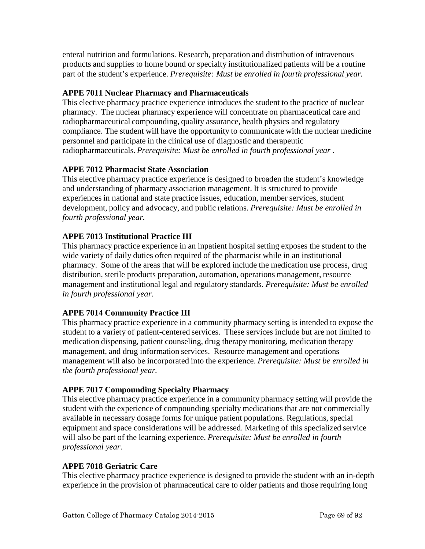enteral nutrition and formulations. Research, preparation and distribution of intravenous products and supplies to home bound or specialty institutionalized patients will be a routine part of the student's experience. *Prerequisite: Must be enrolled in fourth professional year.*

# **APPE 7011 Nuclear Pharmacy and Pharmaceuticals**

This elective pharmacy practice experience introduces the student to the practice of nuclear pharmacy. The nuclear pharmacy experience will concentrate on pharmaceutical care and radiopharmaceutical compounding, quality assurance, health physics and regulatory compliance. The student will have the opportunity to communicate with the nuclear medicine personnel and participate in the clinical use of diagnostic and therapeutic radiopharmaceuticals. *Prerequisite: Must be enrolled in fourth professional year .*

# **APPE 7012 Pharmacist State Association**

This elective pharmacy practice experience is designed to broaden the student's knowledge and understanding of pharmacy association management. It is structured to provide experiences in national and state practice issues, education, member services, student development, policy and advocacy, and public relations. *Prerequisite: Must be enrolled in fourth professional year.*

# **APPE 7013 Institutional Practice III**

This pharmacy practice experience in an inpatient hospital setting exposes the student to the wide variety of daily duties often required of the pharmacist while in an institutional pharmacy. Some of the areas that will be explored include the medication use process, drug distribution, sterile products preparation, automation, operations management, resource management and institutional legal and regulatory standards. *Prerequisite: Must be enrolled in fourth professional year.*

# **APPE 7014 Community Practice III**

This pharmacy practice experience in a community pharmacy setting is intended to expose the student to a variety of patient-centered services. These services include but are not limited to medication dispensing, patient counseling, drug therapy monitoring, medication therapy management, and drug information services. Resource management and operations management will also be incorporated into the experience. *Prerequisite: Must be enrolled in the fourth professional year.*

# **APPE 7017 Compounding Specialty Pharmacy**

This elective pharmacy practice experience in a community pharmacy setting will provide the student with the experience of compounding specialty medications that are not commercially available in necessary dosage forms for unique patient populations. Regulations, special equipment and space considerations will be addressed. Marketing of this specialized service will also be part of the learning experience. *Prerequisite: Must be enrolled in fourth professional year.*

# **APPE 7018 Geriatric Care**

This elective pharmacy practice experience is designed to provide the student with an in-depth experience in the provision of pharmaceutical care to older patients and those requiring long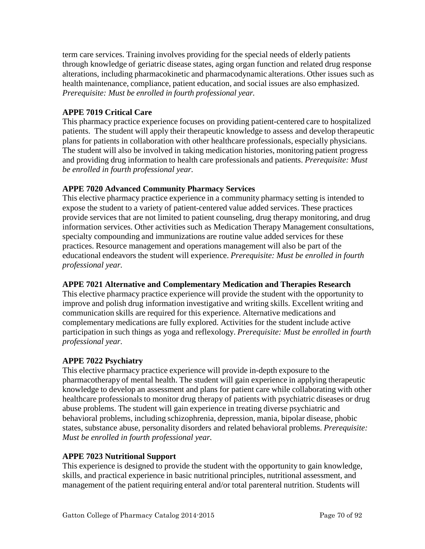term care services. Training involves providing for the special needs of elderly patients through knowledge of geriatric disease states, aging organ function and related drug response alterations, including pharmacokinetic and pharmacodynamic alterations. Other issues such as health maintenance, compliance, patient education, and social issues are also emphasized. *Prerequisite: Must be enrolled in fourth professional year.*

# **APPE 7019 Critical Care**

This pharmacy practice experience focuses on providing patient-centered care to hospitalized patients. The student will apply their therapeutic knowledge to assess and develop therapeutic plans for patients in collaboration with other healthcare professionals, especially physicians. The student will also be involved in taking medication histories, monitoring patient progress and providing drug information to health care professionals and patients. *Prerequisite: Must be enrolled in fourth professional year.*

# **APPE 7020 Advanced Community Pharmacy Services**

This elective pharmacy practice experience in a community pharmacy setting is intended to expose the student to a variety of patient-centered value added services. These practices provide services that are not limited to patient counseling, drug therapy monitoring, and drug information services. Other activities such as Medication Therapy Management consultations, specialty compounding and immunizations are routine value added services for these practices. Resource management and operations management will also be part of the educational endeavors the student will experience. *Prerequisite: Must be enrolled in fourth professional year.*

# **APPE 7021 Alternative and Complementary Medication and Therapies Research**

This elective pharmacy practice experience will provide the student with the opportunity to improve and polish drug information investigative and writing skills. Excellent writing and communication skills are required for this experience. Alternative medications and complementary medications are fully explored. Activities for the student include active participation in such things as yoga and reflexology. *Prerequisite: Must be enrolled in fourth professional year.*

### **APPE 7022 Psychiatry**

This elective pharmacy practice experience will provide in-depth exposure to the pharmacotherapy of mental health. The student will gain experience in applying therapeutic knowledge to develop an assessment and plans for patient care while collaborating with other healthcare professionals to monitor drug therapy of patients with psychiatric diseases or drug abuse problems. The student will gain experience in treating diverse psychiatric and behavioral problems, including schizophrenia, depression, mania, bipolar disease, phobic states, substance abuse, personality disorders and related behavioral problems. *Prerequisite: Must be enrolled in fourth professional year.*

### **APPE 7023 Nutritional Support**

This experience is designed to provide the student with the opportunity to gain knowledge, skills, and practical experience in basic nutritional principles, nutritional assessment, and management of the patient requiring enteral and/or total parenteral nutrition. Students will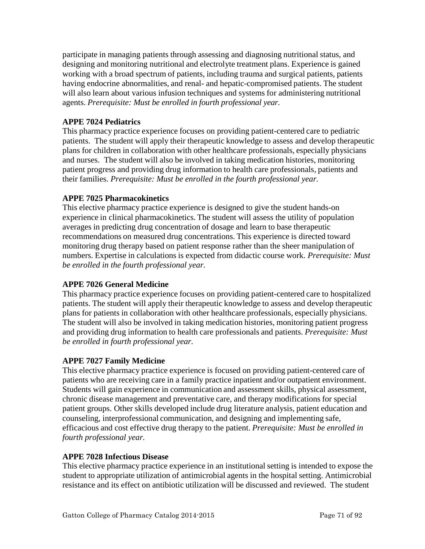participate in managing patients through assessing and diagnosing nutritional status, and designing and monitoring nutritional and electrolyte treatment plans. Experience is gained working with a broad spectrum of patients, including trauma and surgical patients, patients having endocrine abnormalities, and renal- and hepatic-compromised patients. The student will also learn about various infusion techniques and systems for administering nutritional agents. *Prerequisite: Must be enrolled in fourth professional year.*

# **APPE 7024 Pediatrics**

This pharmacy practice experience focuses on providing patient-centered care to pediatric patients. The student will apply their therapeutic knowledge to assess and develop therapeutic plans for children in collaboration with other healthcare professionals, especially physicians and nurses. The student will also be involved in taking medication histories, monitoring patient progress and providing drug information to health care professionals, patients and their families. *Prerequisite: Must be enrolled in the fourth professional year.*

### **APPE 7025 Pharmacokinetics**

This elective pharmacy practice experience is designed to give the student hands-on experience in clinical pharmacokinetics. The student will assess the utility of population averages in predicting drug concentration of dosage and learn to base therapeutic recommendations on measured drug concentrations. This experience is directed toward monitoring drug therapy based on patient response rather than the sheer manipulation of numbers. Expertise in calculations is expected from didactic course work. *Prerequisite: Must be enrolled in the fourth professional year.*

### **APPE 7026 General Medicine**

This pharmacy practice experience focuses on providing patient-centered care to hospitalized patients. The student will apply their therapeutic knowledge to assess and develop therapeutic plans for patients in collaboration with other healthcare professionals, especially physicians. The student will also be involved in taking medication histories, monitoring patient progress and providing drug information to health care professionals and patients. *Prerequisite: Must be enrolled in fourth professional year.*

### **APPE 7027 Family Medicine**

This elective pharmacy practice experience is focused on providing patient-centered care of patients who are receiving care in a family practice inpatient and/or outpatient environment. Students will gain experience in communication and assessment skills, physical assessment, chronic disease management and preventative care, and therapy modifications for special patient groups. Other skills developed include drug literature analysis, patient education and counseling, interprofessional communication, and designing and implementing safe, efficacious and cost effective drug therapy to the patient. *Prerequisite: Must be enrolled in fourth professional year.*

### **APPE 7028 Infectious Disease**

This elective pharmacy practice experience in an institutional setting is intended to expose the student to appropriate utilization of antimicrobial agents in the hospital setting. Antimicrobial resistance and its effect on antibiotic utilization will be discussed and reviewed. The student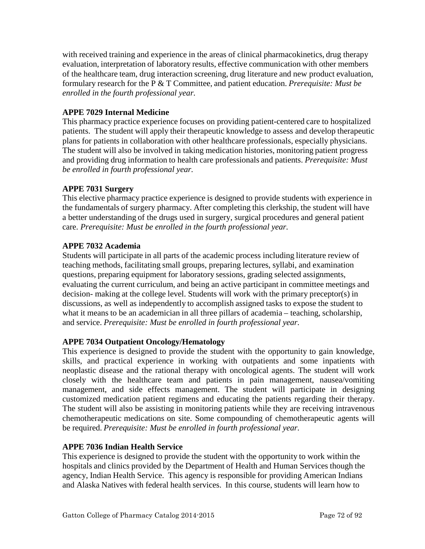with received training and experience in the areas of clinical pharmacokinetics, drug therapy evaluation, interpretation of laboratory results, effective communication with other members of the healthcare team, drug interaction screening, drug literature and new product evaluation, formulary research for the P & T Committee, and patient education. *Prerequisite: Must be enrolled in the fourth professional year.*

### **APPE 7029 Internal Medicine**

This pharmacy practice experience focuses on providing patient-centered care to hospitalized patients. The student will apply their therapeutic knowledge to assess and develop therapeutic plans for patients in collaboration with other healthcare professionals, especially physicians. The student will also be involved in taking medication histories, monitoring patient progress and providing drug information to health care professionals and patients. *Prerequisite: Must be enrolled in fourth professional year.*

# **APPE 7031 Surgery**

This elective pharmacy practice experience is designed to provide students with experience in the fundamentals of surgery pharmacy. After completing this clerkship, the student will have a better understanding of the drugs used in surgery, surgical procedures and general patient care. *Prerequisite: Must be enrolled in the fourth professional year.*

# **APPE 7032 Academia**

Students will participate in all parts of the academic process including literature review of teaching methods, facilitating small groups, preparing lectures, syllabi, and examination questions, preparing equipment for laboratory sessions, grading selected assignments, evaluating the current curriculum, and being an active participant in committee meetings and decision- making at the college level. Students will work with the primary preceptor(s) in discussions, as well as independently to accomplish assigned tasks to expose the student to what it means to be an academician in all three pillars of academia – teaching, scholarship, and service. *Prerequisite: Must be enrolled in fourth professional year.*

### **APPE 7034 Outpatient Oncology/Hematology**

This experience is designed to provide the student with the opportunity to gain knowledge, skills, and practical experience in working with outpatients and some inpatients with neoplastic disease and the rational therapy with oncological agents. The student will work closely with the healthcare team and patients in pain management, nausea/vomiting management, and side effects management. The student will participate in designing customized medication patient regimens and educating the patients regarding their therapy. The student will also be assisting in monitoring patients while they are receiving intravenous chemotherapeutic medications on site. Some compounding of chemotherapeutic agents will be required. *Prerequisite: Must be enrolled in fourth professional year.*

### **APPE 7036 Indian Health Service**

This experience is designed to provide the student with the opportunity to work within the hospitals and clinics provided by the Department of Health and Human Services though the agency, Indian Health Service. This agency is responsible for providing American Indians and Alaska Natives with federal health services. In this course, students will learn how to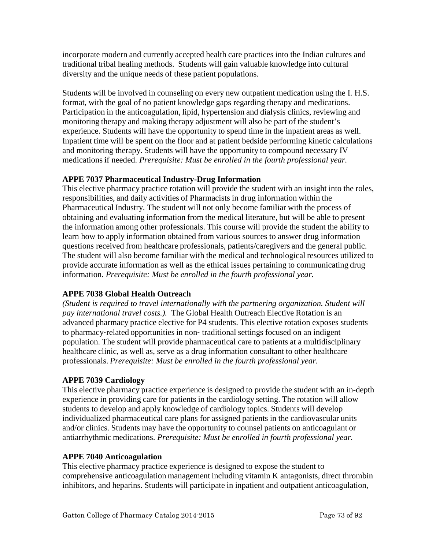incorporate modern and currently accepted health care practices into the Indian cultures and traditional tribal healing methods. Students will gain valuable knowledge into cultural diversity and the unique needs of these patient populations.

Students will be involved in counseling on every new outpatient medication using the I. H.S. format, with the goal of no patient knowledge gaps regarding therapy and medications. Participation in the anticoagulation, lipid, hypertension and dialysis clinics, reviewing and monitoring therapy and making therapy adjustment will also be part of the student's experience. Students will have the opportunity to spend time in the inpatient areas as well. Inpatient time will be spent on the floor and at patient bedside performing kinetic calculations and monitoring therapy. Students will have the opportunity to compound necessary IV medications if needed. *Prerequisite: Must be enrolled in the fourth professional year.*

# **APPE 7037 Pharmaceutical Industry-Drug Information**

This elective pharmacy practice rotation will provide the student with an insight into the roles, responsibilities, and daily activities of Pharmacists in drug information within the Pharmaceutical Industry. The student will not only become familiar with the process of obtaining and evaluating information from the medical literature, but will be able to present the information among other professionals. This course will provide the student the ability to learn how to apply information obtained from various sources to answer drug information questions received from healthcare professionals, patients/caregivers and the general public. The student will also become familiar with the medical and technological resources utilized to provide accurate information as well as the ethical issues pertaining to communicating drug information. *Prerequisite: Must be enrolled in the fourth professional year.*

# **APPE 7038 Global Health Outreach**

*(Student is required to travel internationally with the partnering organization. Student will pay international travel costs.).* The Global Health Outreach Elective Rotation is an advanced pharmacy practice elective for P4 students. This elective rotation exposes students to pharmacy‐related opportunities in non‐ traditional settings focused on an indigent population. The student will provide pharmaceutical care to patients at a multidisciplinary healthcare clinic, as well as, serve as a drug information consultant to other healthcare professionals. *Prerequisite: Must be enrolled in the fourth professional year.* 

## **APPE 7039 Cardiology**

This elective pharmacy practice experience is designed to provide the student with an in-depth experience in providing care for patients in the cardiology setting. The rotation will allow students to develop and apply knowledge of cardiology topics. Students will develop individualized pharmaceutical care plans for assigned patients in the cardiovascular units and/or clinics. Students may have the opportunity to counsel patients on anticoagulant or antiarrhythmic medications. *Prerequisite: Must be enrolled in fourth professional year.*

## **APPE 7040 Anticoagulation**

This elective pharmacy practice experience is designed to expose the student to comprehensive anticoagulation management including vitamin K antagonists, direct thrombin inhibitors, and heparins. Students will participate in inpatient and outpatient anticoagulation,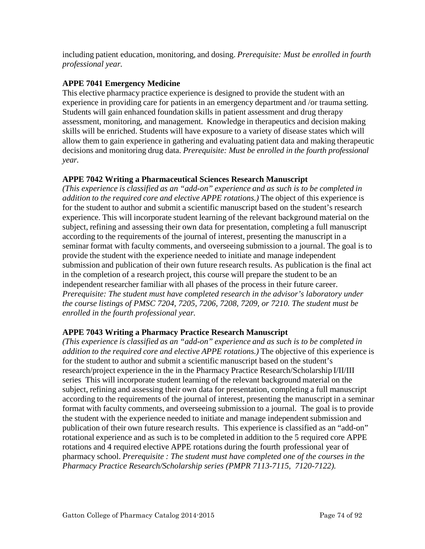including patient education, monitoring, and dosing. *Prerequisite: Must be enrolled in fourth professional year.*

#### **APPE 7041 Emergency Medicine**

This elective pharmacy practice experience is designed to provide the student with an experience in providing care for patients in an emergency department and /or trauma setting. Students will gain enhanced foundation skills in patient assessment and drug therapy assessment, monitoring, and management. Knowledge in therapeutics and decision making skills will be enriched. Students will have exposure to a variety of disease states which will allow them to gain experience in gathering and evaluating patient data and making therapeutic decisions and monitoring drug data. *Prerequisite: Must be enrolled in the fourth professional year.*

## **APPE 7042 Writing a Pharmaceutical Sciences Research Manuscript**

*(This experience is classified as an "add-on" experience and as such is to be completed in addition to the required core and elective APPE rotations.)* The object of this experience is for the student to author and submit a scientific manuscript based on the student's research experience. This will incorporate student learning of the relevant background material on the subject, refining and assessing their own data for presentation, completing a full manuscript according to the requirements of the journal of interest, presenting the manuscript in a seminar format with faculty comments, and overseeing submission to a journal. The goal is to provide the student with the experience needed to initiate and manage independent submission and publication of their own future research results. As publication is the final act in the completion of a research project, this course will prepare the student to be an independent researcher familiar with all phases of the process in their future career. *Prerequisite: The student must have completed research in the advisor's laboratory under the course listings of PMSC 7204, 7205, 7206, 7208, 7209, or 7210. The student must be enrolled in the fourth professional year.*

## **APPE 7043 Writing a Pharmacy Practice Research Manuscript**

*(This experience is classified as an "add-on" experience and as such is to be completed in addition to the required core and elective APPE rotations.)* The objective of this experience is for the student to author and submit a scientific manuscript based on the student's research/project experience in the in the Pharmacy Practice Research/Scholarship I/II/III series This will incorporate student learning of the relevant background material on the subject, refining and assessing their own data for presentation, completing a full manuscript according to the requirements of the journal of interest, presenting the manuscript in a seminar format with faculty comments, and overseeing submission to a journal. The goal is to provide the student with the experience needed to initiate and manage independent submission and publication of their own future research results. This experience is classified as an "add-on" rotational experience and as such is to be completed in addition to the 5 required core APPE rotations and 4 required elective APPE rotations during the fourth professional year of pharmacy school. *Prerequisite : The student must have completed one of the courses in the Pharmacy Practice Research/Scholarship series (PMPR 7113-7115, 7120-7122).*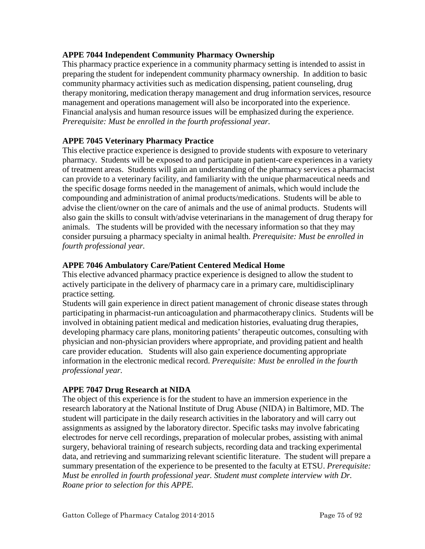## **APPE 7044 Independent Community Pharmacy Ownership**

This pharmacy practice experience in a community pharmacy setting is intended to assist in preparing the student for independent community pharmacy ownership. In addition to basic community pharmacy activities such as medication dispensing, patient counseling, drug therapy monitoring, medication therapy management and drug information services, resource management and operations management will also be incorporated into the experience. Financial analysis and human resource issues will be emphasized during the experience. *Prerequisite: Must be enrolled in the fourth professional year.*

#### **APPE 7045 Veterinary Pharmacy Practice**

This elective practice experience is designed to provide students with exposure to veterinary pharmacy. Students will be exposed to and participate in patient-care experiences in a variety of treatment areas. Students will gain an understanding of the pharmacy services a pharmacist can provide to a veterinary facility, and familiarity with the unique pharmaceutical needs and the specific dosage forms needed in the management of animals, which would include the compounding and administration of animal products/medications. Students will be able to advise the client/owner on the care of animals and the use of animal products. Students will also gain the skills to consult with/advise veterinarians in the management of drug therapy for animals. The students will be provided with the necessary information so that they may consider pursuing a pharmacy specialty in animal health. *Prerequisite: Must be enrolled in fourth professional year.*

#### **APPE 7046 Ambulatory Care/Patient Centered Medical Home**

This elective advanced pharmacy practice experience is designed to allow the student to actively participate in the delivery of pharmacy care in a primary care, multidisciplinary practice setting.

Students will gain experience in direct patient management of chronic disease states through participating in pharmacist-run anticoagulation and pharmacotherapy clinics. Students will be involved in obtaining patient medical and medication histories, evaluating drug therapies, developing pharmacy care plans, monitoring patients' therapeutic outcomes, consulting with physician and non-physician providers where appropriate, and providing patient and health care provider education. Students will also gain experience documenting appropriate information in the electronic medical record. *Prerequisite: Must be enrolled in the fourth professional year.*

## **APPE 7047 Drug Research at NIDA**

The object of this experience is for the student to have an immersion experience in the research laboratory at the National Institute of Drug Abuse (NIDA) in Baltimore, MD. The student will participate in the daily research activities in the laboratory and will carry out assignments as assigned by the laboratory director. Specific tasks may involve fabricating electrodes for nerve cell recordings, preparation of molecular probes, assisting with animal surgery, behavioral training of research subjects, recording data and tracking experimental data, and retrieving and summarizing relevant scientific literature. The student will prepare a summary presentation of the experience to be presented to the faculty at ETSU. *Prerequisite: Must be enrolled in fourth professional year. Student must complete interview with Dr. Roane prior to selection for this APPE.*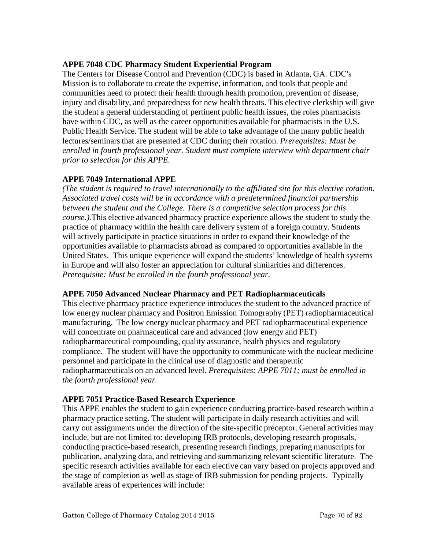#### **APPE 7048 CDC Pharmacy Student Experiential Program**

The Centers for Disease Control and Prevention (CDC) is based in Atlanta, GA. CDC′s Mission is to collaborate to create the expertise, information, and tools that people and communities need to protect their health through health promotion, prevention of disease, injury and disability, and preparedness for new health threats. This elective clerkship will give the student a general understanding of pertinent public health issues, the roles pharmacists have within CDC, as well as the career opportunities available for pharmacists in the U.S. Public Health Service. The student will be able to take advantage of the many public health lectures/seminars that are presented at CDC during their rotation. *Prerequisites: Must be enrolled in fourth professional year. Student must complete interview with department chair prior to selection for this APPE.*

## **APPE 7049 International APPE**

*(The student is required to travel internationally to the affiliated site for this elective rotation. Associated travel costs will be in accordance with a predetermined financial partnership between the student and the College. There is a competitive selection process for this course.).*This elective advanced pharmacy practice experience allows the student to study the practice of pharmacy within the health care delivery system of a foreign country. Students will actively participate in practice situations in order to expand their knowledge of the opportunities available to pharmacists abroad as compared to opportunities available in the United States. This unique experience will expand the students' knowledge of health systems in Europe and will also foster an appreciation for cultural similarities and differences. *Prerequisite: Must be enrolled in the fourth professional year.* 

## **APPE 7050 Advanced Nuclear Pharmacy and PET Radiopharmaceuticals**

This elective pharmacy practice experience introduces the student to the advanced practice of low energy nuclear pharmacy and Positron Emission Tomography (PET) radiopharmaceutical manufacturing. The low energy nuclear pharmacy and PET radiopharmaceutical experience will concentrate on pharmaceutical care and advanced (low energy and PET) radiopharmaceutical compounding, quality assurance, health physics and regulatory compliance. The student will have the opportunity to communicate with the nuclear medicine personnel and participate in the clinical use of diagnostic and therapeutic radiopharmaceuticals on an advanced level. *Prerequisites: APPE 7011; must be enrolled in the fourth professional year.*

## **APPE 7051 Practice-Based Research Experience**

This APPE enables the student to gain experience conducting practice-based research within a pharmacy practice setting. The student will participate in daily research activities and will carry out assignments under the direction of the site-specific preceptor. General activities may include, but are not limited to: developing IRB protocols, developing research proposals, conducting practice-based research, presenting research findings, preparing manuscripts for publication, analyzing data, and retrieving and summarizing relevant scientific literature. The specific research activities available for each elective can vary based on projects approved and the stage of completion as well as stage of IRB submission for pending projects. Typically available areas of experiences will include: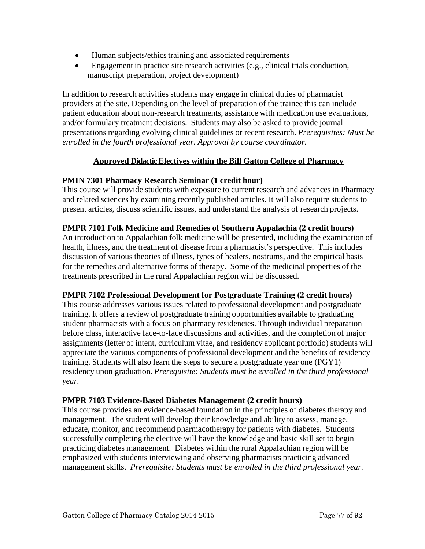- Human subjects/ethics training and associated requirements
- Engagement in practice site research activities (e.g., clinical trials conduction, manuscript preparation, project development)

In addition to research activities students may engage in clinical duties of pharmacist providers at the site. Depending on the level of preparation of the trainee this can include patient education about non-research treatments, assistance with medication use evaluations, and/or formulary treatment decisions. Students may also be asked to provide journal presentations regarding evolving clinical guidelines or recent research. *Prerequisites: Must be enrolled in the fourth professional year. Approval by course coordinator.*

#### **Approved Didactic Electives within the Bill Gatton College of Pharmacy**

#### **PMIN 7301 Pharmacy Research Seminar (1 credit hour)**

This course will provide students with exposure to current research and advances in Pharmacy and related sciences by examining recently published articles. It will also require students to present articles, discuss scientific issues, and understand the analysis of research projects.

#### **PMPR 7101 Folk Medicine and Remedies of Southern Appalachia (2 credit hours)**

An introduction to Appalachian folk medicine will be presented, including the examination of health, illness, and the treatment of disease from a pharmacist's perspective. This includes discussion of various theories of illness, types of healers, nostrums, and the empirical basis for the remedies and alternative forms of therapy. Some of the medicinal properties of the treatments prescribed in the rural Appalachian region will be discussed.

## **PMPR 7102 Professional Development for Postgraduate Training (2 credit hours)**

This course addresses various issues related to professional development and postgraduate training. It offers a review of postgraduate training opportunities available to graduating student pharmacists with a focus on pharmacy residencies. Through individual preparation before class, interactive face-to-face discussions and activities, and the completion of major assignments (letter of intent, curriculum vitae, and residency applicant portfolio) students will appreciate the various components of professional development and the benefits of residency training. Students will also learn the steps to secure a postgraduate year one (PGY1) residency upon graduation. *Prerequisite: Students must be enrolled in the third professional year.*

#### **PMPR 7103 Evidence-Based Diabetes Management (2 credit hours)**

This course provides an evidence-based foundation in the principles of diabetes therapy and management. The student will develop their knowledge and ability to assess, manage, educate, monitor, and recommend pharmacotherapy for patients with diabetes. Students successfully completing the elective will have the knowledge and basic skill set to begin practicing diabetes management. Diabetes within the rural Appalachian region will be emphasized with students interviewing and observing pharmacists practicing advanced management skills. *Prerequisite: Students must be enrolled in the third professional year.*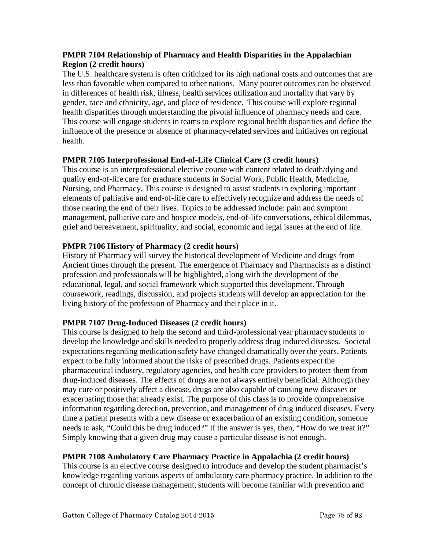#### **PMPR 7104 Relationship of Pharmacy and Health Disparities in the Appalachian Region (2 credit hours)**

The U.S. healthcare system is often criticized for its high national costs and outcomes that are less than favorable when compared to other nations. Many poorer outcomes can be observed in differences of health risk, illness, health services utilization and mortality that vary by gender, race and ethnicity, age, and place of residence. This course will explore regional health disparities through understanding the pivotal influence of pharmacy needs and care. This course will engage students in teams to explore regional health disparities and define the influence of the presence or absence of pharmacy-related services and initiatives on regional health.

#### **PMPR 7105 Interprofessional End-of-Life Clinical Care (3 credit hours)**

This course is an interprofessional elective course with content related to death/dying and quality end-of-life care for graduate students in Social Work, Public Health, Medicine, Nursing, and Pharmacy. This course is designed to assist students in exploring important elements of palliative and end-of-life care to effectively recognize and address the needs of those nearing the end of their lives. Topics to be addressed include: pain and symptom management, palliative care and hospice models, end-of-life conversations, ethical dilemmas, grief and bereavement, spirituality, and social, economic and legal issues at the end of life.

## **PMPR 7106 History of Pharmacy (2 credit hours)**

History of Pharmacy will survey the historical development of Medicine and drugs from Ancient times through the present. The emergence of Pharmacy and Pharmacists as a distinct profession and professionals will be highlighted, along with the development of the educational, legal, and social framework which supported this development. Through coursework, readings, discussion, and projects students will develop an appreciation for the living history of the profession of Pharmacy and their place in it.

## **PMPR 7107 Drug-Induced Diseases (2 credit hours)**

This course is designed to help the second and third-professional year pharmacy students to develop the knowledge and skills needed to properly address drug induced diseases. Societal expectations regarding medication safety have changed dramatically over the years. Patients expect to be fully informed about the risks of prescribed drugs. Patients expect the pharmaceutical industry, regulatory agencies, and health care providers to protect them from drug-induced diseases. The effects of drugs are not always entirely beneficial. Although they may cure or positively affect a disease, drugs are also capable of causing new diseases or exacerbating those that already exist. The purpose of this class is to provide comprehensive information regarding detection, prevention, and management of drug induced diseases. Every time a patient presents with a new disease or exacerbation of an existing condition, someone needs to ask, "Could this be drug induced?" If the answer is yes, then, "How do we treat it?" Simply knowing that a given drug may cause a particular disease is not enough.

## **PMPR 7108 Ambulatory Care Pharmacy Practice in Appalachia (2 credit hours)**

This course is an elective course designed to introduce and develop the student pharmacist's knowledge regarding various aspects of ambulatory care pharmacy practice. In addition to the concept of chronic disease management, students will become familiar with prevention and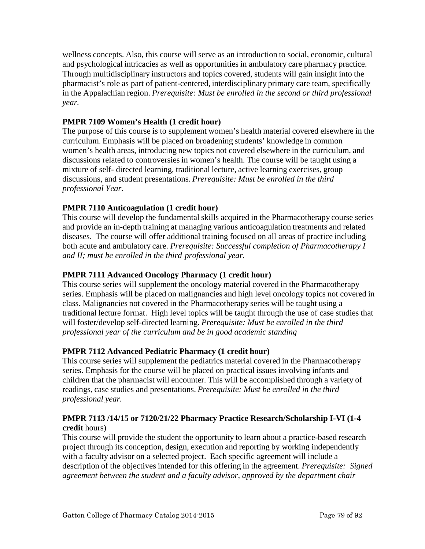wellness concepts. Also, this course will serve as an introduction to social, economic, cultural and psychological intricacies as well as opportunities in ambulatory care pharmacy practice. Through multidisciplinary instructors and topics covered, students will gain insight into the pharmacist's role as part of patient-centered, interdisciplinary primary care team, specifically in the Appalachian region. *Prerequisite: Must be enrolled in the second or third professional year.*

## **PMPR 7109 Women's Health (1 credit hour)**

The purpose of this course is to supplement women's health material covered elsewhere in the curriculum. Emphasis will be placed on broadening students' knowledge in common women's health areas, introducing new topics not covered elsewhere in the curriculum, and discussions related to controversies in women's health. The course will be taught using a mixture of self- directed learning, traditional lecture, active learning exercises, group discussions, and student presentations. *Prerequisite: Must be enrolled in the third professional Year.*

# **PMPR 7110 Anticoagulation (1 credit hour)**

This course will develop the fundamental skills acquired in the Pharmacotherapy course series and provide an in-depth training at managing various anticoagulation treatments and related diseases. The course will offer additional training focused on all areas of practice including both acute and ambulatory care. *Prerequisite: Successful completion of Pharmacotherapy I and II; must be enrolled in the third professional year.*

## **PMPR 7111 Advanced Oncology Pharmacy (1 credit hour)**

This course series will supplement the oncology material covered in the Pharmacotherapy series. Emphasis will be placed on malignancies and high level oncology topics not covered in class. Malignancies not covered in the Pharmacotherapy series will be taught using a traditional lecture format. High level topics will be taught through the use of case studies that will foster/develop self-directed learning. *Prerequisite: Must be enrolled in the third professional year of the curriculum and be in good academic standing*

## **PMPR 7112 Advanced Pediatric Pharmacy (1 credit hour)**

This course series will supplement the pediatrics material covered in the Pharmacotherapy series. Emphasis for the course will be placed on practical issues involving infants and children that the pharmacist will encounter. This will be accomplished through a variety of readings, case studies and presentations. *Prerequisite: Must be enrolled in the third professional year.*

## **PMPR 7113 /14/15 or 7120/21/22 Pharmacy Practice Research/Scholarship I-VI (1-4 credit** hours)

This course will provide the student the opportunity to learn about a practice-based research project through its conception, design, execution and reporting by working independently with a faculty advisor on a selected project. Each specific agreement will include a description of the objectives intended for this offering in the agreement. *Prerequisite: Signed agreement between the student and a faculty advisor, approved by the department chair*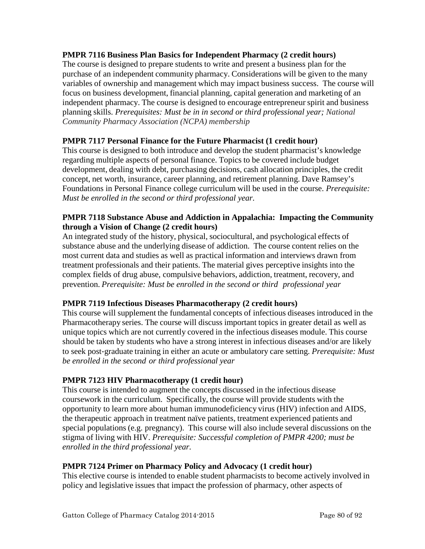#### **PMPR 7116 Business Plan Basics for Independent Pharmacy (2 credit hours)**

The course is designed to prepare students to write and present a business plan for the purchase of an independent community pharmacy. Considerations will be given to the many variables of ownership and management which may impact business success. The course will focus on business development, financial planning, capital generation and marketing of an independent pharmacy. The course is designed to encourage entrepreneur spirit and business planning skills. *Prerequisites: Must be in in second or third professional year; National Community Pharmacy Association (NCPA) membership*

## **PMPR 7117 Personal Finance for the Future Pharmacist (1 credit hour)**

This course is designed to both introduce and develop the student pharmacist's knowledge regarding multiple aspects of personal finance. Topics to be covered include budget development, dealing with debt, purchasing decisions, cash allocation principles, the credit concept, net worth, insurance, career planning, and retirement planning. Dave Ramsey's Foundations in Personal Finance college curriculum will be used in the course. *Prerequisite: Must be enrolled in the second or third professional year.*

#### **PMPR 7118 Substance Abuse and Addiction in Appalachia: Impacting the Community through a Vision of Change (2 credit hours)**

An integrated study of the history, physical, sociocultural, and psychological effects of substance abuse and the underlying disease of addiction. The course content relies on the most current data and studies as well as practical information and interviews drawn from treatment professionals and their patients. The material gives perceptive insights into the complex fields of drug abuse, compulsive behaviors, addiction, treatment, recovery, and prevention. *Prerequisite: Must be enrolled in the second or third professional year*

## **PMPR 7119 Infectious Diseases Pharmacotherapy (2 credit hours)**

This course will supplement the fundamental concepts of infectious diseases introduced in the Pharmacotherapy series. The course will discuss important topics in greater detail as well as unique topics which are not currently covered in the infectious diseases module. This course should be taken by students who have a strong interest in infectious diseases and/or are likely to seek post‐graduate training in either an acute or ambulatory care setting. *Prerequisite: Must be enrolled in the second or third professional year*

#### **PMPR 7123 HIV Pharmacotherapy (1 credit hour)**

This course is intended to augment the concepts discussed in the infectious disease coursework in the curriculum. Specifically, the course will provide students with the opportunity to learn more about human immunodeficiency virus (HIV) infection and AIDS, the therapeutic approach in treatment naïve patients, treatment experienced patients and special populations (e.g. pregnancy). This course will also include several discussions on the stigma of living with HIV. *Prerequisite: Successful completion of PMPR 4200; must be enrolled in the third professional year.*

## **PMPR 7124 Primer on Pharmacy Policy and Advocacy (1 credit hour)**

This elective course is intended to enable student pharmacists to become actively involved in policy and legislative issues that impact the profession of pharmacy, other aspects of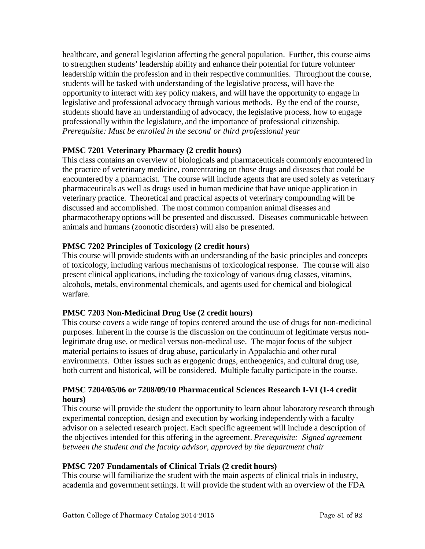healthcare, and general legislation affecting the general population. Further, this course aims to strengthen students' leadership ability and enhance their potential for future volunteer leadership within the profession and in their respective communities. Throughout the course, students will be tasked with understanding of the legislative process, will have the opportunity to interact with key policy makers, and will have the opportunity to engage in legislative and professional advocacy through various methods. By the end of the course, students should have an understanding of advocacy, the legislative process, how to engage professionally within the legislature, and the importance of professional citizenship. *Prerequisite: Must be enrolled in the second or third professional year*

# **PMSC 7201 Veterinary Pharmacy (2 credit hours)**

This class contains an overview of biologicals and pharmaceuticals commonly encountered in the practice of veterinary medicine, concentrating on those drugs and diseases that could be encountered by a pharmacist. The course will include agents that are used solely as veterinary pharmaceuticals as well as drugs used in human medicine that have unique application in veterinary practice. Theoretical and practical aspects of veterinary compounding will be discussed and accomplished. The most common companion animal diseases and pharmacotherapy options will be presented and discussed. Diseases communicable between animals and humans (zoonotic disorders) will also be presented.

# **PMSC 7202 Principles of Toxicology (2 credit hours)**

This course will provide students with an understanding of the basic principles and concepts of toxicology, including various mechanisms of toxicological response. The course will also present clinical applications, including the toxicology of various drug classes, vitamins, alcohols, metals, environmental chemicals, and agents used for chemical and biological warfare.

## **PMSC 7203 Non-Medicinal Drug Use (2 credit hours)**

This course covers a wide range of topics centered around the use of drugs for non-medicinal purposes. Inherent in the course is the discussion on the continuum of legitimate versus nonlegitimate drug use, or medical versus non-medical use. The major focus of the subject material pertains to issues of drug abuse, particularly in Appalachia and other rural environments. Other issues such as ergogenic drugs, entheogenics, and cultural drug use, both current and historical, will be considered. Multiple faculty participate in the course.

# **PMSC 7204/05/06 or 7208/09/10 Pharmaceutical Sciences Research I-VI (1-4 credit hours)**

This course will provide the student the opportunity to learn about laboratory research through experimental conception, design and execution by working independently with a faculty advisor on a selected research project. Each specific agreement will include a description of the objectives intended for this offering in the agreement. *Prerequisite: Signed agreement between the student and the faculty advisor, approved by the department chair*

## **PMSC 7207 Fundamentals of Clinical Trials (2 credit hours)**

This course will familiarize the student with the main aspects of clinical trials in industry, academia and government settings. It will provide the student with an overview of the FDA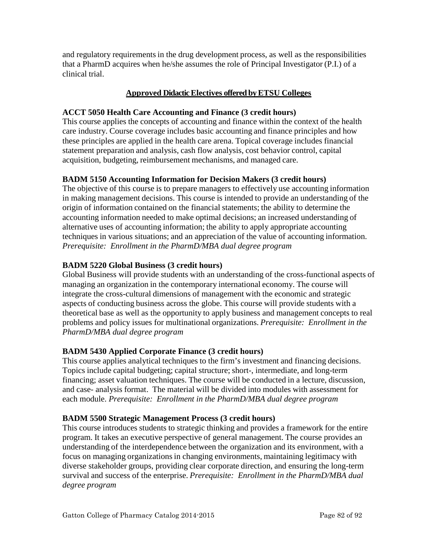and regulatory requirements in the drug development process, as well as the responsibilities that a PharmD acquires when he/she assumes the role of Principal Investigator (P.I.) of a clinical trial.

## **Approved Didactic Electives offered by ETSU Colleges**

## **ACCT 5050 Health Care Accounting and Finance (3 credit hours)**

This course applies the concepts of accounting and finance within the context of the health care industry. Course coverage includes basic accounting and finance principles and how these principles are applied in the health care arena. Topical coverage includes financial statement preparation and analysis, cash flow analysis, cost behavior control, capital acquisition, budgeting, reimbursement mechanisms, and managed care.

# **BADM 5150 Accounting Information for Decision Makers (3 credit hours)**

The objective of this course is to prepare managers to effectively use accounting information in making management decisions. This course is intended to provide an understanding of the origin of information contained on the financial statements; the ability to determine the accounting information needed to make optimal decisions; an increased understanding of alternative uses of accounting information; the ability to apply appropriate accounting techniques in various situations; and an appreciation of the value of accounting information. *Prerequisite: Enrollment in the PharmD/MBA dual degree program*

# **BADM 5220 Global Business (3 credit hours)**

Global Business will provide students with an understanding of the cross-functional aspects of managing an organization in the contemporary international economy. The course will integrate the cross-cultural dimensions of management with the economic and strategic aspects of conducting business across the globe. This course will provide students with a theoretical base as well as the opportunity to apply business and management concepts to real problems and policy issues for multinational organizations. *Prerequisite: Enrollment in the PharmD/MBA dual degree program*

# **BADM 5430 Applied Corporate Finance (3 credit hours)**

This course applies analytical techniques to the firm's investment and financing decisions. Topics include capital budgeting; capital structure; short-, intermediate, and long-term financing; asset valuation techniques. The course will be conducted in a lecture, discussion, and case- analysis format. The material will be divided into modules with assessment for each module. *Prerequisite: Enrollment in the PharmD/MBA dual degree program*

# **BADM 5500 Strategic Management Process (3 credit hours)**

This course introduces students to strategic thinking and provides a framework for the entire program. It takes an executive perspective of general management. The course provides an understanding of the interdependence between the organization and its environment, with a focus on managing organizations in changing environments, maintaining legitimacy with diverse stakeholder groups, providing clear corporate direction, and ensuring the long-term survival and success of the enterprise. *Prerequisite: Enrollment in the PharmD/MBA dual degree program*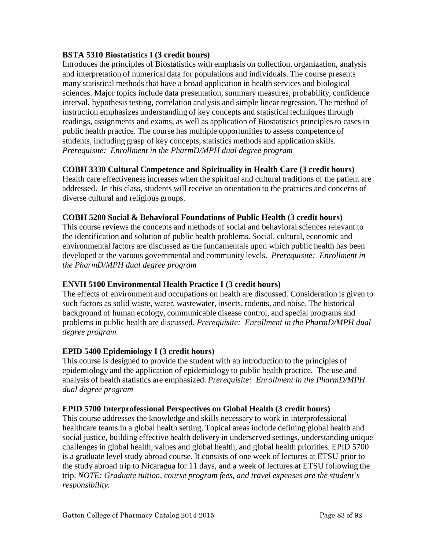#### **BSTA 5310 Biostatistics I (3 credit hours)**

Introduces the principles of Biostatistics with emphasis on collection, organization, analysis and interpretation of numerical data for populations and individuals. The course presents many statistical methods that have a broad application in health services and biological sciences. Major topics include data presentation, summary measures, probability, confidence interval, hypothesis testing, correlation analysis and simple linear regression. The method of instruction emphasizes understanding of key concepts and statistical techniques through readings, assignments and exams, as well as application of Biostatistics principles to cases in public health practice. The course has multiple opportunities to assess competence of students, including grasp of key concepts, statistics methods and application skills. *Prerequisite: Enrollment in the PharmD/MPH dual degree program*

## **COBH 3330 Cultural Competence and Spirituality in Health Care (3 credit hours)**

Health care effectiveness increases when the spiritual and cultural traditions of the patient are addressed. In this class, students will receive an orientation to the practices and concerns of diverse cultural and religious groups.

## **COBH 5200 Social & Behavioral Foundations of Public Health (3 credit hours)**

This course reviews the concepts and methods of social and behavioral sciences relevant to the identification and solution of public health problems. Social, cultural, economic and environmental factors are discussed as the fundamentals upon which public health has been developed at the various governmental and community levels. *Prerequisite: Enrollment in the PharmD/MPH dual degree program*

## **ENVH 5100 Environmental Health Practice I (3 credit hours)**

The effects of environment and occupations on health are discussed. Consideration is given to such factors as solid waste, water, wastewater, insects, rodents, and noise. The historical background of human ecology, communicable disease control, and special programs and problems in public health are discussed. *Prerequisite: Enrollment in the PharmD/MPH dual degree program*

## **EPID 5400 Epidemiology I (3 credit hours)**

This course is designed to provide the student with an introduction to the principles of epidemiology and the application of epidemiology to public health practice. The use and analysis of health statistics are emphasized. *Prerequisite: Enrollment in the PharmD/MPH dual degree program*

## **EPID 5700 Interprofessional Perspectives on Global Health (3 credit hours)**

This course addresses the knowledge and skills necessary to work in interprofessional healthcare teams in a global health setting. Topical areas include defining global health and social justice, building effective health delivery in underserved settings, understanding unique challenges in global health, values and global health, and global health priorities. EPID 5700 is a graduate level study abroad course. It consists of one week of lectures at ETSU prior to the study abroad trip to Nicaragua for 11 days, and a week of lectures at ETSU following the trip. *NOTE: Graduate tuition, course program fees, and travel expenses are the student's responsibility.*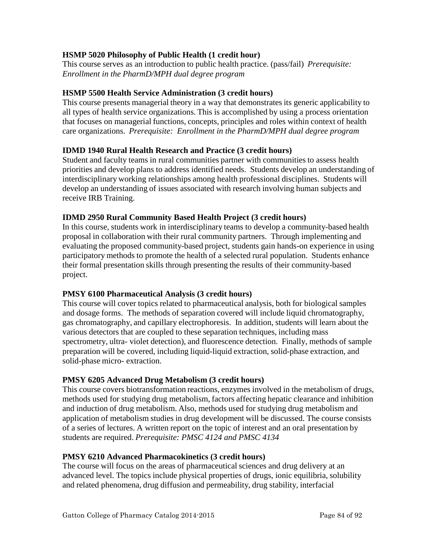## **HSMP 5020 Philosophy of Public Health (1 credit hour)**

This course serves as an introduction to public health practice. (pass/fail) *Prerequisite: Enrollment in the PharmD/MPH dual degree program*

## **HSMP 5500 Health Service Administration (3 credit hours)**

This course presents managerial theory in a way that demonstrates its generic applicability to all types of health service organizations. This is accomplished by using a process orientation that focuses on managerial functions, concepts, principles and roles within context of health care organizations. *Prerequisite: Enrollment in the PharmD/MPH dual degree program*

# **IDMD 1940 Rural Health Research and Practice (3 credit hours)**

Student and faculty teams in rural communities partner with communities to assess health priorities and develop plans to address identified needs. Students develop an understanding of interdisciplinary working relationships among health professional disciplines. Students will develop an understanding of issues associated with research involving human subjects and receive IRB Training.

## **IDMD 2950 Rural Community Based Health Project (3 credit hours)**

In this course, students work in interdisciplinary teams to develop a community-based health proposal in collaboration with their rural community partners. Through implementing and evaluating the proposed community-based project, students gain hands-on experience in using participatory methods to promote the health of a selected rural population. Students enhance their formal presentation skills through presenting the results of their community-based project.

## **PMSY 6100 Pharmaceutical Analysis (3 credit hours)**

This course will cover topics related to pharmaceutical analysis, both for biological samples and dosage forms. The methods of separation covered will include liquid chromatography, gas chromatography, and capillary electrophoresis. In addition, students will learn about the various detectors that are coupled to these separation techniques, including mass spectrometry, ultra- violet detection), and fluorescence detection. Finally, methods of sample preparation will be covered, including liquid-liquid extraction, solid-phase extraction, and solid-phase micro- extraction.

# **PMSY 6205 Advanced Drug Metabolism (3 credit hours)**

This course covers biotransformation reactions, enzymes involved in the metabolism of drugs, methods used for studying drug metabolism, factors affecting hepatic clearance and inhibition and induction of drug metabolism. Also, methods used for studying drug metabolism and application of metabolism studies in drug development will be discussed. The course consists of a series of lectures. A written report on the topic of interest and an oral presentation by students are required. *Prerequisite: PMSC 4124 and PMSC 4134*

## **PMSY 6210 Advanced Pharmacokinetics (3 credit hours)**

The course will focus on the areas of pharmaceutical sciences and drug delivery at an advanced level. The topics include physical properties of drugs, ionic equilibria, solubility and related phenomena, drug diffusion and permeability, drug stability, interfacial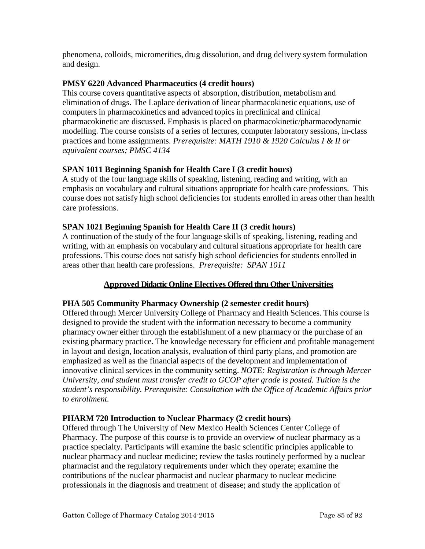phenomena, colloids, micromeritics, drug dissolution, and drug delivery system formulation and design.

## **PMSY 6220 Advanced Pharmaceutics (4 credit hours)**

This course covers quantitative aspects of absorption, distribution, metabolism and elimination of drugs. The Laplace derivation of linear pharmacokinetic equations, use of computers in pharmacokinetics and advanced topics in preclinical and clinical pharmacokinetic are discussed. Emphasis is placed on pharmacokinetic/pharmacodynamic modelling. The course consists of a series of lectures, computer laboratory sessions, in-class practices and home assignments. *Prerequisite: MATH 1910 & 1920 Calculus I & II or equivalent courses; PMSC 4134*

# **SPAN 1011 Beginning Spanish for Health Care I (3 credit hours)**

A study of the four language skills of speaking, listening, reading and writing, with an emphasis on vocabulary and cultural situations appropriate for health care professions. This course does not satisfy high school deficiencies for students enrolled in areas other than health care professions.

## **SPAN 1021 Beginning Spanish for Health Care II (3 credit hours)**

A continuation of the study of the four language skills of speaking, listening, reading and writing, with an emphasis on vocabulary and cultural situations appropriate for health care professions. This course does not satisfy high school deficiencies for students enrolled in areas other than health care professions. *Prerequisite: SPAN 1011*

## **Approved Didactic Online Electives Offered thru Other Universities**

## **PHA 505 Community Pharmacy Ownership (2 semester credit hours)**

Offered through Mercer University College of Pharmacy and Health Sciences. This course is designed to provide the student with the information necessary to become a community pharmacy owner either through the establishment of a new pharmacy or the purchase of an existing pharmacy practice. The knowledge necessary for efficient and profitable management in layout and design, location analysis, evaluation of third party plans, and promotion are emphasized as well as the financial aspects of the development and implementation of innovative clinical services in the community setting. *NOTE: Registration is through Mercer University, and student must transfer credit to GCOP after grade is posted. Tuition is the student's responsibility. Prerequisite: Consultation with the Office of Academic Affairs prior to enrollment.*

## **PHARM 720 Introduction to Nuclear Pharmacy (2 credit hours)**

Offered through The University of New Mexico Health Sciences Center College of Pharmacy. The purpose of this course is to provide an overview of nuclear pharmacy as a practice specialty. Participants will examine the basic scientific principles applicable to nuclear pharmacy and nuclear medicine; review the tasks routinely performed by a nuclear pharmacist and the regulatory requirements under which they operate; examine the contributions of the nuclear pharmacist and nuclear pharmacy to nuclear medicine professionals in the diagnosis and treatment of disease; and study the application of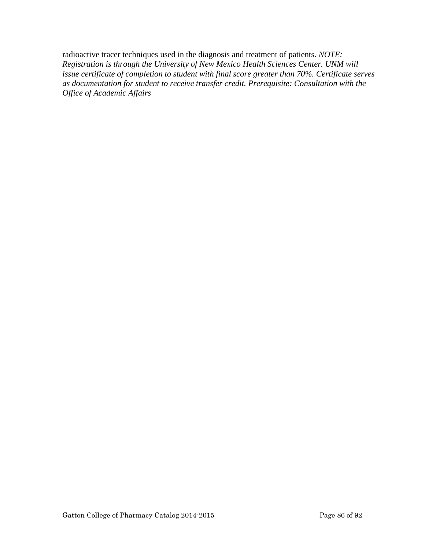radioactive tracer techniques used in the diagnosis and treatment of patients. *NOTE: Registration is through the University of New Mexico Health Sciences Center. UNM will issue certificate of completion to student with final score greater than 70%. Certificate serves as documentation for student to receive transfer credit. Prerequisite: Consultation with the Office of Academic Affairs*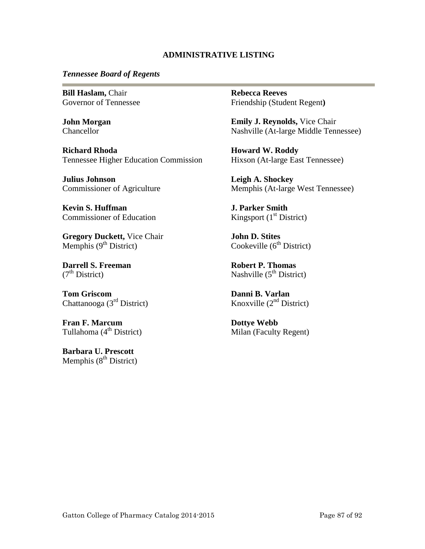#### **ADMINISTRATIVE LISTING**

#### *Tennessee Board of Regents*

**Bill Haslam,** Chair Governor of Tennessee

**John Morgan Chancellor** 

**Richard Rhoda** Tennessee Higher Education Commission

**Julius Johnson** Commissioner of Agriculture

**Kevin S. Huffman** Commissioner of Education

**Gregory Duckett,** Vice Chair Memphis  $(9<sup>th</sup> District)$ 

**Darrell S. Freeman**  $(7<sup>th</sup> District)$ 

**Tom Griscom** Chattanooga (3rd District)

**Fran F. Marcum** Tullahoma  $(4<sup>th</sup> District)$ 

**Barbara U. Prescott** Memphis  $(8<sup>th</sup> District)$  **Rebecca Reeves** Friendship (Student Regent**)**

**Emily J. Reynolds,** Vice Chair Nashville (At-large Middle Tennessee)

**Howard W. Roddy** Hixson (At-large East Tennessee)

**Leigh A. Shockey** Memphis (At-large West Tennessee)

**J. Parker Smith** Kingsport  $(1<sup>st</sup> District)$ 

**John D. Stites** Cookeville  $(6<sup>th</sup> District)$ 

**Robert P. Thomas** Nashville  $(5^{th}$  District)

**Danni B. Varlan** Knoxville  $(2<sup>nd</sup> District)$ 

**Dottye Webb** Milan (Faculty Regent)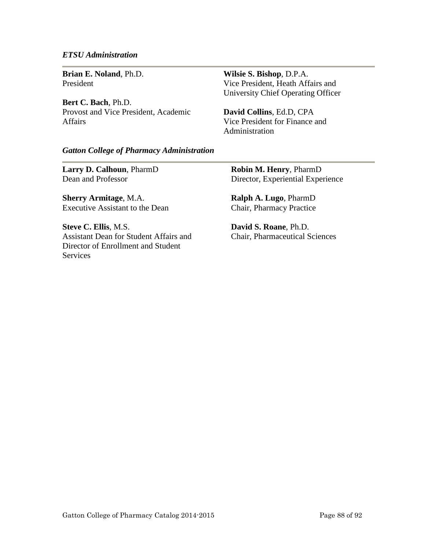#### *ETSU Administration*

**Brian E. Noland**, Ph.D. President

**Bert C. Bach**, Ph.D. Provost and Vice President, Academic Affairs

**Wilsie S. Bishop**, D.P.A. Vice President, Heath Affairs and University Chief Operating Officer

**David Collins**, Ed.D, CPA Vice President for Finance and Administration

#### *Gatton College of Pharmacy Administration*

**Larry D. Calhoun**, PharmD Dean and Professor

**Sherry Armitage**, M.A. Executive Assistant to the Dean

**Steve C. Ellis**, M.S. Assistant Dean for Student Affairs and Director of Enrollment and Student Services

**Robin M. Henry**, PharmD Director, Experiential Experience

**Ralph A. Lugo**, PharmD Chair, Pharmacy Practice

**David S. Roane**, Ph.D. Chair, Pharmaceutical Sciences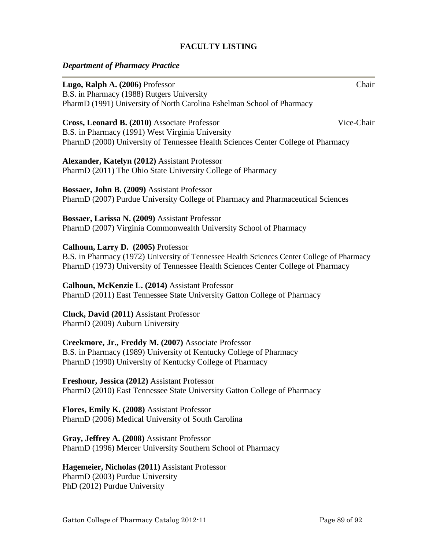## **FACULTY LISTING**

#### *Department of Pharmacy Practice*

| Lugo, Ralph A. (2006) Professor                                                            | Chair      |
|--------------------------------------------------------------------------------------------|------------|
| B.S. in Pharmacy (1988) Rutgers University                                                 |            |
| PharmD (1991) University of North Carolina Eshelman School of Pharmacy                     |            |
| Cross, Leonard B. (2010) Associate Professor                                               | Vice-Chair |
| B.S. in Pharmacy (1991) West Virginia University                                           |            |
| PharmD (2000) University of Tennessee Health Sciences Center College of Pharmacy           |            |
| Alexander, Katelyn (2012) Assistant Professor                                              |            |
| PharmD (2011) The Ohio State University College of Pharmacy                                |            |
| Bossaer, John B. (2009) Assistant Professor                                                |            |
| PharmD (2007) Purdue University College of Pharmacy and Pharmaceutical Sciences            |            |
| Bossaer, Larissa N. (2009) Assistant Professor                                             |            |
| PharmD (2007) Virginia Commonwealth University School of Pharmacy                          |            |
| Calhoun, Larry D. (2005) Professor                                                         |            |
| B.S. in Pharmacy (1972) University of Tennessee Health Sciences Center College of Pharmacy |            |
| PharmD (1973) University of Tennessee Health Sciences Center College of Pharmacy           |            |
| Calhoun, McKenzie L. (2014) Assistant Professor                                            |            |
| PharmD (2011) East Tennessee State University Gatton College of Pharmacy                   |            |
| Cluck, David (2011) Assistant Professor                                                    |            |
| PharmD (2009) Auburn University                                                            |            |
| Creekmore, Jr., Freddy M. (2007) Associate Professor                                       |            |
| B.S. in Pharmacy (1989) University of Kentucky College of Pharmacy                         |            |
| PharmD (1990) University of Kentucky College of Pharmacy                                   |            |
| Freshour, Jessica (2012) Assistant Professor                                               |            |
| PharmD (2010) East Tennessee State University Gatton College of Pharmacy                   |            |

**Flores, Emily K. (2008)** Assistant Professor PharmD (2006) Medical University of South Carolina

**Gray, Jeffrey A. (2008)** Assistant Professor PharmD (1996) Mercer University Southern School of Pharmacy

**Hagemeier, Nicholas (2011)** Assistant Professor PharmD (2003) Purdue University PhD (2012) Purdue University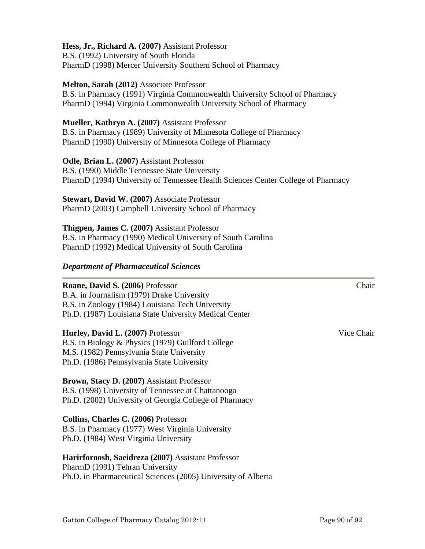#### **Hess, Jr., Richard A. (2007)** Assistant Professor

B.S. (1992) University of South Florida PharmD (1998) Mercer University Southern School of Pharmacy

#### **Melton, Sarah (2012)** Associate Professor

B.S. in Pharmacy (1991) Virginia Commonwealth University School of Pharmacy PharmD (1994) Virginia Commonwealth University School of Pharmacy

#### **Mueller, Kathryn A. (2007)** Assistant Professor

B.S. in Pharmacy (1989) University of Minnesota College of Pharmacy PharmD (1990) University of Minnesota College of Pharmacy

#### **Odle, Brian L. (2007)** Assistant Professor

B.S. (1990) Middle Tennessee State University PharmD (1994) University of Tennessee Health Sciences Center College of Pharmacy

**Stewart, David W. (2007)** Associate Professor PharmD (2003) Campbell University School of Pharmacy

**Thigpen, James C. (2007)** Assistant Professor B.S. in Pharmacy (1990) Medical University of South Carolina PharmD (1992) Medical University of South Carolina

#### *Department of Pharmaceutical Sciences*

#### **Roane, David S. (2006)** Professor Chair

B.A. in Journalism (1979) Drake University B.S. in Zoology (1984) Louisiana Tech University Ph.D. (1987) Louisiana State University Medical Center

#### **Hurley, David L. (2007)** Professor Vice Chair

B.S. in Biology & Physics (1979) Guilford College M.S. (1982) Pennsylvania State University Ph.D. (1986) Pennsylvania State University

#### **Brown, Stacy D. (2007)** Assistant Professor

B.S. (1998) University of Tennessee at Chattanooga Ph.D. (2002) University of Georgia College of Pharmacy

## **Collins, Charles C. (2006)** Professor

B.S. in Pharmacy (1977) West Virginia University Ph.D. (1984) West Virginia University

#### **Harirforoosh, Saeidreza (2007)** Assistant Professor

PharmD (1991) Tehran University Ph.D. in Pharmaceutical Sciences (2005) University of Alberta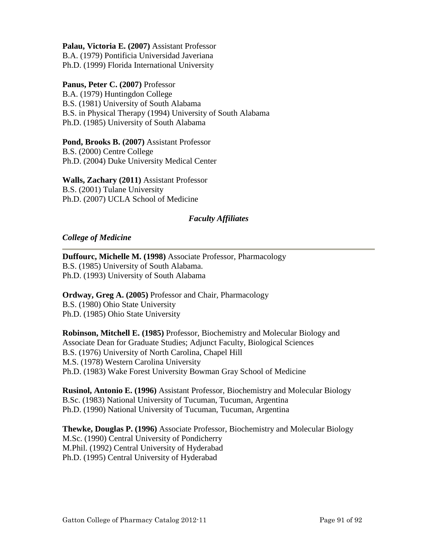**Palau, Victoria E. (2007)** Assistant Professor

B.A. (1979) Pontificia Universidad Javeriana

# Ph.D. (1999) Florida International University

#### **Panus, Peter C. (2007)** Professor

B.A. (1979) Huntingdon College B.S. (1981) University of South Alabama B.S. in Physical Therapy (1994) University of South Alabama Ph.D. (1985) University of South Alabama

# **Pond, Brooks B. (2007)** Assistant Professor

B.S. (2000) Centre College Ph.D. (2004) Duke University Medical Center

#### **Walls, Zachary (2011)** Assistant Professor B.S. (2001) Tulane University Ph.D. (2007) UCLA School of Medicine

## *Faculty Affiliates*

#### *College of Medicine*

**Duffourc, Michelle M. (1998)** Associate Professor, Pharmacology B.S. (1985) University of South Alabama. Ph.D. (1993) University of South Alabama

**Ordway, Greg A. (2005)** Professor and Chair, Pharmacology B.S. (1980) Ohio State University Ph.D. (1985) Ohio State University

**Robinson, Mitchell E. (1985)** Professor, Biochemistry and Molecular Biology and Associate Dean for Graduate Studies; Adjunct Faculty, Biological Sciences B.S. (1976) University of North Carolina, Chapel Hill M.S. (1978) Western Carolina University Ph.D. (1983) Wake Forest University Bowman Gray School of Medicine

**Rusinol, Antonio E. (1996)** Assistant Professor, Biochemistry and Molecular Biology B.Sc. (1983) National University of Tucuman, Tucuman, Argentina Ph.D. (1990) National University of Tucuman, Tucuman, Argentina

**Thewke, Douglas P. (1996)** Associate Professor, Biochemistry and Molecular Biology M.Sc. (1990) Central University of Pondicherry M.Phil. (1992) Central University of Hyderabad Ph.D. (1995) Central University of Hyderabad